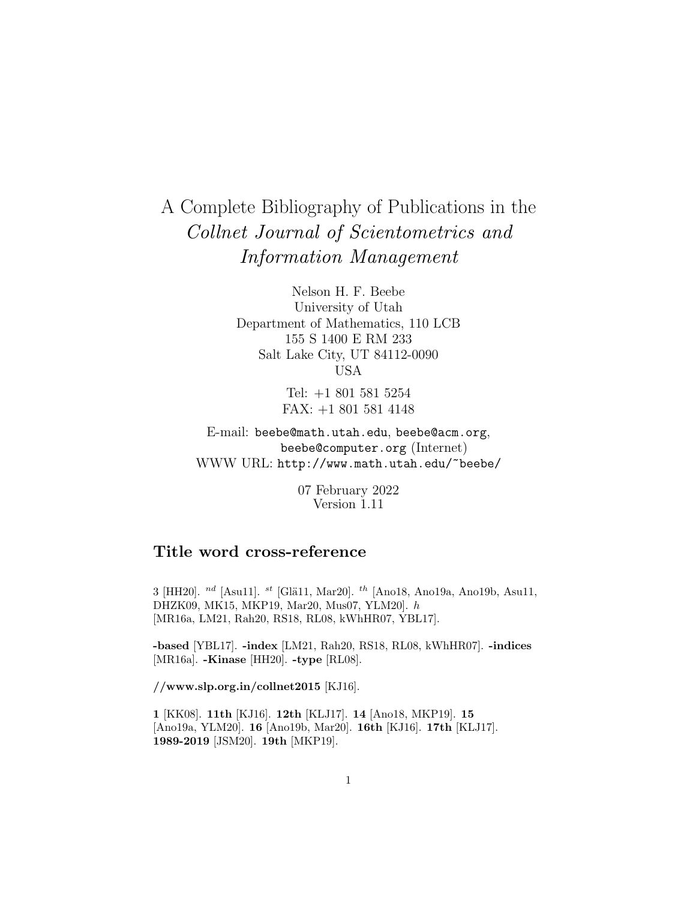# A Complete Bibliography of Publications in the Collnet Journal of Scientometrics and Information Management

Nelson H. F. Beebe University of Utah Department of Mathematics, 110 LCB 155 S 1400 E RM 233 Salt Lake City, UT 84112-0090 USA

> Tel: +1 801 581 5254 FAX: +1 801 581 4148

E-mail: beebe@math.utah.edu, beebe@acm.org, beebe@computer.org (Internet) WWW URL: http://www.math.utah.edu/~beebe/

> 07 February 2022 Version 1.11

# **Title word cross-reference**

3 [HH20]. $^{nd}$  [Asu11].  $^{st}$  [Glä11, Mar20].  $^{th}$  [Ano18, Ano19a, Ano19b, Asu11, DHZK09, MK15, MKP19, Mar20, Mus07, YLM20]. h [MR16a, LM21, Rah20, RS18, RL08, kWhHR07, YBL17].

**-based** [YBL17]. **-index** [LM21, Rah20, RS18, RL08, kWhHR07]. **-indices** [MR16a]. **-Kinase** [HH20]. **-type** [RL08].

**//www.slp.org.in/collnet2015** [KJ16].

**1** [KK08]. **11th** [KJ16]. **12th** [KLJ17]. **14** [Ano18, MKP19]. **15** [Ano19a, YLM20]. **16** [Ano19b, Mar20]. **16th** [KJ16]. **17th** [KLJ17]. **1989-2019** [JSM20]. **19th** [MKP19].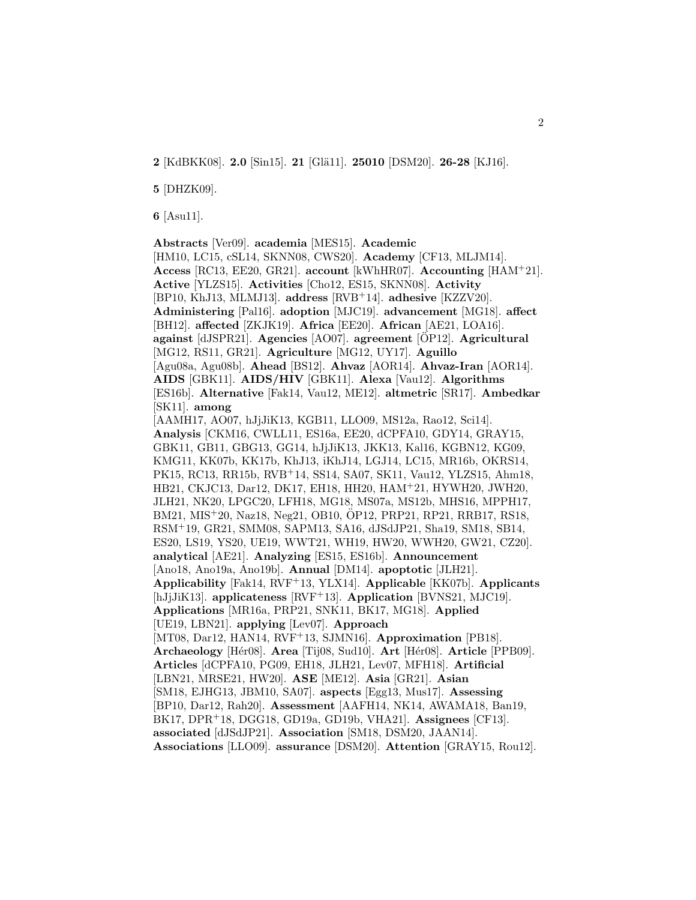**2** [KdBKK08]. **2.0** [Sin15]. **21** [Glä11]. **25010** [DSM20]. **26-28** [KJ16].

**5** [DHZK09].

**6** [Asu11].

**Abstracts** [Ver09]. **academia** [MES15]. **Academic** [HM10, LC15, cSL14, SKNN08, CWS20]. **Academy** [CF13, MLJM14]. **Access** [RC13, EE20, GR21]. **account** [kWhHR07]. **Accounting** [HAM<sup>+</sup>21]. **Active** [YLZS15]. **Activities** [Cho12, ES15, SKNN08]. **Activity** [BP10, KhJ13, MLMJ13]. **address** [RVB<sup>+</sup>14]. **adhesive** [KZZV20]. **Administering** [Pal16]. **adoption** [MJC19]. **advancement** [MG18]. **affect** [BH12]. **affected** [ZKJK19]. **Africa** [EE20]. **African** [AE21, LOA16]. **against** [dJSPR21]. **Agencies** [AO07]. **agreement** [OP12]. **Agricultural** [MG12, RS11, GR21]. **Agriculture** [MG12, UY17]. **Aguillo** [Agu08a, Agu08b]. **Ahead** [BS12]. **Ahvaz** [AOR14]. **Ahvaz-Iran** [AOR14]. **AIDS** [GBK11]. **AIDS/HIV** [GBK11]. **Alexa** [Vau12]. **Algorithms** [ES16b]. **Alternative** [Fak14, Vau12, ME12]. **altmetric** [SR17]. **Ambedkar** [SK11]. **among** [AAMH17, AO07, hJjJiK13, KGB11, LLO09, MS12a, Rao12, Sci14]. **Analysis** [CKM16, CWLL11, ES16a, EE20, dCPFA10, GDY14, GRAY15, GBK11, GB11, GBG13, GG14, hJjJiK13, JKK13, Kal16, KGBN12, KG09, KMG11, KK07b, KK17b, KhJ13, iKhJ14, LGJ14, LC15, MR16b, OKRS14, PK15, RC13, RR15b, RVB<sup>+</sup>14, SS14, SA07, SK11, Vau12, YLZS15, Ahm18, HB21, CKJC13, Dar12, DK17, EH18, HH20, HAM<sup>+</sup>21, HYWH20, JWH20, JLH21, NK20, LPGC20, LFH18, MG18, MS07a, MS12b, MHS16, MPPH17, BM21, MIS<sup>+</sup>20, Naz18, Neg21, OB10, OP12, PRP21, RP21, RRB17, RS18, ¨ RSM<sup>+</sup>19, GR21, SMM08, SAPM13, SA16, dJSdJP21, Sha19, SM18, SB14, ES20, LS19, YS20, UE19, WWT21, WH19, HW20, WWH20, GW21, CZ20]. **analytical** [AE21]. **Analyzing** [ES15, ES16b]. **Announcement** [Ano18, Ano19a, Ano19b]. **Annual** [DM14]. **apoptotic** [JLH21]. **Applicability** [Fak14, RVF<sup>+</sup>13, YLX14]. **Applicable** [KK07b]. **Applicants** [hJjJiK13]. **applicateness** [RVF<sup>+</sup>13]. **Application** [BVNS21, MJC19]. **Applications** [MR16a, PRP21, SNK11, BK17, MG18]. **Applied** [UE19, LBN21]. **applying** [Lev07]. **Approach** [MT08, Dar12, HAN14, RVF<sup>+</sup>13, SJMN16]. **Approximation** [PB18]. **Archaeology** [H´er08]. **Area** [Tij08, Sud10]. **Art** [H´er08]. **Article** [PPB09]. **Articles** [dCPFA10, PG09, EH18, JLH21, Lev07, MFH18]. **Artificial** [LBN21, MRSE21, HW20]. **ASE** [ME12]. **Asia** [GR21]. **Asian** [SM18, EJHG13, JBM10, SA07]. **aspects** [Egg13, Mus17]. **Assessing** [BP10, Dar12, Rah20]. **Assessment** [AAFH14, NK14, AWAMA18, Ban19, BK17, DPR<sup>+</sup>18, DGG18, GD19a, GD19b, VHA21]. **Assignees** [CF13]. **associated** [dJSdJP21]. **Association** [SM18, DSM20, JAAN14]. **Associations** [LLO09]. **assurance** [DSM20]. **Attention** [GRAY15, Rou12].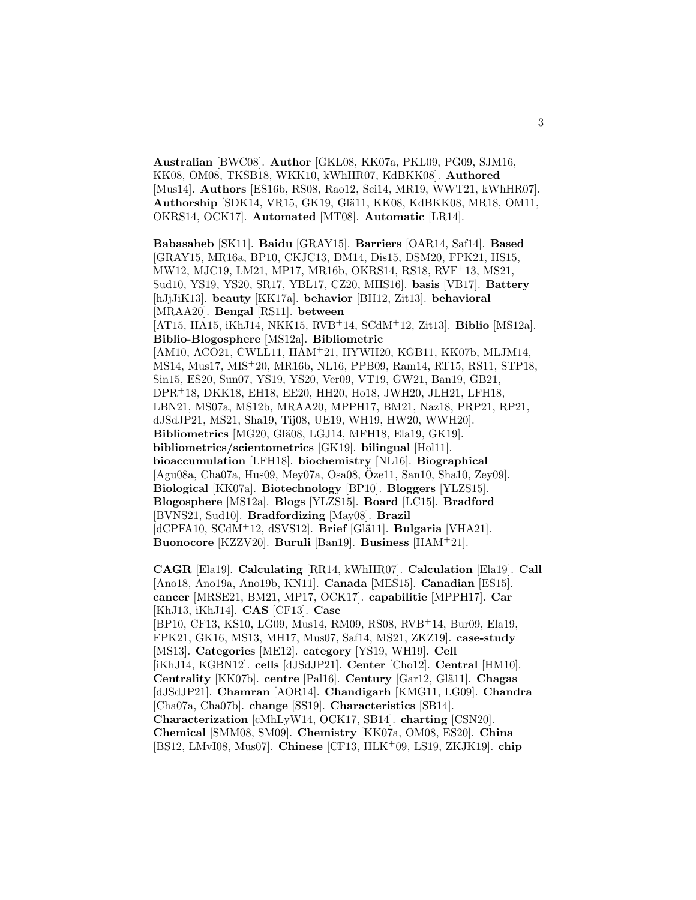**Australian** [BWC08]. **Author** [GKL08, KK07a, PKL09, PG09, SJM16, KK08, OM08, TKSB18, WKK10, kWhHR07, KdBKK08]. **Authored** [Mus14]. **Authors** [ES16b, RS08, Rao12, Sci14, MR19, WWT21, kWhHR07]. **Authorship** [SDK14, VR15, GK19, Glä11, KK08, KdBKK08, MR18, OM11, OKRS14, OCK17]. **Automated** [MT08]. **Automatic** [LR14].

**Babasaheb** [SK11]. **Baidu** [GRAY15]. **Barriers** [OAR14, Saf14]. **Based** [GRAY15, MR16a, BP10, CKJC13, DM14, Dis15, DSM20, FPK21, HS15, MW12, MJC19, LM21, MP17, MR16b, OKRS14, RS18, RVF<sup>+</sup>13, MS21, Sud10, YS19, YS20, SR17, YBL17, CZ20, MHS16]. **basis** [VB17]. **Battery** [hJjJiK13]. **beauty** [KK17a]. **behavior** [BH12, Zit13]. **behavioral** [MRAA20]. **Bengal** [RS11]. **between** [AT15, HA15, iKhJ14, NKK15, RVB<sup>+</sup>14, SCdM<sup>+</sup>12, Zit13]. **Biblio** [MS12a]. **Biblio-Blogosphere** [MS12a]. **Bibliometric** [AM10, ACO21, CWLL11, HAM<sup>+</sup>21, HYWH20, KGB11, KK07b, MLJM14, MS14, Mus17, MIS<sup>+</sup>20, MR16b, NL16, PPB09, Ram14, RT15, RS11, STP18, Sin15, ES20, Sun07, YS19, YS20, Ver09, VT19, GW21, Ban19, GB21, DPR<sup>+</sup>18, DKK18, EH18, EE20, HH20, Ho18, JWH20, JLH21, LFH18, LBN21, MS07a, MS12b, MRAA20, MPPH17, BM21, Naz18, PRP21, RP21, dJSdJP21, MS21, Sha19, Tij08, UE19, WH19, HW20, WWH20]. Bibliometrics [MG20, Glä08, LGJ14, MFH18, Ela19, GK19]. **bibliometrics/scientometrics** [GK19]. **bilingual** [Hol11]. **bioaccumulation** [LFH18]. **biochemistry** [NL16]. **Biographical** [Agu08a, Cha07a, Hus09, Mey07a, Osa08, Oze11, San10, Sha10, Zey09]. ¨ **Biological** [KK07a]. **Biotechnology** [BP10]. **Bloggers** [YLZS15]. **Blogosphere** [MS12a]. **Blogs** [YLZS15]. **Board** [LC15]. **Bradford** [BVNS21, Sud10]. **Bradfordizing** [May08]. **Brazil** [dCPFA10, SCdM<sup>+</sup>12, dSVS12]. **Brief** [Glä11]. **Bulgaria** [VHA21]. **Buonocore** [KZZV20]. **Buruli** [Ban19]. **Business** [HAM<sup>+</sup>21].

**CAGR** [Ela19]. **Calculating** [RR14, kWhHR07]. **Calculation** [Ela19]. **Call** [Ano18, Ano19a, Ano19b, KN11]. **Canada** [MES15]. **Canadian** [ES15]. **cancer** [MRSE21, BM21, MP17, OCK17]. **capabilitie** [MPPH17]. **Car** [KhJ13, iKhJ14]. **CAS** [CF13]. **Case** [BP10, CF13, KS10, LG09, Mus14, RM09, RS08, RVB<sup>+</sup>14, Bur09, Ela19, FPK21, GK16, MS13, MH17, Mus07, Saf14, MS21, ZKZ19]. **case-study** [MS13]. **Categories** [ME12]. **category** [YS19, WH19]. **Cell** [iKhJ14, KGBN12]. **cells** [dJSdJP21]. **Center** [Cho12]. **Central** [HM10]. **Centrality** [KK07b]. **centre** [Pal16]. **Century** [Gar12, Glä11]. **Chagas** [dJSdJP21]. **Chamran** [AOR14]. **Chandigarh** [KMG11, LG09]. **Chandra** [Cha07a, Cha07b]. **change** [SS19]. **Characteristics** [SB14]. **Characterization** [cMhLyW14, OCK17, SB14]. **charting** [CSN20]. **Chemical** [SMM08, SM09]. **Chemistry** [KK07a, OM08, ES20]. **China** [BS12, LMvI08, Mus07]. **Chinese** [CF13, HLK<sup>+</sup>09, LS19, ZKJK19]. **chip**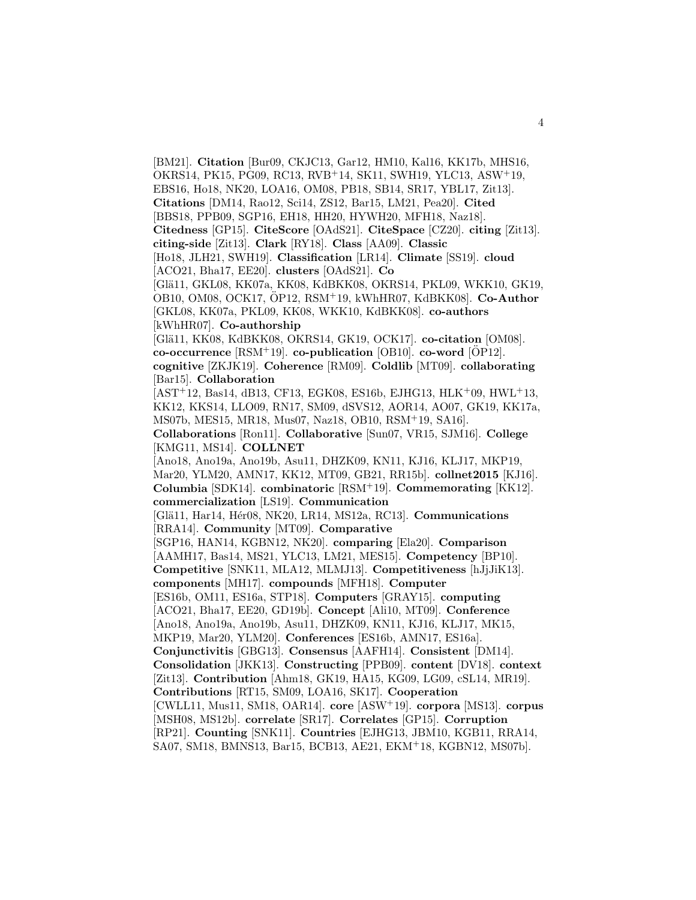[BM21]. **Citation** [Bur09, CKJC13, Gar12, HM10, Kal16, KK17b, MHS16, OKRS14, PK15, PG09, RC13, RVB<sup>+</sup>14, SK11, SWH19, YLC13, ASW<sup>+</sup>19, EBS16, Ho18, NK20, LOA16, OM08, PB18, SB14, SR17, YBL17, Zit13]. **Citations** [DM14, Rao12, Sci14, ZS12, Bar15, LM21, Pea20]. **Cited** [BBS18, PPB09, SGP16, EH18, HH20, HYWH20, MFH18, Naz18]. **Citedness** [GP15]. **CiteScore** [OAdS21]. **CiteSpace** [CZ20]. **citing** [Zit13]. **citing-side** [Zit13]. **Clark** [RY18]. **Class** [AA09]. **Classic** [Ho18, JLH21, SWH19]. **Classification** [LR14]. **Climate** [SS19]. **cloud** [ACO21, Bha17, EE20]. **clusters** [OAdS21]. **Co** [Glä11, GKL08, KK07a, KK08, KdBKK08, OKRS14, PKL09, WKK10, GK19, OB10, OM08, OCK17, OP12, RSM ¨ <sup>+</sup>19, kWhHR07, KdBKK08]. **Co-Author** [GKL08, KK07a, PKL09, KK08, WKK10, KdBKK08]. **co-authors** [kWhHR07]. **Co-authorship** [Glä11, KK08, KdBKK08, OKRS14, GK19, OCK17]. **co-citation** [OM08].  $co\text{-}occurrence$   $[RSM^+19]$ .  $co\text{-}publication$   $[OB10]$ .  $co\text{-}word$   $[OP12]$ . **cognitive** [ZKJK19]. **Coherence** [RM09]. **Coldlib** [MT09]. **collaborating** [Bar15]. **Collaboration**  $[AST<sup>+</sup>12, Bas14, dB13, CF13, EGK08, ES16b, EJHG13, HLK<sup>+</sup>09, HWL<sup>+</sup>13,$ KK12, KKS14, LLO09, RN17, SM09, dSVS12, AOR14, AO07, GK19, KK17a, MS07b, MES15, MR18, Mus07, Naz18, OB10, RSM<sup>+</sup>19, SA16]. **Collaborations** [Ron11]. **Collaborative** [Sun07, VR15, SJM16]. **College** [KMG11, MS14]. **COLLNET** [Ano18, Ano19a, Ano19b, Asu11, DHZK09, KN11, KJ16, KLJ17, MKP19, Mar20, YLM20, AMN17, KK12, MT09, GB21, RR15b]. **collnet2015** [KJ16]. **Columbia** [SDK14]. **combinatoric** [RSM<sup>+</sup>19]. **Commemorating** [KK12]. **commercialization** [LS19]. **Communication** [Glä11, Har14, Hér08, NK20, LR14, MS12a, RC13]. **Communications** [RRA14]. **Community** [MT09]. **Comparative** [SGP16, HAN14, KGBN12, NK20]. **comparing** [Ela20]. **Comparison** [AAMH17, Bas14, MS21, YLC13, LM21, MES15]. **Competency** [BP10]. **Competitive** [SNK11, MLA12, MLMJ13]. **Competitiveness** [hJjJiK13]. **components** [MH17]. **compounds** [MFH18]. **Computer** [ES16b, OM11, ES16a, STP18]. **Computers** [GRAY15]. **computing** [ACO21, Bha17, EE20, GD19b]. **Concept** [Ali10, MT09]. **Conference** [Ano18, Ano19a, Ano19b, Asu11, DHZK09, KN11, KJ16, KLJ17, MK15, MKP19, Mar20, YLM20]. **Conferences** [ES16b, AMN17, ES16a]. **Conjunctivitis** [GBG13]. **Consensus** [AAFH14]. **Consistent** [DM14]. **Consolidation** [JKK13]. **Constructing** [PPB09]. **content** [DV18]. **context** [Zit13]. **Contribution** [Ahm18, GK19, HA15, KG09, LG09, cSL14, MR19]. **Contributions** [RT15, SM09, LOA16, SK17]. **Cooperation** [CWLL11, Mus11, SM18, OAR14]. **core** [ASW<sup>+</sup>19]. **corpora** [MS13]. **corpus** [MSH08, MS12b]. **correlate** [SR17]. **Correlates** [GP15]. **Corruption** [RP21]. **Counting** [SNK11]. **Countries** [EJHG13, JBM10, KGB11, RRA14, SA07, SM18, BMNS13, Bar15, BCB13, AE21, EKM<sup>+</sup>18, KGBN12, MS07b].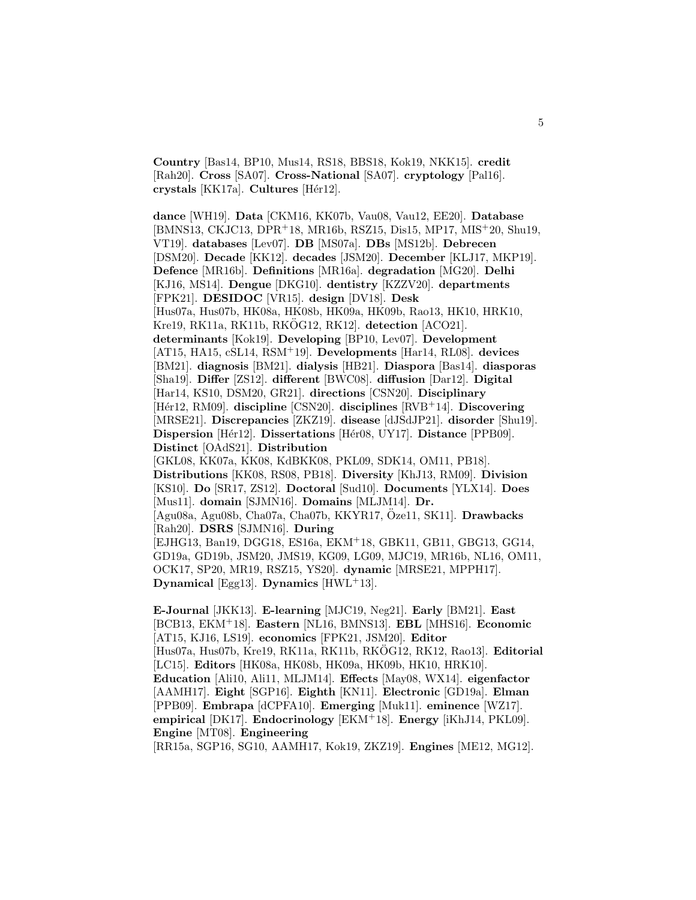**Country** [Bas14, BP10, Mus14, RS18, BBS18, Kok19, NKK15]. **credit** [Rah20]. **Cross** [SA07]. **Cross-National** [SA07]. **cryptology** [Pal16]. **crystals** [KK17a]. **Cultures** [H´er12].

**dance** [WH19]. **Data** [CKM16, KK07b, Vau08, Vau12, EE20]. **Database** [BMNS13, CKJC13, DPR<sup>+</sup>18, MR16b, RSZ15, Dis15, MP17, MIS<sup>+</sup>20, Shu19, VT19]. **databases** [Lev07]. **DB** [MS07a]. **DBs** [MS12b]. **Debrecen** [DSM20]. **Decade** [KK12]. **decades** [JSM20]. **December** [KLJ17, MKP19]. **Defence** [MR16b]. **Definitions** [MR16a]. **degradation** [MG20]. **Delhi** [KJ16, MS14]. **Dengue** [DKG10]. **dentistry** [KZZV20]. **departments** [FPK21]. **DESIDOC** [VR15]. **design** [DV18]. **Desk** [Hus07a, Hus07b, HK08a, HK08b, HK09a, HK09b, Rao13, HK10, HRK10, Kre19, RK11a, RK11b, RKÖG12, RK12<sup>]</sup>. detection [ACO21]. **determinants** [Kok19]. **Developing** [BP10, Lev07]. **Development** [AT15, HA15, cSL14, RSM<sup>+</sup>19]. **Developments** [Har14, RL08]. **devices** [BM21]. **diagnosis** [BM21]. **dialysis** [HB21]. **Diaspora** [Bas14]. **diasporas** [Sha19]. **Differ** [ZS12]. **different** [BWC08]. **diffusion** [Dar12]. **Digital** [Har14, KS10, DSM20, GR21]. **directions** [CSN20]. **Disciplinary** [H´er12, RM09]. **discipline** [CSN20]. **disciplines** [RVB<sup>+</sup>14]. **Discovering** [MRSE21]. **Discrepancies** [ZKZ19]. **disease** [dJSdJP21]. **disorder** [Shu19]. **Dispersion** [H´er12]. **Dissertations** [H´er08, UY17]. **Distance** [PPB09]. **Distinct** [OAdS21]. **Distribution** [GKL08, KK07a, KK08, KdBKK08, PKL09, SDK14, OM11, PB18]. **Distributions** [KK08, RS08, PB18]. **Diversity** [KhJ13, RM09]. **Division** [KS10]. **Do** [SR17, ZS12]. **Doctoral** [Sud10]. **Documents** [YLX14]. **Does** [Mus11]. **domain** [SJMN16]. **Domains** [MLJM14]. **Dr.** [Agu08a, Agu08b, Cha07a, Cha07b, KKYR17, Oze11, SK11]. ¨ **Drawbacks** [Rah20]. **DSRS** [SJMN16]. **During** [EJHG13, Ban19, DGG18, ES16a, EKM<sup>+</sup>18, GBK11, GB11, GBG13, GG14, GD19a, GD19b, JSM20, JMS19, KG09, LG09, MJC19, MR16b, NL16, OM11, OCK17, SP20, MR19, RSZ15, YS20]. **dynamic** [MRSE21, MPPH17].

**Dynamical** [Egg13]. **Dynamics** [HWL<sup>+</sup>13].

**E-Journal** [JKK13]. **E-learning** [MJC19, Neg21]. **Early** [BM21]. **East** [BCB13, EKM<sup>+</sup>18]. **Eastern** [NL16, BMNS13]. **EBL** [MHS16]. **Economic** [AT15, KJ16, LS19]. **economics** [FPK21, JSM20]. **Editor** [Hus07a, Hus07b, Kre19, RK11a, RK11b, RKOG12, RK12, Rao13]. ¨ **Editorial** [LC15]. **Editors** [HK08a, HK08b, HK09a, HK09b, HK10, HRK10]. **Education** [Ali10, Ali11, MLJM14]. **Effects** [May08, WX14]. **eigenfactor** [AAMH17]. **Eight** [SGP16]. **Eighth** [KN11]. **Electronic** [GD19a]. **Elman** [PPB09]. **Embrapa** [dCPFA10]. **Emerging** [Muk11]. **eminence** [WZ17]. **empirical** [DK17]. **Endocrinology** [EKM<sup>+</sup>18]. **Energy** [iKhJ14, PKL09]. **Engine** [MT08]. **Engineering**

[RR15a, SGP16, SG10, AAMH17, Kok19, ZKZ19]. **Engines** [ME12, MG12].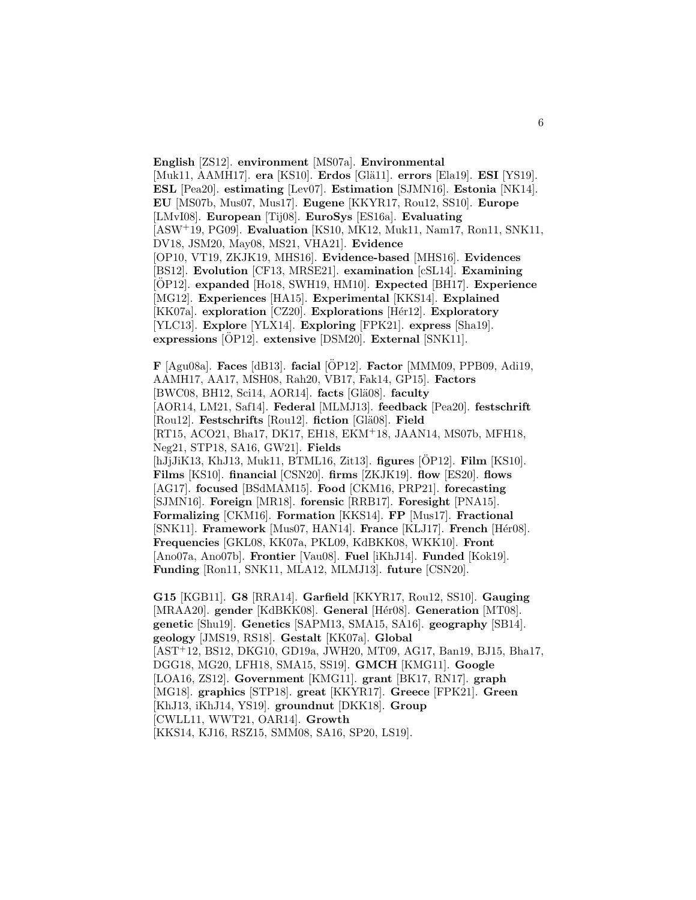**English** [ZS12]. **environment** [MS07a]. **Environmental** [Muk11, AAMH17]. **era** [KS10]. **Erdos** [Glä11]. **errors** [Ela19]. **ESI** [YS19]. **ESL** [Pea20]. **estimating** [Lev07]. **Estimation** [SJMN16]. **Estonia** [NK14]. **EU** [MS07b, Mus07, Mus17]. **Eugene** [KKYR17, Rou12, SS10]. **Europe** [LMvI08]. **European** [Tij08]. **EuroSys** [ES16a]. **Evaluating** [ASW<sup>+</sup>19, PG09]. **Evaluation** [KS10, MK12, Muk11, Nam17, Ron11, SNK11, DV18, JSM20, May08, MS21, VHA21]. **Evidence** [OP10, VT19, ZKJK19, MHS16]. **Evidence-based** [MHS16]. **Evidences** [BS12]. **Evolution** [CF13, MRSE21]. **examination** [cSL14]. **Examining** [OP12]. ¨ **expanded** [Ho18, SWH19, HM10]. **Expected** [BH17]. **Experience** [MG12]. **Experiences** [HA15]. **Experimental** [KKS14]. **Explained** [KK07a]. **exploration** [CZ20]. **Explorations** [H´er12]. **Exploratory** [YLC13]. **Explore** [YLX14]. **Exploring** [FPK21]. **express** [Sha19]. **expressions** [OP12]. **extensive** [DSM20]. **External** [SNK11].

 $\mathbf{F}$  [Agu08a]. **Faces** [dB13]. **facial** [OP12]. **Factor** [MMM09, PPB09, Adi19, AAMH17, AA17, MSH08, Rah20, VB17, Fak14, GP15]. **Factors** [BWC08, BH12, Sci14, AOR14]. **facts** [Glä08]. **faculty** [AOR14, LM21, Saf14]. **Federal** [MLMJ13]. **feedback** [Pea20]. **festschrift** [Rou12]. **Festschrifts** [Rou12]. **fiction** [Glä08]. **Field** [RT15, ACO21, Bha17, DK17, EH18, EKM<sup>+</sup>18, JAAN14, MS07b, MFH18, Neg21, STP18, SA16, GW21]. **Fields** [hJjJiK13, KhJ13, Muk11, BTML16, Zit13]. **figures** [OP12]. **Film** [KS10]. **Films** [KS10]. **financial** [CSN20]. **firms** [ZKJK19]. **flow** [ES20]. **flows** [AG17]. **focused** [BSdMAM15]. **Food** [CKM16, PRP21]. **forecasting** [SJMN16]. **Foreign** [MR18]. **forensic** [RRB17]. **Foresight** [PNA15]. **Formalizing** [CKM16]. **Formation** [KKS14]. **FP** [Mus17]. **Fractional** [SNK11]. **Framework** [Mus07, HAN14]. **France** [KLJ17]. **French** [Hér08]. **Frequencies** [GKL08, KK07a, PKL09, KdBKK08, WKK10]. **Front** [Ano07a, Ano07b]. **Frontier** [Vau08]. **Fuel** [iKhJ14]. **Funded** [Kok19]. **Funding** [Ron11, SNK11, MLA12, MLMJ13]. **future** [CSN20].

**G15** [KGB11]. **G8** [RRA14]. **Garfield** [KKYR17, Rou12, SS10]. **Gauging** [MRAA20]. gender [KdBKK08]. General [Hér08]. Generation [MT08]. **genetic** [Shu19]. **Genetics** [SAPM13, SMA15, SA16]. **geography** [SB14]. **geology** [JMS19, RS18]. **Gestalt** [KK07a]. **Global** [AST<sup>+</sup>12, BS12, DKG10, GD19a, JWH20, MT09, AG17, Ban19, BJ15, Bha17, DGG18, MG20, LFH18, SMA15, SS19]. **GMCH** [KMG11]. **Google** [LOA16, ZS12]. **Government** [KMG11]. **grant** [BK17, RN17]. **graph** [MG18]. **graphics** [STP18]. **great** [KKYR17]. **Greece** [FPK21]. **Green** [KhJ13, iKhJ14, YS19]. **groundnut** [DKK18]. **Group** [CWLL11, WWT21, OAR14]. **Growth** [KKS14, KJ16, RSZ15, SMM08, SA16, SP20, LS19].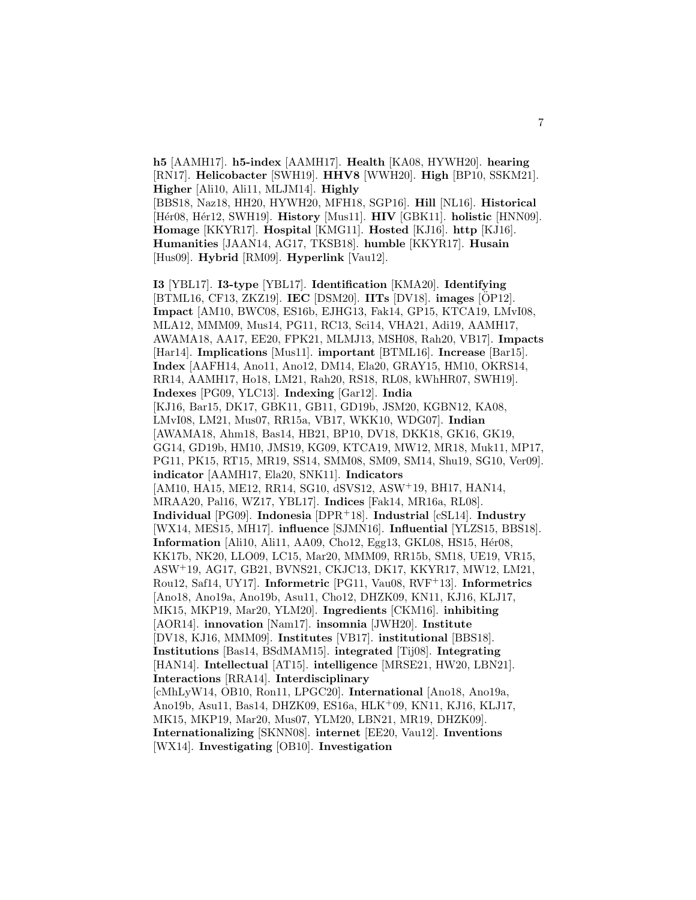**h5** [AAMH17]. **h5-index** [AAMH17]. **Health** [KA08, HYWH20]. **hearing** [RN17]. **Helicobacter** [SWH19]. **HHV8** [WWH20]. **High** [BP10, SSKM21]. **Higher** [Ali10, Ali11, MLJM14]. **Highly** [BBS18, Naz18, HH20, HYWH20, MFH18, SGP16]. **Hill** [NL16]. **Historical** [H´er08, H´er12, SWH19]. **History** [Mus11]. **HIV** [GBK11]. **holistic** [HNN09]. **Homage** [KKYR17]. **Hospital** [KMG11]. **Hosted** [KJ16]. **http** [KJ16]. **Humanities** [JAAN14, AG17, TKSB18]. **humble** [KKYR17]. **Husain** [Hus09]. **Hybrid** [RM09]. **Hyperlink** [Vau12].

**I3** [YBL17]. **I3-type** [YBL17]. **Identification** [KMA20]. **Identifying** [BTML16, CF13, ZKZ19]. **IEC** [DSM20]. **IITs** [DV18]. **images** [ÖP12]. **Impact** [AM10, BWC08, ES16b, EJHG13, Fak14, GP15, KTCA19, LMvI08, MLA12, MMM09, Mus14, PG11, RC13, Sci14, VHA21, Adi19, AAMH17, AWAMA18, AA17, EE20, FPK21, MLMJ13, MSH08, Rah20, VB17]. **Impacts** [Har14]. **Implications** [Mus11]. **important** [BTML16]. **Increase** [Bar15]. **Index** [AAFH14, Ano11, Ano12, DM14, Ela20, GRAY15, HM10, OKRS14, RR14, AAMH17, Ho18, LM21, Rah20, RS18, RL08, kWhHR07, SWH19]. **Indexes** [PG09, YLC13]. **Indexing** [Gar12]. **India** [KJ16, Bar15, DK17, GBK11, GB11, GD19b, JSM20, KGBN12, KA08, LMvI08, LM21, Mus07, RR15a, VB17, WKK10, WDG07]. **Indian** [AWAMA18, Ahm18, Bas14, HB21, BP10, DV18, DKK18, GK16, GK19, GG14, GD19b, HM10, JMS19, KG09, KTCA19, MW12, MR18, Muk11, MP17, PG11, PK15, RT15, MR19, SS14, SMM08, SM09, SM14, Shu19, SG10, Ver09]. **indicator** [AAMH17, Ela20, SNK11]. **Indicators** [AM10, HA15, ME12, RR14, SG10, dSVS12, ASW<sup>+</sup>19, BH17, HAN14, MRAA20, Pal16, WZ17, YBL17]. **Indices** [Fak14, MR16a, RL08]. **Individual** [PG09]. **Indonesia** [DPR<sup>+</sup>18]. **Industrial** [cSL14]. **Industry** [WX14, MES15, MH17]. **influence** [SJMN16]. **Influential** [YLZS15, BBS18]. **Information** [Ali10, Ali11, AA09, Cho12, Egg13, GKL08, HS15, Hér08, KK17b, NK20, LLO09, LC15, Mar20, MMM09, RR15b, SM18, UE19, VR15, ASW<sup>+</sup>19, AG17, GB21, BVNS21, CKJC13, DK17, KKYR17, MW12, LM21, Rou12, Saf14, UY17]. **Informetric** [PG11, Vau08, RVF<sup>+</sup>13]. **Informetrics** [Ano18, Ano19a, Ano19b, Asu11, Cho12, DHZK09, KN11, KJ16, KLJ17, MK15, MKP19, Mar20, YLM20]. **Ingredients** [CKM16]. **inhibiting** [AOR14]. **innovation** [Nam17]. **insomnia** [JWH20]. **Institute** [DV18, KJ16, MMM09]. **Institutes** [VB17]. **institutional** [BBS18]. **Institutions** [Bas14, BSdMAM15]. **integrated** [Tij08]. **Integrating** [HAN14]. **Intellectual** [AT15]. **intelligence** [MRSE21, HW20, LBN21]. **Interactions** [RRA14]. **Interdisciplinary** [cMhLyW14, OB10, Ron11, LPGC20]. **International** [Ano18, Ano19a, Ano19b, Asu11, Bas14, DHZK09, ES16a, HLK<sup>+</sup>09, KN11, KJ16, KLJ17, MK15, MKP19, Mar20, Mus07, YLM20, LBN21, MR19, DHZK09]. **Internationalizing** [SKNN08]. **internet** [EE20, Vau12]. **Inventions** [WX14]. **Investigating** [OB10]. **Investigation**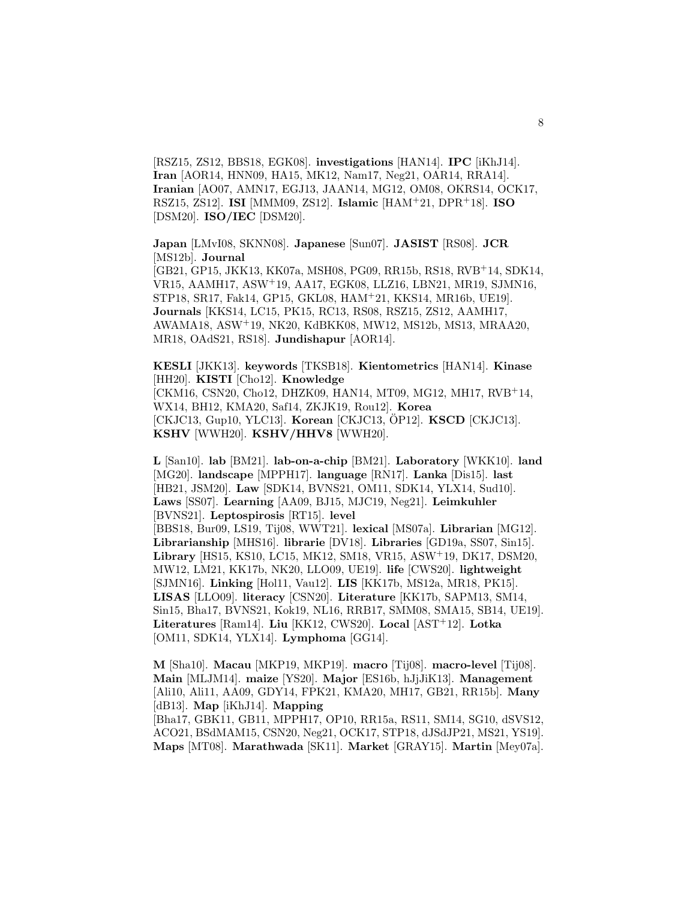[RSZ15, ZS12, BBS18, EGK08]. **investigations** [HAN14]. **IPC** [iKhJ14]. **Iran** [AOR14, HNN09, HA15, MK12, Nam17, Neg21, OAR14, RRA14]. **Iranian** [AO07, AMN17, EGJ13, JAAN14, MG12, OM08, OKRS14, OCK17, RSZ15, ZS12]. **ISI** [MMM09, ZS12]. **Islamic** [HAM<sup>+</sup>21, DPR<sup>+</sup>18]. **ISO** [DSM20]. **ISO/IEC** [DSM20].

**Japan** [LMvI08, SKNN08]. **Japanese** [Sun07]. **JASIST** [RS08]. **JCR** [MS12b]. **Journal**

[GB21, GP15, JKK13, KK07a, MSH08, PG09, RR15b, RS18, RVB<sup>+</sup>14, SDK14, VR15, AAMH17, ASW<sup>+</sup>19, AA17, EGK08, LLZ16, LBN21, MR19, SJMN16, STP18, SR17, Fak14, GP15, GKL08, HAM<sup>+</sup>21, KKS14, MR16b, UE19]. **Journals** [KKS14, LC15, PK15, RC13, RS08, RSZ15, ZS12, AAMH17, AWAMA18, ASW<sup>+</sup>19, NK20, KdBKK08, MW12, MS12b, MS13, MRAA20, MR18, OAdS21, RS18]. **Jundishapur** [AOR14].

**KESLI** [JKK13]. **keywords** [TKSB18]. **Kientometrics** [HAN14]. **Kinase** [HH20]. **KISTI** [Cho12]. **Knowledge** [CKM16, CSN20, Cho12, DHZK09, HAN14, MT09, MG12, MH17, RVB<sup>+</sup>14, WX14, BH12, KMA20, Saf14, ZKJK19, Rou12]. **Korea** [CKJC13, Gup10, YLC13]. **Korean** [CKJC13, OP12]. **KSCD** [CKJC13]. **KSHV** [WWH20]. **KSHV/HHV8** [WWH20].

**L** [San10]. **lab** [BM21]. **lab-on-a-chip** [BM21]. **Laboratory** [WKK10]. **land** [MG20]. **landscape** [MPPH17]. **language** [RN17]. **Lanka** [Dis15]. **last** [HB21, JSM20]. **Law** [SDK14, BVNS21, OM11, SDK14, YLX14, Sud10]. **Laws** [SS07]. **Learning** [AA09, BJ15, MJC19, Neg21]. **Leimkuhler** [BVNS21]. **Leptospirosis** [RT15]. **level** [BBS18, Bur09, LS19, Tij08, WWT21]. **lexical** [MS07a]. **Librarian** [MG12]. **Librarianship** [MHS16]. **librarie** [DV18]. **Libraries** [GD19a, SS07, Sin15]. **Library** [HS15, KS10, LC15, MK12, SM18, VR15, ASW<sup>+</sup>19, DK17, DSM20, MW12, LM21, KK17b, NK20, LLO09, UE19]. **life** [CWS20]. **lightweight** [SJMN16]. **Linking** [Hol11, Vau12]. **LIS** [KK17b, MS12a, MR18, PK15]. **LISAS** [LLO09]. **literacy** [CSN20]. **Literature** [KK17b, SAPM13, SM14, Sin15, Bha17, BVNS21, Kok19, NL16, RRB17, SMM08, SMA15, SB14, UE19]. **Literatures** [Ram14]. **Liu** [KK12, CWS20]. **Local** [AST<sup>+</sup>12]. **Lotka** [OM11, SDK14, YLX14]. **Lymphoma** [GG14].

**M** [Sha10]. **Macau** [MKP19, MKP19]. **macro** [Tij08]. **macro-level** [Tij08]. **Main** [MLJM14]. **maize** [YS20]. **Major** [ES16b, hJjJiK13]. **Management** [Ali10, Ali11, AA09, GDY14, FPK21, KMA20, MH17, GB21, RR15b]. **Many** [dB13]. **Map** [iKhJ14]. **Mapping**

[Bha17, GBK11, GB11, MPPH17, OP10, RR15a, RS11, SM14, SG10, dSVS12, ACO21, BSdMAM15, CSN20, Neg21, OCK17, STP18, dJSdJP21, MS21, YS19]. **Maps** [MT08]. **Marathwada** [SK11]. **Market** [GRAY15]. **Martin** [Mey07a].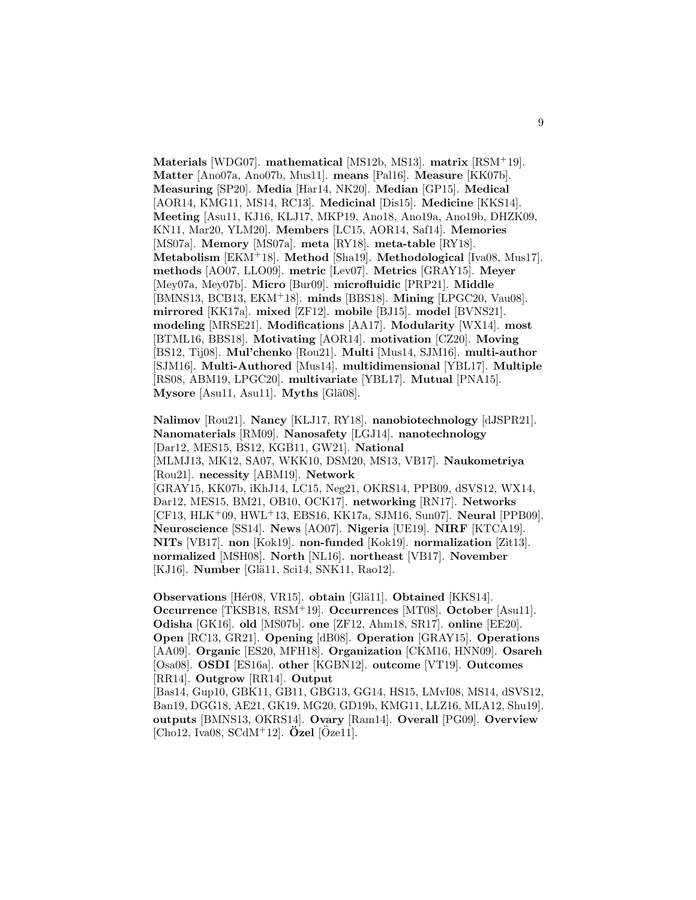**Materials** [WDG07]. **mathematical** [MS12b, MS13]. **matrix** [RSM<sup>+</sup>19]. **Matter** [Ano07a, Ano07b, Mus11]. **means** [Pal16]. **Measure** [KK07b]. **Measuring** [SP20]. **Media** [Har14, NK20]. **Median** [GP15]. **Medical** [AOR14, KMG11, MS14, RC13]. **Medicinal** [Dis15]. **Medicine** [KKS14]. **Meeting** [Asu11, KJ16, KLJ17, MKP19, Ano18, Ano19a, Ano19b, DHZK09, KN11, Mar20, YLM20]. **Members** [LC15, AOR14, Saf14]. **Memories** [MS07a]. **Memory** [MS07a]. **meta** [RY18]. **meta-table** [RY18]. **Metabolism** [EKM<sup>+</sup>18]. **Method** [Sha19]. **Methodological** [Iva08, Mus17]. **methods** [AO07, LLO09]. **metric** [Lev07]. **Metrics** [GRAY15]. **Meyer** [Mey07a, Mey07b]. **Micro** [Bur09]. **microfluidic** [PRP21]. **Middle** [BMNS13, BCB13, EKM<sup>+</sup>18]. **minds** [BBS18]. **Mining** [LPGC20, Vau08]. **mirrored** [KK17a]. **mixed** [ZF12]. **mobile** [BJ15]. **model** [BVNS21]. **modeling** [MRSE21]. **Modifications** [AA17]. **Modularity** [WX14]. **most** [BTML16, BBS18]. **Motivating** [AOR14]. **motivation** [CZ20]. **Moving** [BS12, Tij08]. **Mul'chenko** [Rou21]. **Multi** [Mus14, SJM16]. **multi-author** [SJM16]. **Multi-Authored** [Mus14]. **multidimensional** [YBL17]. **Multiple** [RS08, ABM19, LPGC20]. **multivariate** [YBL17]. **Mutual** [PNA15]. **Mysore** [Asu11, Asu11]. **Myths** [Glä08].

**Nalimov** [Rou21]. **Nancy** [KLJ17, RY18]. **nanobiotechnology** [dJSPR21]. **Nanomaterials** [RM09]. **Nanosafety** [LGJ14]. **nanotechnology** [Dar12, MES15, BS12, KGB11, GW21]. **National** [MLMJ13, MK12, SA07, WKK10, DSM20, MS13, VB17]. **Naukometriya** [Rou21]. **necessity** [ABM19]. **Network** [GRAY15, KK07b, iKhJ14, LC15, Neg21, OKRS14, PPB09, dSVS12, WX14, Dar12, MES15, BM21, OB10, OCK17]. **networking** [RN17]. **Networks** [CF13, HLK<sup>+</sup>09, HWL<sup>+</sup>13, EBS16, KK17a, SJM16, Sun07]. **Neural** [PPB09]. **Neuroscience** [SS14]. **News** [AO07]. **Nigeria** [UE19]. **NIRF** [KTCA19]. **NITs** [VB17]. **non** [Kok19]. **non-funded** [Kok19]. **normalization** [Zit13]. **normalized** [MSH08]. **North** [NL16]. **northeast** [VB17]. **November** [KJ16]. **Number** [Glä11, Sci14, SNK11, Rao12].

**Observations** [Hér08, VR15]. **obtain** [Glä11]. **Obtained** [KKS14]. **Occurrence** [TKSB18, RSM<sup>+</sup>19]. **Occurrences** [MT08]. **October** [Asu11]. **Odisha** [GK16]. **old** [MS07b]. **one** [ZF12, Ahm18, SR17]. **online** [EE20]. **Open** [RC13, GR21]. **Opening** [dB08]. **Operation** [GRAY15]. **Operations** [AA09]. **Organic** [ES20, MFH18]. **Organization** [CKM16, HNN09]. **Osareh** [Osa08]. **OSDI** [ES16a]. **other** [KGBN12]. **outcome** [VT19]. **Outcomes** [RR14]. **Outgrow** [RR14]. **Output**

[Bas14, Gup10, GBK11, GB11, GBG13, GG14, HS15, LMvI08, MS14, dSVS12, Ban19, DGG18, AE21, GK19, MG20, GD19b, KMG11, LLZ16, MLA12, Shu19]. **outputs** [BMNS13, OKRS14]. **Ovary** [Ram14]. **Overall** [PG09]. **Overview**  $[Cho12, Iva08, SCdM<sup>+</sup>12]$ .  $\ddot{O}zel$   $[\ddot{O}zel1]$ .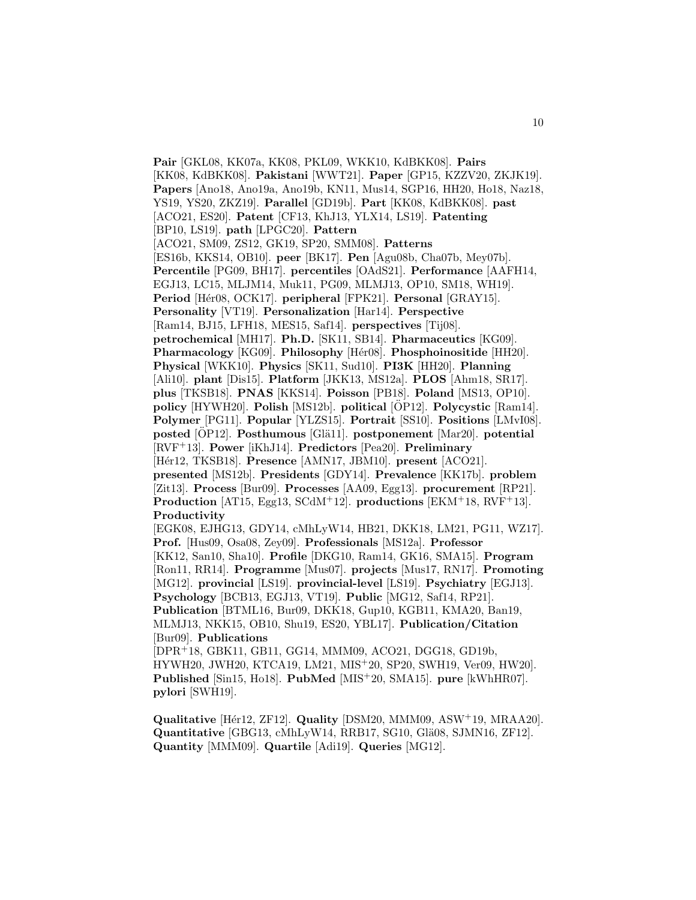**Pair** [GKL08, KK07a, KK08, PKL09, WKK10, KdBKK08]. **Pairs** [KK08, KdBKK08]. **Pakistani** [WWT21]. **Paper** [GP15, KZZV20, ZKJK19]. **Papers** [Ano18, Ano19a, Ano19b, KN11, Mus14, SGP16, HH20, Ho18, Naz18, YS19, YS20, ZKZ19]. **Parallel** [GD19b]. **Part** [KK08, KdBKK08]. **past** [ACO21, ES20]. **Patent** [CF13, KhJ13, YLX14, LS19]. **Patenting** [BP10, LS19]. **path** [LPGC20]. **Pattern** [ACO21, SM09, ZS12, GK19, SP20, SMM08]. **Patterns** [ES16b, KKS14, OB10]. **peer** [BK17]. **Pen** [Agu08b, Cha07b, Mey07b]. **Percentile** [PG09, BH17]. **percentiles** [OAdS21]. **Performance** [AAFH14, EGJ13, LC15, MLJM14, Muk11, PG09, MLMJ13, OP10, SM18, WH19]. **Period** [Hér08, OCK17]. **peripheral** [FPK21]. **Personal** [GRAY15]. **Personality** [VT19]. **Personalization** [Har14]. **Perspective** [Ram14, BJ15, LFH18, MES15, Saf14]. **perspectives** [Tij08]. **petrochemical** [MH17]. **Ph.D.** [SK11, SB14]. **Pharmaceutics** [KG09]. **Pharmacology** [KG09]. **Philosophy** [Hér08]. **Phosphoinositide** [HH20]. **Physical** [WKK10]. **Physics** [SK11, Sud10]. **PI3K** [HH20]. **Planning** [Ali10]. **plant** [Dis15]. **Platform** [JKK13, MS12a]. **PLOS** [Ahm18, SR17]. **plus** [TKSB18]. **PNAS** [KKS14]. **Poisson** [PB18]. **Poland** [MS13, OP10]. **policy** [HYWH20]. **Polish** [MS12b]. **political** [OP12]. ¨ **Polycystic** [Ram14]. **Polymer** [PG11]. **Popular** [YLZS15]. **Portrait** [SS10]. **Positions** [LMvI08]. **posted** [OP12]. **Posthumous** [Glä11]. **postponement** [Mar20]. **potential** [RVF<sup>+</sup>13]. **Power** [iKhJ14]. **Predictors** [Pea20]. **Preliminary** [H´er12, TKSB18]. **Presence** [AMN17, JBM10]. **present** [ACO21]. **presented** [MS12b]. **Presidents** [GDY14]. **Prevalence** [KK17b]. **problem** [Zit13]. **Process** [Bur09]. **Processes** [AA09, Egg13]. **procurement** [RP21]. **Production** [AT15, Egg13, SCdM<sup>+</sup>12]. **productions** [EKM<sup>+</sup>18, RVF<sup>+</sup>13]. **Productivity** [EGK08, EJHG13, GDY14, cMhLyW14, HB21, DKK18, LM21, PG11, WZ17]. **Prof.** [Hus09, Osa08, Zey09]. **Professionals** [MS12a]. **Professor** [KK12, San10, Sha10]. **Profile** [DKG10, Ram14, GK16, SMA15]. **Program** [Ron11, RR14]. **Programme** [Mus07]. **projects** [Mus17, RN17]. **Promoting** [MG12]. **provincial** [LS19]. **provincial-level** [LS19]. **Psychiatry** [EGJ13]. **Psychology** [BCB13, EGJ13, VT19]. **Public** [MG12, Saf14, RP21]. **Publication** [BTML16, Bur09, DKK18, Gup10, KGB11, KMA20, Ban19, MLMJ13, NKK15, OB10, Shu19, ES20, YBL17]. **Publication/Citation** [Bur09]. **Publications** [DPR<sup>+</sup>18, GBK11, GB11, GG14, MMM09, ACO21, DGG18, GD19b, HYWH20, JWH20, KTCA19, LM21, MIS<sup>+</sup>20, SP20, SWH19, Ver09, HW20]. **Published** [Sin15, Ho18]. **PubMed** [MIS<sup>+</sup>20, SMA15]. **pure** [kWhHR07]. **pylori** [SWH19].

**Qualitative** [Hér12, ZF12]. **Quality** [DSM20, MMM09, ASW<sup>+</sup>19, MRAA20]. **Quantitative** [GBG13, cMhLyW14, RRB17, SG10, Glä08, SJMN16, ZF12]. **Quantity** [MMM09]. **Quartile** [Adi19]. **Queries** [MG12].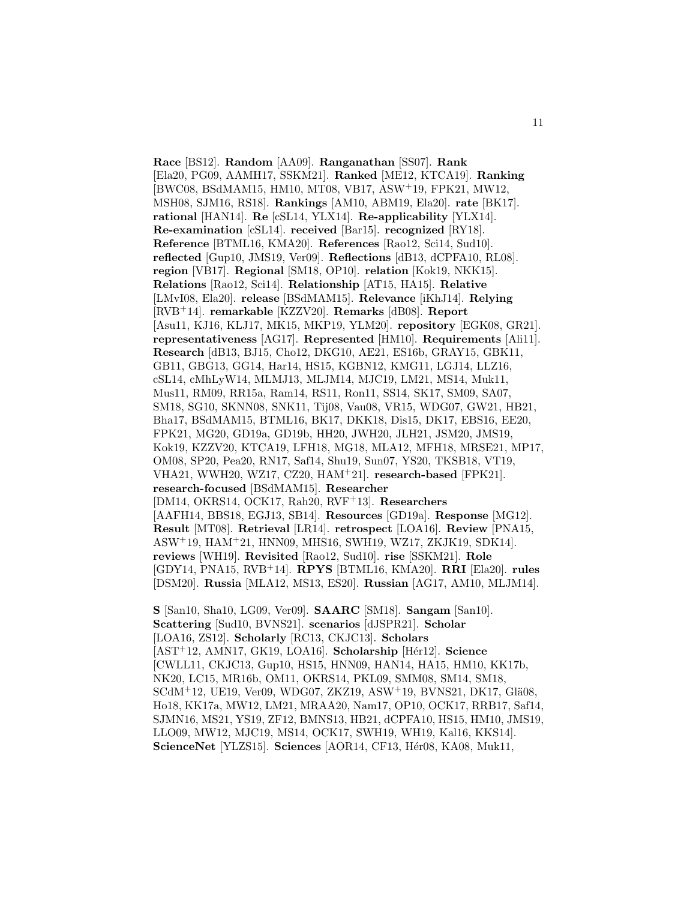**Race** [BS12]. **Random** [AA09]. **Ranganathan** [SS07]. **Rank** [Ela20, PG09, AAMH17, SSKM21]. **Ranked** [ME12, KTCA19]. **Ranking** [BWC08, BSdMAM15, HM10, MT08, VB17, ASW<sup>+</sup>19, FPK21, MW12, MSH08, SJM16, RS18]. **Rankings** [AM10, ABM19, Ela20]. **rate** [BK17]. **rational** [HAN14]. **Re** [cSL14, YLX14]. **Re-applicability** [YLX14]. **Re-examination** [cSL14]. **received** [Bar15]. **recognized** [RY18]. **Reference** [BTML16, KMA20]. **References** [Rao12, Sci14, Sud10]. **reflected** [Gup10, JMS19, Ver09]. **Reflections** [dB13, dCPFA10, RL08]. **region** [VB17]. **Regional** [SM18, OP10]. **relation** [Kok19, NKK15]. **Relations** [Rao12, Sci14]. **Relationship** [AT15, HA15]. **Relative** [LMvI08, Ela20]. **release** [BSdMAM15]. **Relevance** [iKhJ14]. **Relying** [RVB<sup>+</sup>14]. **remarkable** [KZZV20]. **Remarks** [dB08]. **Report** [Asu11, KJ16, KLJ17, MK15, MKP19, YLM20]. **repository** [EGK08, GR21]. **representativeness** [AG17]. **Represented** [HM10]. **Requirements** [Ali11]. **Research** [dB13, BJ15, Cho12, DKG10, AE21, ES16b, GRAY15, GBK11, GB11, GBG13, GG14, Har14, HS15, KGBN12, KMG11, LGJ14, LLZ16, cSL14, cMhLyW14, MLMJ13, MLJM14, MJC19, LM21, MS14, Muk11, Mus11, RM09, RR15a, Ram14, RS11, Ron11, SS14, SK17, SM09, SA07, SM18, SG10, SKNN08, SNK11, Tij08, Vau08, VR15, WDG07, GW21, HB21, Bha17, BSdMAM15, BTML16, BK17, DKK18, Dis15, DK17, EBS16, EE20, FPK21, MG20, GD19a, GD19b, HH20, JWH20, JLH21, JSM20, JMS19, Kok19, KZZV20, KTCA19, LFH18, MG18, MLA12, MFH18, MRSE21, MP17, OM08, SP20, Pea20, RN17, Saf14, Shu19, Sun07, YS20, TKSB18, VT19, VHA21, WWH20, WZ17, CZ20, HAM<sup>+</sup>21]. **research-based** [FPK21]. **research-focused** [BSdMAM15]. **Researcher** [DM14, OKRS14, OCK17, Rah20, RVF<sup>+</sup>13]. **Researchers** [AAFH14, BBS18, EGJ13, SB14]. **Resources** [GD19a]. **Response** [MG12]. **Result** [MT08]. **Retrieval** [LR14]. **retrospect** [LOA16]. **Review** [PNA15, ASW<sup>+</sup>19, HAM<sup>+</sup>21, HNN09, MHS16, SWH19, WZ17, ZKJK19, SDK14]. **reviews** [WH19]. **Revisited** [Rao12, Sud10]. **rise** [SSKM21]. **Role** [GDY14, PNA15, RVB<sup>+</sup>14]. **RPYS** [BTML16, KMA20]. **RRI** [Ela20]. **rules** [DSM20]. **Russia** [MLA12, MS13, ES20]. **Russian** [AG17, AM10, MLJM14].

**S** [San10, Sha10, LG09, Ver09]. **SAARC** [SM18]. **Sangam** [San10]. **Scattering** [Sud10, BVNS21]. **scenarios** [dJSPR21]. **Scholar** [LOA16, ZS12]. **Scholarly** [RC13, CKJC13]. **Scholars** [AST<sup>+</sup>12, AMN17, GK19, LOA16]. **Scholarship** [H´er12]. **Science** [CWLL11, CKJC13, Gup10, HS15, HNN09, HAN14, HA15, HM10, KK17b, NK20, LC15, MR16b, OM11, OKRS14, PKL09, SMM08, SM14, SM18,  $SCdM+12$ , UE19, Ver09, WDG07, ZKZ19, ASW $+19$ , BVNS21, DK17, Glä08, Ho18, KK17a, MW12, LM21, MRAA20, Nam17, OP10, OCK17, RRB17, Saf14, SJMN16, MS21, YS19, ZF12, BMNS13, HB21, dCPFA10, HS15, HM10, JMS19, LLO09, MW12, MJC19, MS14, OCK17, SWH19, WH19, Kal16, KKS14]. ScienceNet [YLZS15]. Sciences [AOR14, CF13, Hér08, KA08, Muk11,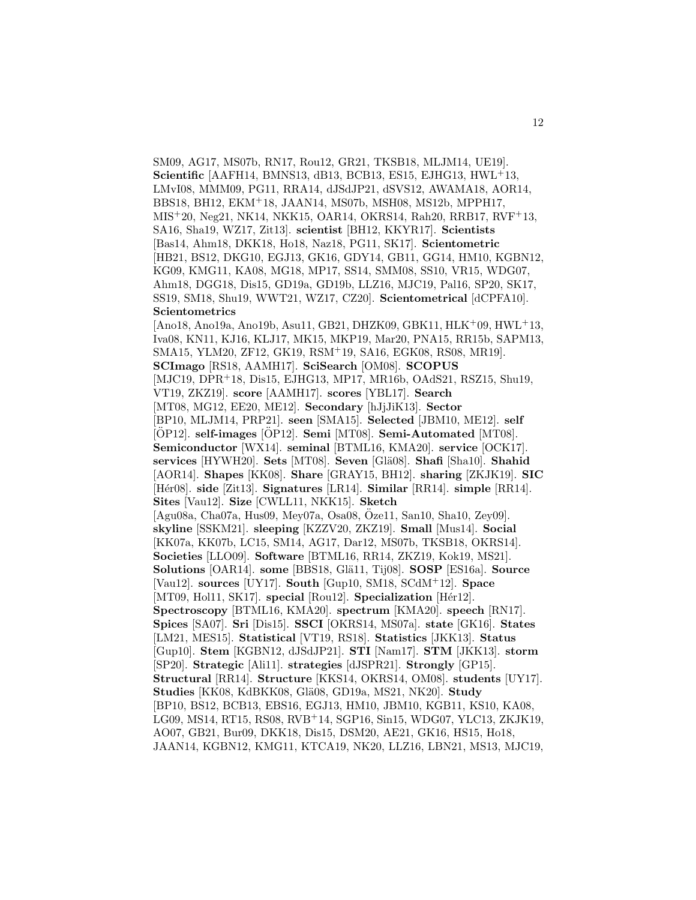SM09, AG17, MS07b, RN17, Rou12, GR21, TKSB18, MLJM14, UE19]. **Scientific** [AAFH14, BMNS13, dB13, BCB13, ES15, EJHG13, HWL<sup>+</sup>13, LMvI08, MMM09, PG11, RRA14, dJSdJP21, dSVS12, AWAMA18, AOR14, BBS18, BH12, EKM<sup>+</sup>18, JAAN14, MS07b, MSH08, MS12b, MPPH17, MIS<sup>+</sup>20, Neg21, NK14, NKK15, OAR14, OKRS14, Rah20, RRB17, RVF<sup>+</sup>13, SA16, Sha19, WZ17, Zit13]. **scientist** [BH12, KKYR17]. **Scientists** [Bas14, Ahm18, DKK18, Ho18, Naz18, PG11, SK17]. **Scientometric** [HB21, BS12, DKG10, EGJ13, GK16, GDY14, GB11, GG14, HM10, KGBN12, KG09, KMG11, KA08, MG18, MP17, SS14, SMM08, SS10, VR15, WDG07, Ahm18, DGG18, Dis15, GD19a, GD19b, LLZ16, MJC19, Pal16, SP20, SK17, SS19, SM18, Shu19, WWT21, WZ17, CZ20]. **Scientometrical** [dCPFA10]. **Scientometrics**

12

# [Ano18, Ano19a, Ano19b, Asu11, GB21, DHZK09, GBK11, HLK<sup>+</sup>09, HWL<sup>+</sup>13, Iva08, KN11, KJ16, KLJ17, MK15, MKP19, Mar20, PNA15, RR15b, SAPM13, SMA15, YLM20, ZF12, GK19, RSM<sup>+</sup>19, SA16, EGK08, RS08, MR19]. **SCImago** [RS18, AAMH17]. **SciSearch** [OM08]. **SCOPUS** [MJC19, DPR<sup>+</sup>18, Dis15, EJHG13, MP17, MR16b, OAdS21, RSZ15, Shu19, VT19, ZKZ19]. **score** [AAMH17]. **scores** [YBL17]. **Search** [MT08, MG12, EE20, ME12]. **Secondary** [hJjJiK13]. **Sector** [BP10, MLJM14, PRP21]. **seen** [SMA15]. **Selected** [JBM10, ME12]. **self** [OP12]. self-images [OP12]. Semi [MT08]. Semi-Automated [MT08]. **Semiconductor** [WX14]. **seminal** [BTML16, KMA20]. **service** [OCK17]. **services** [HYWH20]. **Sets** [MT08]. **Seven** [Glä08]. **Shafi** [Sha10]. **Shahid** [AOR14]. **Shapes** [KK08]. **Share** [GRAY15, BH12]. **sharing** [ZKJK19]. **SIC** [H´er08]. **side** [Zit13]. **Signatures** [LR14]. **Similar** [RR14]. **simple** [RR14]. **Sites** [Vau12]. **Size** [CWLL11, NKK15]. **Sketch** [Agu08a, Cha07a, Hus09, Mey07a, Osa08, Oze11, San10, Sha10, Zey09]. ¨ **skyline** [SSKM21]. **sleeping** [KZZV20, ZKZ19]. **Small** [Mus14]. **Social** [KK07a, KK07b, LC15, SM14, AG17, Dar12, MS07b, TKSB18, OKRS14]. **Societies** [LLO09]. **Software** [BTML16, RR14, ZKZ19, Kok19, MS21]. **Solutions** [OAR14]. **some** [BBS18, Glä11, Tij08]. **SOSP** [ES16a]. **Source** [Vau12]. **sources** [UY17]. **South** [Gup10, SM18, SCdM<sup>+</sup>12]. **Space** [MT09, Hol11, SK17]. **special** [Rou12]. **Specialization** [Hér12]. **Spectroscopy** [BTML16, KMA20]. **spectrum** [KMA20]. **speech** [RN17]. **Spices** [SA07]. **Sri** [Dis15]. **SSCI** [OKRS14, MS07a]. **state** [GK16]. **States** [LM21, MES15]. **Statistical** [VT19, RS18]. **Statistics** [JKK13]. **Status** [Gup10]. **Stem** [KGBN12, dJSdJP21]. **STI** [Nam17]. **STM** [JKK13]. **storm** [SP20]. **Strategic** [Ali11]. **strategies** [dJSPR21]. **Strongly** [GP15]. **Structural** [RR14]. **Structure** [KKS14, OKRS14, OM08]. **students** [UY17]. **Studies** [KK08, KdBKK08, Glä08, GD19a, MS21, NK20]. **Study** [BP10, BS12, BCB13, EBS16, EGJ13, HM10, JBM10, KGB11, KS10, KA08, LG09, MS14, RT15, RS08, RVB<sup>+</sup>14, SGP16, Sin15, WDG07, YLC13, ZKJK19, AO07, GB21, Bur09, DKK18, Dis15, DSM20, AE21, GK16, HS15, Ho18, JAAN14, KGBN12, KMG11, KTCA19, NK20, LLZ16, LBN21, MS13, MJC19,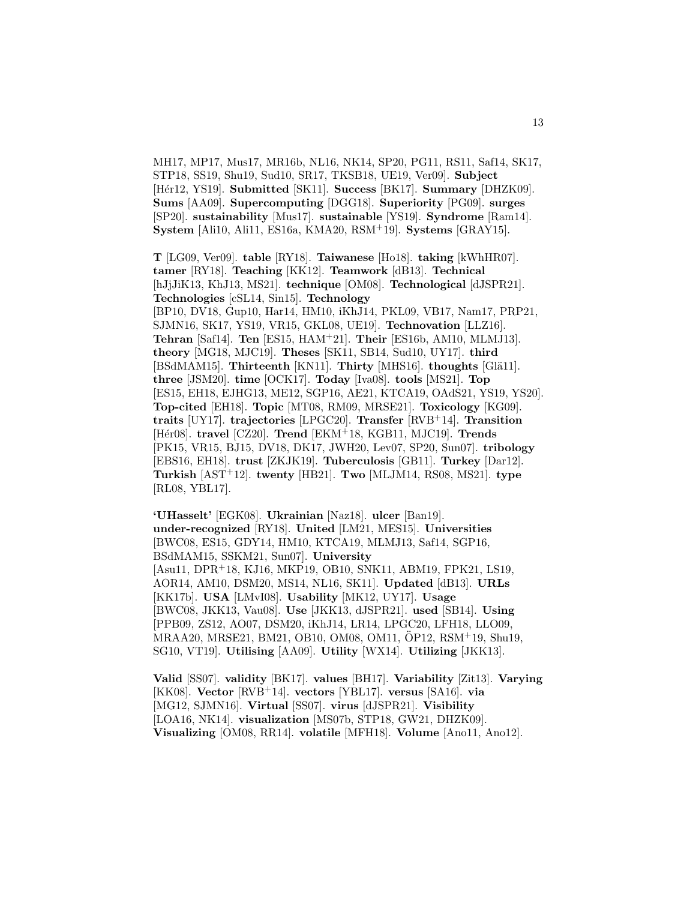MH17, MP17, Mus17, MR16b, NL16, NK14, SP20, PG11, RS11, Saf14, SK17, STP18, SS19, Shu19, Sud10, SR17, TKSB18, UE19, Ver09]. **Subject** [H´er12, YS19]. **Submitted** [SK11]. **Success** [BK17]. **Summary** [DHZK09]. **Sums** [AA09]. **Supercomputing** [DGG18]. **Superiority** [PG09]. **surges** [SP20]. **sustainability** [Mus17]. **sustainable** [YS19]. **Syndrome** [Ram14]. **System** [Ali10, Ali11, ES16a, KMA20, RSM<sup>+</sup>19]. **Systems** [GRAY15].

**T** [LG09, Ver09]. **table** [RY18]. **Taiwanese** [Ho18]. **taking** [kWhHR07]. **tamer** [RY18]. **Teaching** [KK12]. **Teamwork** [dB13]. **Technical** [hJjJiK13, KhJ13, MS21]. **technique** [OM08]. **Technological** [dJSPR21]. **Technologies** [cSL14, Sin15]. **Technology** [BP10, DV18, Gup10, Har14, HM10, iKhJ14, PKL09, VB17, Nam17, PRP21, SJMN16, SK17, YS19, VR15, GKL08, UE19]. **Technovation** [LLZ16]. **Tehran** [Saf14]. **Ten** [ES15, HAM<sup>+</sup>21]. **Their** [ES16b, AM10, MLMJ13]. **theory** [MG18, MJC19]. **Theses** [SK11, SB14, Sud10, UY17]. **third** [BSdMAM15]. **Thirteenth** [KN11]. **Thirty** [MHS16]. **thoughts** [Glä11]. **three** [JSM20]. **time** [OCK17]. **Today** [Iva08]. **tools** [MS21]. **Top** [ES15, EH18, EJHG13, ME12, SGP16, AE21, KTCA19, OAdS21, YS19, YS20]. **Top-cited** [EH18]. **Topic** [MT08, RM09, MRSE21]. **Toxicology** [KG09]. **traits** [UY17]. **trajectories** [LPGC20]. **Transfer** [RVB<sup>+</sup>14]. **Transition** [H´er08]. **travel** [CZ20]. **Trend** [EKM<sup>+</sup>18, KGB11, MJC19]. **Trends** [PK15, VR15, BJ15, DV18, DK17, JWH20, Lev07, SP20, Sun07]. **tribology** [EBS16, EH18]. **trust** [ZKJK19]. **Tuberculosis** [GB11]. **Turkey** [Dar12]. **Turkish** [AST<sup>+</sup>12]. **twenty** [HB21]. **Two** [MLJM14, RS08, MS21]. **type** [RL08, YBL17].

**'UHasselt'** [EGK08]. **Ukrainian** [Naz18]. **ulcer** [Ban19]. **under-recognized** [RY18]. **United** [LM21, MES15]. **Universities** [BWC08, ES15, GDY14, HM10, KTCA19, MLMJ13, Saf14, SGP16, BSdMAM15, SSKM21, Sun07]. **University** [Asu11, DPR<sup>+</sup>18, KJ16, MKP19, OB10, SNK11, ABM19, FPK21, LS19, AOR14, AM10, DSM20, MS14, NL16, SK11]. **Updated** [dB13]. **URLs** [KK17b]. **USA** [LMvI08]. **Usability** [MK12, UY17]. **Usage** [BWC08, JKK13, Vau08]. **Use** [JKK13, dJSPR21]. **used** [SB14]. **Using** [PPB09, ZS12, AO07, DSM20, iKhJ14, LR14, LPGC20, LFH18, LLO09, MRAA20, MRSE21, BM21, OB10, OM08, OM11, ÖP12, RSM+19, Shu19, SG10, VT19]. **Utilising** [AA09]. **Utility** [WX14]. **Utilizing** [JKK13].

**Valid** [SS07]. **validity** [BK17]. **values** [BH17]. **Variability** [Zit13]. **Varying** [KK08]. **Vector** [RVB<sup>+</sup>14]. **vectors** [YBL17]. **versus** [SA16]. **via** [MG12, SJMN16]. **Virtual** [SS07]. **virus** [dJSPR21]. **Visibility** [LOA16, NK14]. **visualization** [MS07b, STP18, GW21, DHZK09]. **Visualizing** [OM08, RR14]. **volatile** [MFH18]. **Volume** [Ano11, Ano12].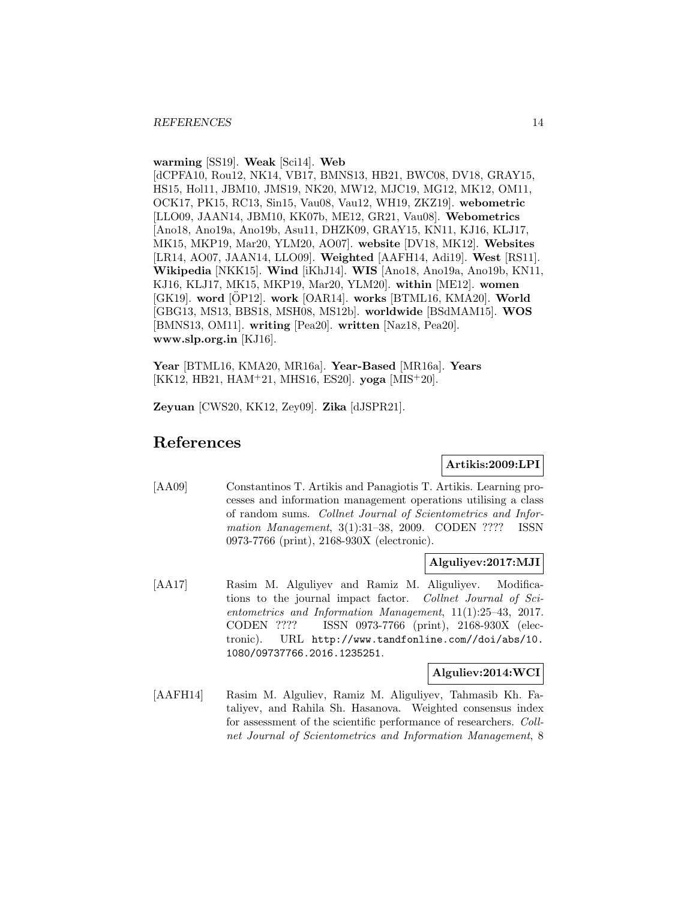### **warming** [SS19]. **Weak** [Sci14]. **Web**

[dCPFA10, Rou12, NK14, VB17, BMNS13, HB21, BWC08, DV18, GRAY15, HS15, Hol11, JBM10, JMS19, NK20, MW12, MJC19, MG12, MK12, OM11, OCK17, PK15, RC13, Sin15, Vau08, Vau12, WH19, ZKZ19]. **webometric** [LLO09, JAAN14, JBM10, KK07b, ME12, GR21, Vau08]. **Webometrics** [Ano18, Ano19a, Ano19b, Asu11, DHZK09, GRAY15, KN11, KJ16, KLJ17, MK15, MKP19, Mar20, YLM20, AO07]. **website** [DV18, MK12]. **Websites** [LR14, AO07, JAAN14, LLO09]. **Weighted** [AAFH14, Adi19]. **West** [RS11]. **Wikipedia** [NKK15]. **Wind** [iKhJ14]. **WIS** [Ano18, Ano19a, Ano19b, KN11, KJ16, KLJ17, MK15, MKP19, Mar20, YLM20]. **within** [ME12]. **women** [GK19]. word [OP12]. work [OAR14]. works [BTML16, KMA20]. World [GBG13, MS13, BBS18, MSH08, MS12b]. **worldwide** [BSdMAM15]. **WOS** [BMNS13, OM11]. **writing** [Pea20]. **written** [Naz18, Pea20]. **www.slp.org.in** [KJ16].

**Year** [BTML16, KMA20, MR16a]. **Year-Based** [MR16a]. **Years** [KK12, HB21, HAM<sup>+</sup>21, MHS16, ES20]. **yoga** [MIS<sup>+</sup>20].

**Zeyuan** [CWS20, KK12, Zey09]. **Zika** [dJSPR21].

# **References**

# **Artikis:2009:LPI**

[AA09] Constantinos T. Artikis and Panagiotis T. Artikis. Learning processes and information management operations utilising a class of random sums. Collnet Journal of Scientometrics and Information Management, 3(1):31–38, 2009. CODEN ???? ISSN 0973-7766 (print), 2168-930X (electronic).

# **Alguliyev:2017:MJI**

[AA17] Rasim M. Alguliyev and Ramiz M. Aliguliyev. Modifications to the journal impact factor. Collnet Journal of Scientometrics and Information Management, 11(1):25–43, 2017. CODEN ???? ISSN 0973-7766 (print), 2168-930X (electronic). URL http://www.tandfonline.com//doi/abs/10. 1080/09737766.2016.1235251.

### **Alguliev:2014:WCI**

[AAFH14] Rasim M. Alguliev, Ramiz M. Aliguliyev, Tahmasib Kh. Fataliyev, and Rahila Sh. Hasanova. Weighted consensus index for assessment of the scientific performance of researchers. Collnet Journal of Scientometrics and Information Management, 8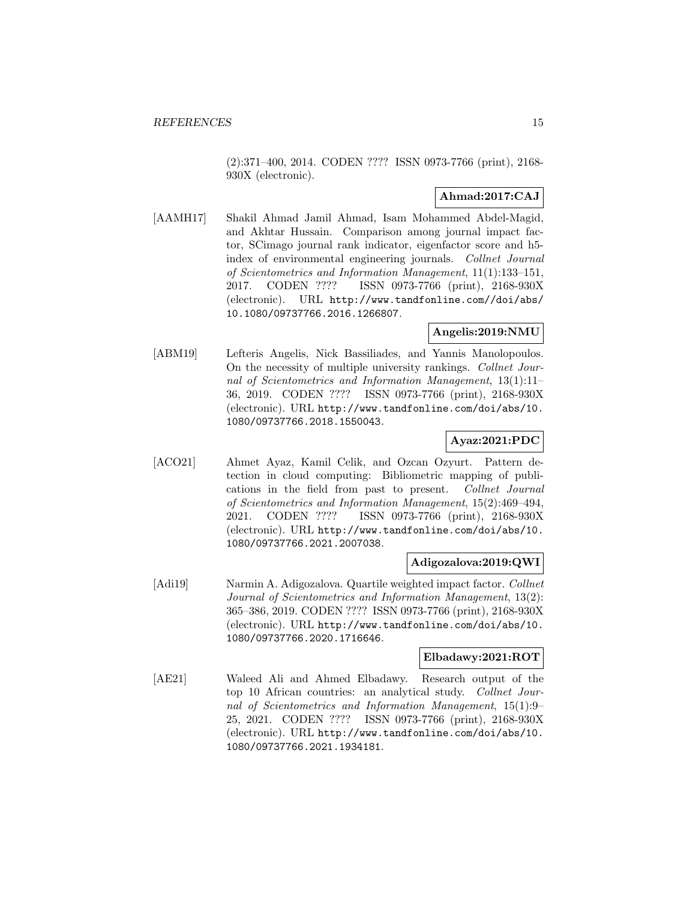(2):371–400, 2014. CODEN ???? ISSN 0973-7766 (print), 2168- 930X (electronic).

# **Ahmad:2017:CAJ**

[AAMH17] Shakil Ahmad Jamil Ahmad, Isam Mohammed Abdel-Magid, and Akhtar Hussain. Comparison among journal impact factor, SCimago journal rank indicator, eigenfactor score and h5 index of environmental engineering journals. Collnet Journal of Scientometrics and Information Management, 11(1):133–151, 2017. CODEN ???? ISSN 0973-7766 (print), 2168-930X (electronic). URL http://www.tandfonline.com//doi/abs/ 10.1080/09737766.2016.1266807.

# **Angelis:2019:NMU**

[ABM19] Lefteris Angelis, Nick Bassiliades, and Yannis Manolopoulos. On the necessity of multiple university rankings. Collnet Journal of Scientometrics and Information Management, 13(1):11– 36, 2019. CODEN ???? ISSN 0973-7766 (print), 2168-930X (electronic). URL http://www.tandfonline.com/doi/abs/10. 1080/09737766.2018.1550043.

# **Ayaz:2021:PDC**

[ACO21] Ahmet Ayaz, Kamil Celik, and Ozcan Ozyurt. Pattern detection in cloud computing: Bibliometric mapping of publications in the field from past to present. Collnet Journal of Scientometrics and Information Management, 15(2):469–494, 2021. CODEN ???? ISSN 0973-7766 (print), 2168-930X (electronic). URL http://www.tandfonline.com/doi/abs/10. 1080/09737766.2021.2007038.

# **Adigozalova:2019:QWI**

[Adi19] Narmin A. Adigozalova. Quartile weighted impact factor. Collnet Journal of Scientometrics and Information Management, 13(2): 365–386, 2019. CODEN ???? ISSN 0973-7766 (print), 2168-930X (electronic). URL http://www.tandfonline.com/doi/abs/10. 1080/09737766.2020.1716646.

# **Elbadawy:2021:ROT**

[AE21] Waleed Ali and Ahmed Elbadawy. Research output of the top 10 African countries: an analytical study. Collnet Journal of Scientometrics and Information Management, 15(1):9– 25, 2021. CODEN ???? ISSN 0973-7766 (print), 2168-930X (electronic). URL http://www.tandfonline.com/doi/abs/10. 1080/09737766.2021.1934181.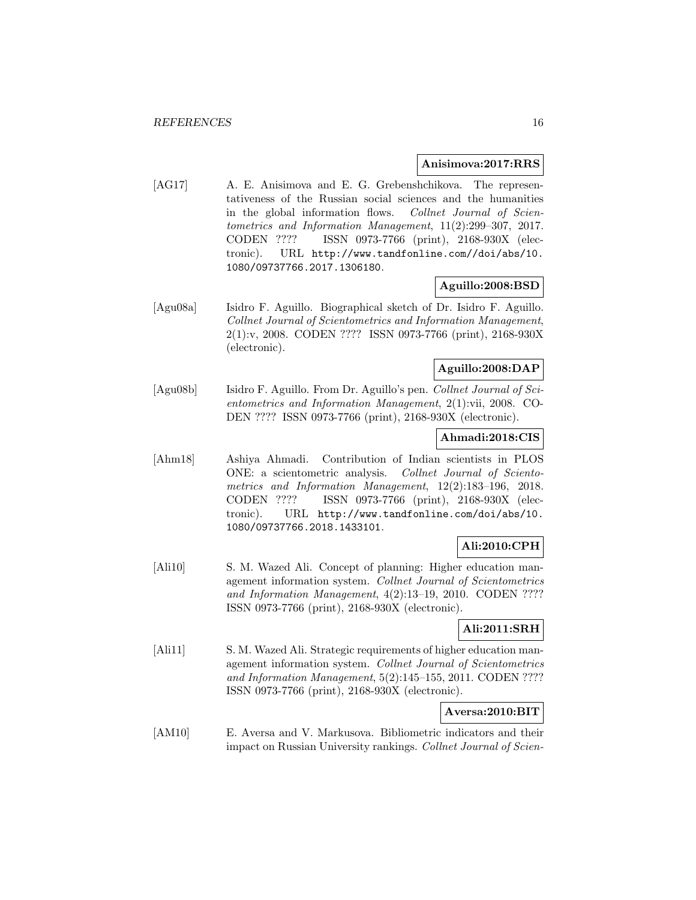#### **Anisimova:2017:RRS**

[AG17] A. E. Anisimova and E. G. Grebenshchikova. The representativeness of the Russian social sciences and the humanities in the global information flows. Collnet Journal of Scientometrics and Information Management, 11(2):299–307, 2017. CODEN ???? ISSN 0973-7766 (print), 2168-930X (electronic). URL http://www.tandfonline.com//doi/abs/10. 1080/09737766.2017.1306180.

# **Aguillo:2008:BSD**

[Agu08a] Isidro F. Aguillo. Biographical sketch of Dr. Isidro F. Aguillo. Collnet Journal of Scientometrics and Information Management, 2(1):v, 2008. CODEN ???? ISSN 0973-7766 (print), 2168-930X (electronic).

# **Aguillo:2008:DAP**

[Agu08b] Isidro F. Aguillo. From Dr. Aguillo's pen. Collnet Journal of Scientometrics and Information Management, 2(1):vii, 2008. CO-DEN ???? ISSN 0973-7766 (print), 2168-930X (electronic).

# **Ahmadi:2018:CIS**

[Ahm18] Ashiya Ahmadi. Contribution of Indian scientists in PLOS ONE: a scientometric analysis. Collnet Journal of Scientometrics and Information Management, 12(2):183–196, 2018. CODEN ???? ISSN 0973-7766 (print), 2168-930X (electronic). URL http://www.tandfonline.com/doi/abs/10. 1080/09737766.2018.1433101.

# **Ali:2010:CPH**

[Ali10] S. M. Wazed Ali. Concept of planning: Higher education management information system. Collnet Journal of Scientometrics and Information Management, 4(2):13–19, 2010. CODEN ???? ISSN 0973-7766 (print), 2168-930X (electronic).

# **Ali:2011:SRH**

[Ali11] S. M. Wazed Ali. Strategic requirements of higher education management information system. Collnet Journal of Scientometrics and Information Management, 5(2):145–155, 2011. CODEN ???? ISSN 0973-7766 (print), 2168-930X (electronic).

### **Aversa:2010:BIT**

[AM10] E. Aversa and V. Markusova. Bibliometric indicators and their impact on Russian University rankings. Collnet Journal of Scien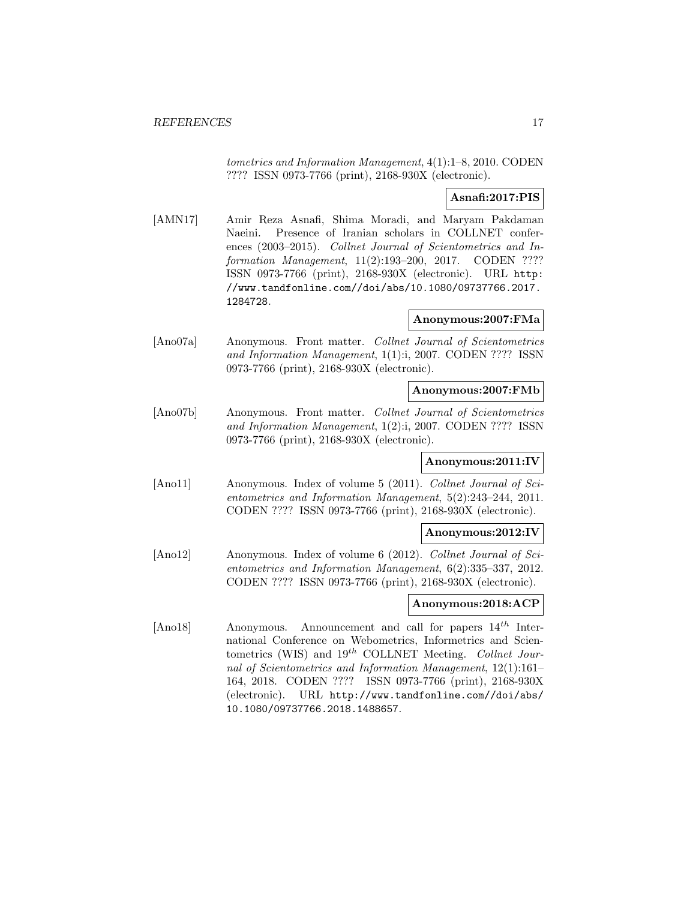tometrics and Information Management, 4(1):1–8, 2010. CODEN ???? ISSN 0973-7766 (print), 2168-930X (electronic).

# **Asnafi:2017:PIS**

[AMN17] Amir Reza Asnafi, Shima Moradi, and Maryam Pakdaman Naeini. Presence of Iranian scholars in COLLNET conferences (2003–2015). Collnet Journal of Scientometrics and Information Management, 11(2):193–200, 2017. CODEN ???? ISSN 0973-7766 (print), 2168-930X (electronic). URL http: //www.tandfonline.com//doi/abs/10.1080/09737766.2017. 1284728.

# **Anonymous:2007:FMa**

[Ano07a] Anonymous. Front matter. Collnet Journal of Scientometrics and Information Management, 1(1):i, 2007. CODEN ???? ISSN 0973-7766 (print), 2168-930X (electronic).

#### **Anonymous:2007:FMb**

[Ano07b] Anonymous. Front matter. Collnet Journal of Scientometrics and Information Management, 1(2):i, 2007. CODEN ???? ISSN 0973-7766 (print), 2168-930X (electronic).

### **Anonymous:2011:IV**

[Ano11] Anonymous. Index of volume 5 (2011). Collnet Journal of Scientometrics and Information Management, 5(2):243–244, 2011. CODEN ???? ISSN 0973-7766 (print), 2168-930X (electronic).

### **Anonymous:2012:IV**

[Ano12] Anonymous. Index of volume 6 (2012). Collnet Journal of Scientometrics and Information Management, 6(2):335–337, 2012. CODEN ???? ISSN 0973-7766 (print), 2168-930X (electronic).

# **Anonymous:2018:ACP**

[Ano18] Anonymous. Announcement and call for papers  $14^{th}$  International Conference on Webometrics, Informetrics and Scientometrics (WIS) and  $19^{th}$  COLLNET Meeting. Collnet Journal of Scientometrics and Information Management, 12(1):161– 164, 2018. CODEN ???? ISSN 0973-7766 (print), 2168-930X (electronic). URL http://www.tandfonline.com//doi/abs/ 10.1080/09737766.2018.1488657.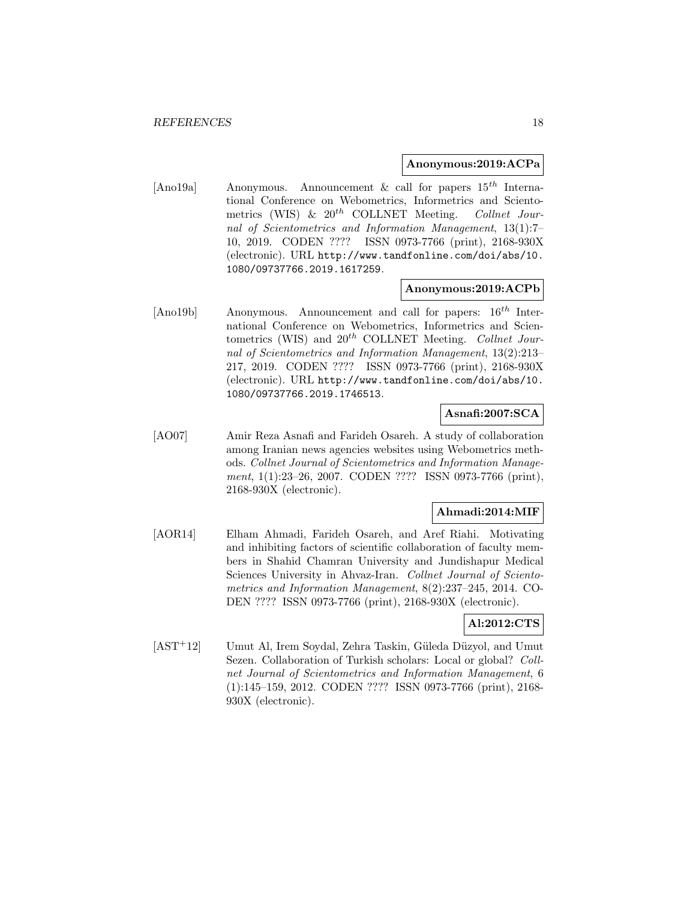#### **Anonymous:2019:ACPa**

[Ano19a] Anonymous. Announcement & call for papers  $15^{th}$  International Conference on Webometrics, Informetrics and Scientometrics (WIS) &  $20^{th}$  COLLNET Meeting. Collnet Journal of Scientometrics and Information Management, 13(1):7– 10, 2019. CODEN ???? ISSN 0973-7766 (print), 2168-930X (electronic). URL http://www.tandfonline.com/doi/abs/10. 1080/09737766.2019.1617259.

#### **Anonymous:2019:ACPb**

[Ano19b] Anonymous. Announcement and call for papers:  $16<sup>th</sup>$  International Conference on Webometrics, Informetrics and Scientometrics (WIS) and  $20^{th}$  COLLNET Meeting. Collnet Journal of Scientometrics and Information Management, 13(2):213– 217, 2019. CODEN ???? ISSN 0973-7766 (print), 2168-930X (electronic). URL http://www.tandfonline.com/doi/abs/10. 1080/09737766.2019.1746513.

# **Asnafi:2007:SCA**

[AO07] Amir Reza Asnafi and Farideh Osareh. A study of collaboration among Iranian news agencies websites using Webometrics methods. Collnet Journal of Scientometrics and Information Management, 1(1):23–26, 2007. CODEN ???? ISSN 0973-7766 (print), 2168-930X (electronic).

#### **Ahmadi:2014:MIF**

[AOR14] Elham Ahmadi, Farideh Osareh, and Aref Riahi. Motivating and inhibiting factors of scientific collaboration of faculty members in Shahid Chamran University and Jundishapur Medical Sciences University in Ahvaz-Iran. Collnet Journal of Scientometrics and Information Management, 8(2):237–245, 2014. CO-DEN ???? ISSN 0973-7766 (print), 2168-930X (electronic).

### **Al:2012:CTS**

[AST<sup>+</sup>12] Umut Al, Irem Soydal, Zehra Taskin, Güleda Düzyol, and Umut Sezen. Collaboration of Turkish scholars: Local or global? Collnet Journal of Scientometrics and Information Management, 6 (1):145–159, 2012. CODEN ???? ISSN 0973-7766 (print), 2168- 930X (electronic).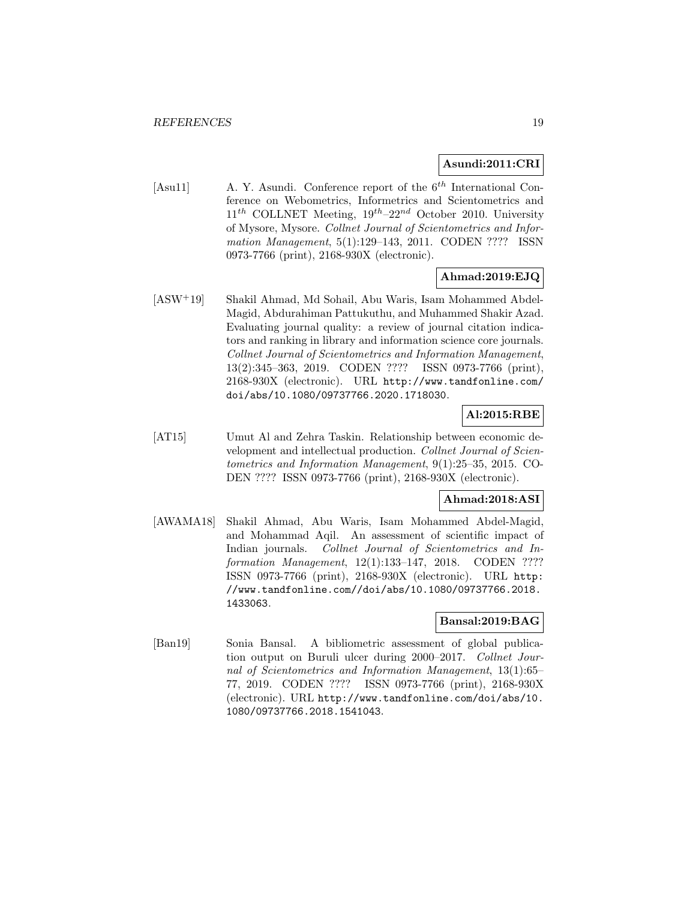### **Asundi:2011:CRI**

[Asu11]  $\qquad$  A. Y. Asundi. Conference report of the 6<sup>th</sup> International Conference on Webometrics, Informetrics and Scientometrics and  $11<sup>th</sup>$  COLLNET Meeting,  $19<sup>th</sup>-22<sup>nd</sup>$  October 2010. University of Mysore, Mysore. Collnet Journal of Scientometrics and Information Management, 5(1):129–143, 2011. CODEN ???? ISSN 0973-7766 (print), 2168-930X (electronic).

# **Ahmad:2019:EJQ**

[ASW<sup>+</sup>19] Shakil Ahmad, Md Sohail, Abu Waris, Isam Mohammed Abdel-Magid, Abdurahiman Pattukuthu, and Muhammed Shakir Azad. Evaluating journal quality: a review of journal citation indicators and ranking in library and information science core journals. Collnet Journal of Scientometrics and Information Management, 13(2):345–363, 2019. CODEN ???? ISSN 0973-7766 (print), 2168-930X (electronic). URL http://www.tandfonline.com/ doi/abs/10.1080/09737766.2020.1718030.

# **Al:2015:RBE**

[AT15] Umut Al and Zehra Taskin. Relationship between economic development and intellectual production. Collnet Journal of Scientometrics and Information Management, 9(1):25–35, 2015. CO-DEN ???? ISSN 0973-7766 (print), 2168-930X (electronic).

### **Ahmad:2018:ASI**

[AWAMA18] Shakil Ahmad, Abu Waris, Isam Mohammed Abdel-Magid, and Mohammad Aqil. An assessment of scientific impact of Indian journals. Collnet Journal of Scientometrics and Information Management, 12(1):133-147, 2018. CODEN ???? ISSN 0973-7766 (print), 2168-930X (electronic). URL http: //www.tandfonline.com//doi/abs/10.1080/09737766.2018. 1433063.

# **Bansal:2019:BAG**

[Ban19] Sonia Bansal. A bibliometric assessment of global publication output on Buruli ulcer during 2000–2017. Collnet Journal of Scientometrics and Information Management, 13(1):65– 77, 2019. CODEN ???? ISSN 0973-7766 (print), 2168-930X (electronic). URL http://www.tandfonline.com/doi/abs/10. 1080/09737766.2018.1541043.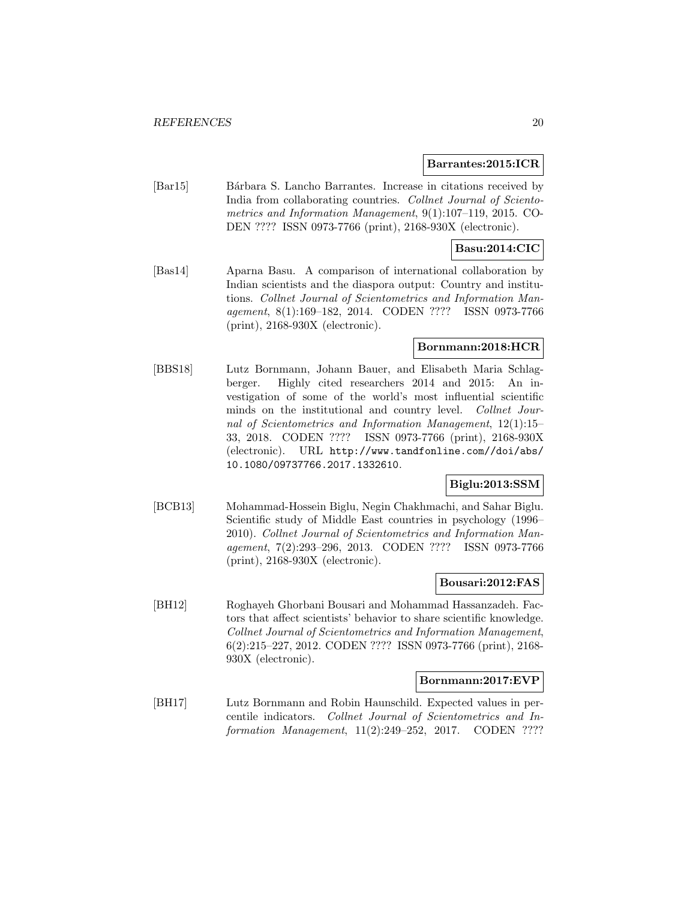#### **Barrantes:2015:ICR**

[Bar15] Bárbara S. Lancho Barrantes. Increase in citations received by India from collaborating countries. Collnet Journal of Scientometrics and Information Management, 9(1):107–119, 2015. CO-DEN ???? ISSN 0973-7766 (print), 2168-930X (electronic).

### **Basu:2014:CIC**

[Bas14] Aparna Basu. A comparison of international collaboration by Indian scientists and the diaspora output: Country and institutions. Collnet Journal of Scientometrics and Information Management, 8(1):169–182, 2014. CODEN ???? ISSN 0973-7766 (print), 2168-930X (electronic).

### **Bornmann:2018:HCR**

[BBS18] Lutz Bornmann, Johann Bauer, and Elisabeth Maria Schlagberger. Highly cited researchers 2014 and 2015: An investigation of some of the world's most influential scientific minds on the institutional and country level. Collnet Journal of Scientometrics and Information Management, 12(1):15– 33, 2018. CODEN ???? ISSN 0973-7766 (print), 2168-930X (electronic). URL http://www.tandfonline.com//doi/abs/ 10.1080/09737766.2017.1332610.

# **Biglu:2013:SSM**

[BCB13] Mohammad-Hossein Biglu, Negin Chakhmachi, and Sahar Biglu. Scientific study of Middle East countries in psychology (1996– 2010). Collnet Journal of Scientometrics and Information Management, 7(2):293–296, 2013. CODEN ???? ISSN 0973-7766 (print), 2168-930X (electronic).

### **Bousari:2012:FAS**

[BH12] Roghayeh Ghorbani Bousari and Mohammad Hassanzadeh. Factors that affect scientists' behavior to share scientific knowledge. Collnet Journal of Scientometrics and Information Management, 6(2):215–227, 2012. CODEN ???? ISSN 0973-7766 (print), 2168- 930X (electronic).

#### **Bornmann:2017:EVP**

[BH17] Lutz Bornmann and Robin Haunschild. Expected values in percentile indicators. Collnet Journal of Scientometrics and Information Management, 11(2):249-252, 2017. CODEN ????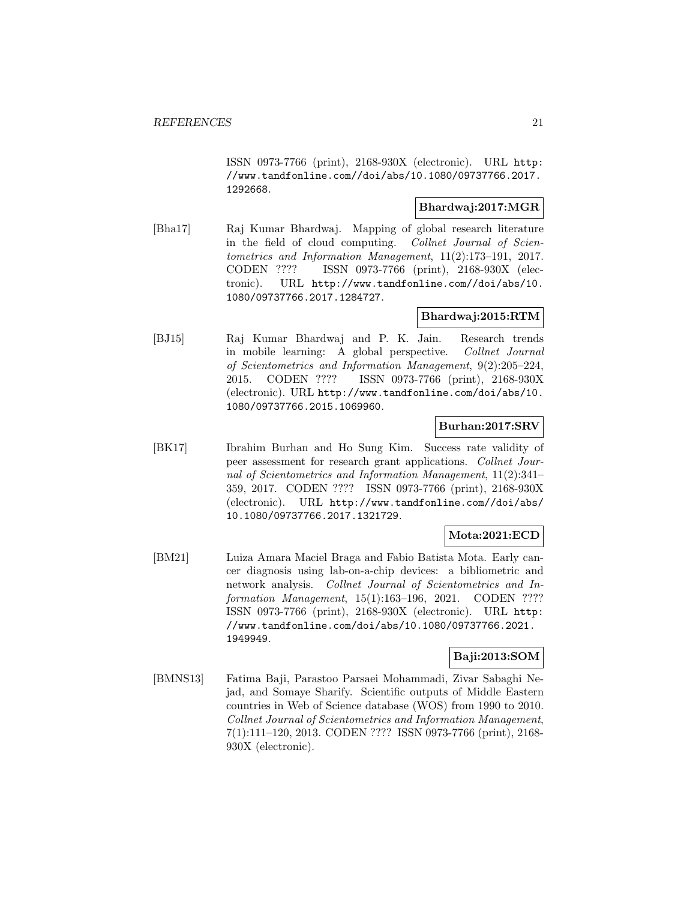ISSN 0973-7766 (print), 2168-930X (electronic). URL http: //www.tandfonline.com//doi/abs/10.1080/09737766.2017. 1292668.

### **Bhardwaj:2017:MGR**

[Bha17] Raj Kumar Bhardwaj. Mapping of global research literature in the field of cloud computing. Collnet Journal of Scientometrics and Information Management, 11(2):173–191, 2017. CODEN ???? ISSN 0973-7766 (print), 2168-930X (electronic). URL http://www.tandfonline.com//doi/abs/10. 1080/09737766.2017.1284727.

# **Bhardwaj:2015:RTM**

[BJ15] Raj Kumar Bhardwaj and P. K. Jain. Research trends in mobile learning: A global perspective. Collnet Journal of Scientometrics and Information Management, 9(2):205–224, 2015. CODEN ???? ISSN 0973-7766 (print), 2168-930X (electronic). URL http://www.tandfonline.com/doi/abs/10. 1080/09737766.2015.1069960.

### **Burhan:2017:SRV**

[BK17] Ibrahim Burhan and Ho Sung Kim. Success rate validity of peer assessment for research grant applications. Collnet Journal of Scientometrics and Information Management, 11(2):341– 359, 2017. CODEN ???? ISSN 0973-7766 (print), 2168-930X (electronic). URL http://www.tandfonline.com//doi/abs/ 10.1080/09737766.2017.1321729.

# **Mota:2021:ECD**

[BM21] Luiza Amara Maciel Braga and Fabio Batista Mota. Early cancer diagnosis using lab-on-a-chip devices: a bibliometric and network analysis. Collnet Journal of Scientometrics and Information Management, 15(1):163–196, 2021. CODEN ???? ISSN 0973-7766 (print), 2168-930X (electronic). URL http: //www.tandfonline.com/doi/abs/10.1080/09737766.2021. 1949949.

# **Baji:2013:SOM**

[BMNS13] Fatima Baji, Parastoo Parsaei Mohammadi, Zivar Sabaghi Nejad, and Somaye Sharify. Scientific outputs of Middle Eastern countries in Web of Science database (WOS) from 1990 to 2010. Collnet Journal of Scientometrics and Information Management, 7(1):111–120, 2013. CODEN ???? ISSN 0973-7766 (print), 2168- 930X (electronic).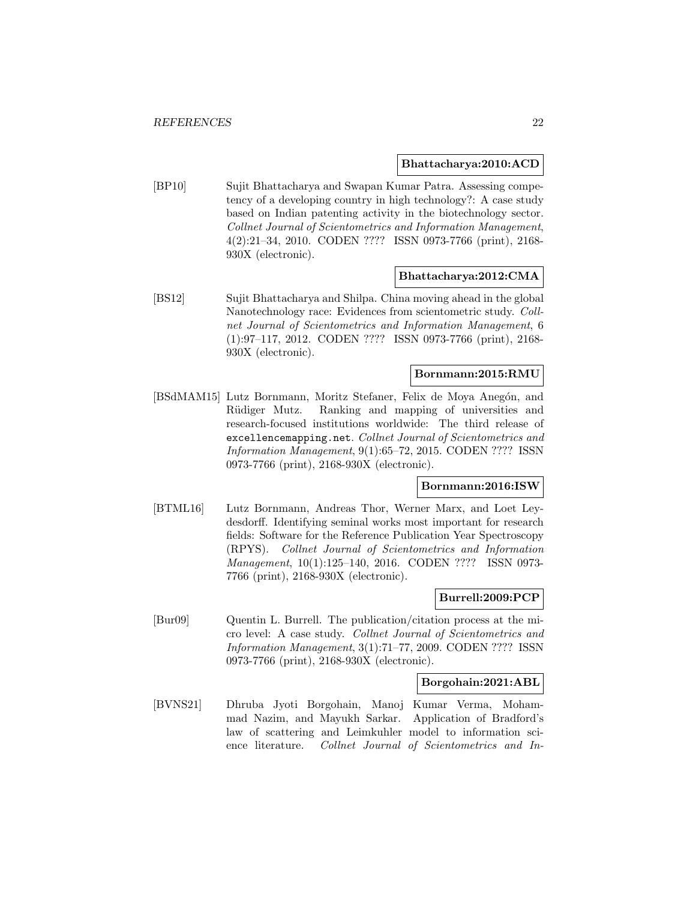#### **Bhattacharya:2010:ACD**

[BP10] Sujit Bhattacharya and Swapan Kumar Patra. Assessing competency of a developing country in high technology?: A case study based on Indian patenting activity in the biotechnology sector. Collnet Journal of Scientometrics and Information Management, 4(2):21–34, 2010. CODEN ???? ISSN 0973-7766 (print), 2168- 930X (electronic).

#### **Bhattacharya:2012:CMA**

[BS12] Sujit Bhattacharya and Shilpa. China moving ahead in the global Nanotechnology race: Evidences from scientometric study. Collnet Journal of Scientometrics and Information Management, 6 (1):97–117, 2012. CODEN ???? ISSN 0973-7766 (print), 2168- 930X (electronic).

# **Bornmann:2015:RMU**

[BSdMAM15] Lutz Bornmann, Moritz Stefaner, Felix de Moya Anegón, and Rüdiger Mutz. Ranking and mapping of universities and research-focused institutions worldwide: The third release of excellencemapping.net. Collnet Journal of Scientometrics and Information Management, 9(1):65–72, 2015. CODEN ???? ISSN 0973-7766 (print), 2168-930X (electronic).

#### **Bornmann:2016:ISW**

[BTML16] Lutz Bornmann, Andreas Thor, Werner Marx, and Loet Leydesdorff. Identifying seminal works most important for research fields: Software for the Reference Publication Year Spectroscopy (RPYS). Collnet Journal of Scientometrics and Information Management, 10(1):125–140, 2016. CODEN ???? ISSN 0973- 7766 (print), 2168-930X (electronic).

### **Burrell:2009:PCP**

[Bur09] Quentin L. Burrell. The publication/citation process at the micro level: A case study. Collnet Journal of Scientometrics and Information Management, 3(1):71–77, 2009. CODEN ???? ISSN 0973-7766 (print), 2168-930X (electronic).

#### **Borgohain:2021:ABL**

[BVNS21] Dhruba Jyoti Borgohain, Manoj Kumar Verma, Mohammad Nazim, and Mayukh Sarkar. Application of Bradford's law of scattering and Leimkuhler model to information science literature. Collnet Journal of Scientometrics and In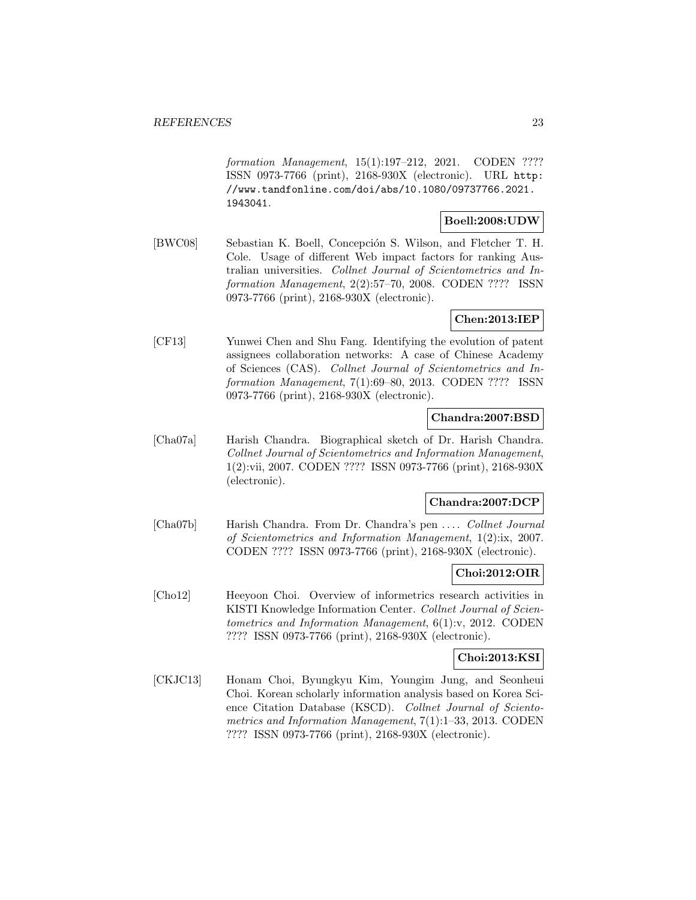formation Management, 15(1):197-212, 2021. CODEN ???? ISSN 0973-7766 (print), 2168-930X (electronic). URL http: //www.tandfonline.com/doi/abs/10.1080/09737766.2021. 1943041.

### **Boell:2008:UDW**

[BWC08] Sebastian K. Boell, Concepción S. Wilson, and Fletcher T. H. Cole. Usage of different Web impact factors for ranking Australian universities. Collnet Journal of Scientometrics and Information Management, 2(2):57–70, 2008. CODEN ???? ISSN 0973-7766 (print), 2168-930X (electronic).

# **Chen:2013:IEP**

[CF13] Yunwei Chen and Shu Fang. Identifying the evolution of patent assignees collaboration networks: A case of Chinese Academy of Sciences (CAS). Collnet Journal of Scientometrics and Information Management, 7(1):69–80, 2013. CODEN ???? ISSN 0973-7766 (print), 2168-930X (electronic).

# **Chandra:2007:BSD**

[Cha07a] Harish Chandra. Biographical sketch of Dr. Harish Chandra. Collnet Journal of Scientometrics and Information Management, 1(2):vii, 2007. CODEN ???? ISSN 0973-7766 (print), 2168-930X (electronic).

### **Chandra:2007:DCP**

[Cha07b] Harish Chandra. From Dr. Chandra's pen ... . Collnet Journal of Scientometrics and Information Management, 1(2):ix, 2007. CODEN ???? ISSN 0973-7766 (print), 2168-930X (electronic).

### **Choi:2012:OIR**

[Cho12] Heeyoon Choi. Overview of informetrics research activities in KISTI Knowledge Information Center. Collnet Journal of Scientometrics and Information Management, 6(1):v, 2012. CODEN ???? ISSN 0973-7766 (print), 2168-930X (electronic).

### **Choi:2013:KSI**

[CKJC13] Honam Choi, Byungkyu Kim, Youngim Jung, and Seonheui Choi. Korean scholarly information analysis based on Korea Science Citation Database (KSCD). Collnet Journal of Scientometrics and Information Management, 7(1):1–33, 2013. CODEN ???? ISSN 0973-7766 (print), 2168-930X (electronic).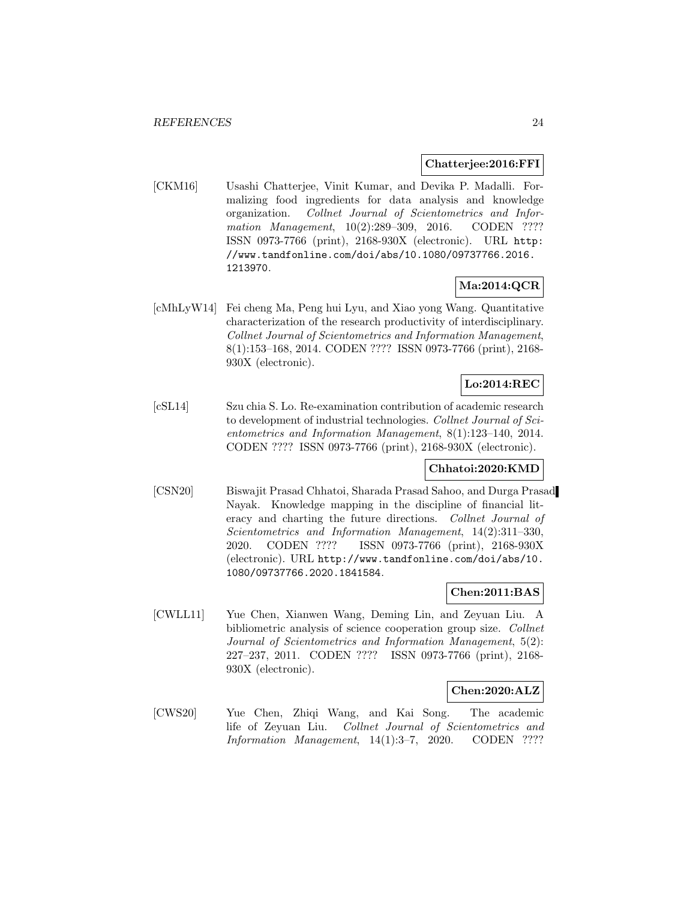#### **Chatterjee:2016:FFI**

[CKM16] Usashi Chatterjee, Vinit Kumar, and Devika P. Madalli. Formalizing food ingredients for data analysis and knowledge organization. Collnet Journal of Scientometrics and Information Management, 10(2):289-309, 2016. CODEN ???? ISSN 0973-7766 (print), 2168-930X (electronic). URL http: //www.tandfonline.com/doi/abs/10.1080/09737766.2016. 1213970.

### **Ma:2014:QCR**

[cMhLyW14] Fei cheng Ma, Peng hui Lyu, and Xiao yong Wang. Quantitative characterization of the research productivity of interdisciplinary. Collnet Journal of Scientometrics and Information Management, 8(1):153–168, 2014. CODEN ???? ISSN 0973-7766 (print), 2168- 930X (electronic).

### **Lo:2014:REC**

[cSL14] Szu chia S. Lo. Re-examination contribution of academic research to development of industrial technologies. Collnet Journal of Scientometrics and Information Management, 8(1):123–140, 2014. CODEN ???? ISSN 0973-7766 (print), 2168-930X (electronic).

# **Chhatoi:2020:KMD**

[CSN20] Biswajit Prasad Chhatoi, Sharada Prasad Sahoo, and Durga Prasad Nayak. Knowledge mapping in the discipline of financial literacy and charting the future directions. Collnet Journal of Scientometrics and Information Management, 14(2):311–330, 2020. CODEN ???? ISSN 0973-7766 (print), 2168-930X (electronic). URL http://www.tandfonline.com/doi/abs/10. 1080/09737766.2020.1841584.

### **Chen:2011:BAS**

[CWLL11] Yue Chen, Xianwen Wang, Deming Lin, and Zeyuan Liu. A bibliometric analysis of science cooperation group size. Collnet Journal of Scientometrics and Information Management, 5(2): 227–237, 2011. CODEN ???? ISSN 0973-7766 (print), 2168- 930X (electronic).

### **Chen:2020:ALZ**

[CWS20] Yue Chen, Zhiqi Wang, and Kai Song. The academic life of Zeyuan Liu. Collnet Journal of Scientometrics and Information Management, 14(1):3–7, 2020. CODEN ????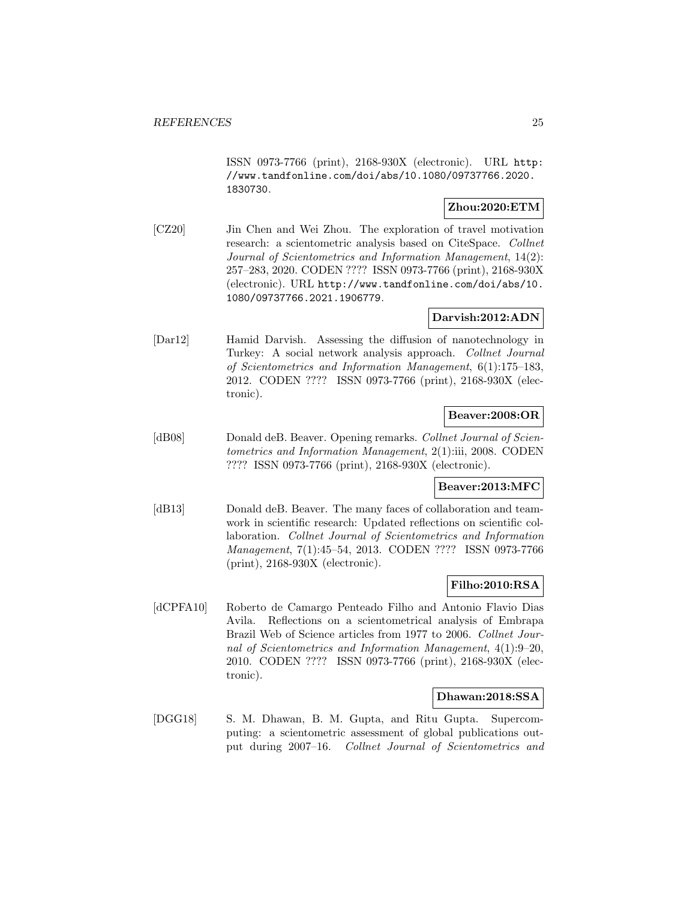ISSN 0973-7766 (print), 2168-930X (electronic). URL http: //www.tandfonline.com/doi/abs/10.1080/09737766.2020. 1830730.

### **Zhou:2020:ETM**

[CZ20] Jin Chen and Wei Zhou. The exploration of travel motivation research: a scientometric analysis based on CiteSpace. Collnet Journal of Scientometrics and Information Management, 14(2): 257–283, 2020. CODEN ???? ISSN 0973-7766 (print), 2168-930X (electronic). URL http://www.tandfonline.com/doi/abs/10. 1080/09737766.2021.1906779.

# **Darvish:2012:ADN**

[Dar12] Hamid Darvish. Assessing the diffusion of nanotechnology in Turkey: A social network analysis approach. Collnet Journal of Scientometrics and Information Management, 6(1):175–183, 2012. CODEN ???? ISSN 0973-7766 (print), 2168-930X (electronic).

# **Beaver:2008:OR**

[dB08] Donald deB. Beaver. Opening remarks. Collnet Journal of Scientometrics and Information Management, 2(1):iii, 2008. CODEN ???? ISSN 0973-7766 (print), 2168-930X (electronic).

# **Beaver:2013:MFC**

[dB13] Donald deB. Beaver. The many faces of collaboration and teamwork in scientific research: Updated reflections on scientific collaboration. Collnet Journal of Scientometrics and Information Management, 7(1):45–54, 2013. CODEN ???? ISSN 0973-7766 (print), 2168-930X (electronic).

# **Filho:2010:RSA**

[dCPFA10] Roberto de Camargo Penteado Filho and Antonio Flavio Dias Avila. Reflections on a scientometrical analysis of Embrapa Brazil Web of Science articles from 1977 to 2006. Collnet Journal of Scientometrics and Information Management, 4(1):9–20, 2010. CODEN ???? ISSN 0973-7766 (print), 2168-930X (electronic).

### **Dhawan:2018:SSA**

[DGG18] S. M. Dhawan, B. M. Gupta, and Ritu Gupta. Supercomputing: a scientometric assessment of global publications output during 2007–16. Collnet Journal of Scientometrics and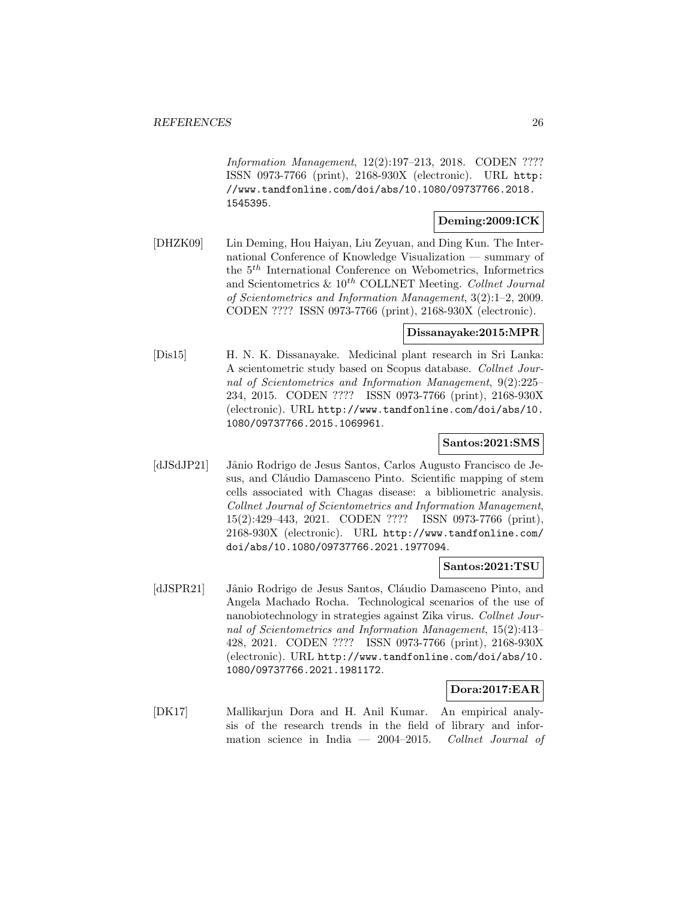Information Management, 12(2):197–213, 2018. CODEN ???? ISSN 0973-7766 (print), 2168-930X (electronic). URL http: //www.tandfonline.com/doi/abs/10.1080/09737766.2018. 1545395.

#### **Deming:2009:ICK**

[DHZK09] Lin Deming, Hou Haiyan, Liu Zeyuan, and Ding Kun. The International Conference of Knowledge Visualization — summary of the 5th International Conference on Webometrics, Informetrics and Scientometrics  $\&$  10<sup>th</sup> COLLNET Meeting. Collnet Journal of Scientometrics and Information Management, 3(2):1–2, 2009. CODEN ???? ISSN 0973-7766 (print), 2168-930X (electronic).

#### **Dissanayake:2015:MPR**

[Dis15] H. N. K. Dissanayake. Medicinal plant research in Sri Lanka: A scientometric study based on Scopus database. Collnet Journal of Scientometrics and Information Management, 9(2):225– 234, 2015. CODEN ???? ISSN 0973-7766 (print), 2168-930X (electronic). URL http://www.tandfonline.com/doi/abs/10. 1080/09737766.2015.1069961.

# **Santos:2021:SMS**

[dJSdJP21] Jânio Rodrigo de Jesus Santos, Carlos Augusto Francisco de Jesus, and Cláudio Damasceno Pinto. Scientific mapping of stem cells associated with Chagas disease: a bibliometric analysis. Collnet Journal of Scientometrics and Information Management, 15(2):429–443, 2021. CODEN ???? ISSN 0973-7766 (print), 2168-930X (electronic). URL http://www.tandfonline.com/ doi/abs/10.1080/09737766.2021.1977094.

#### **Santos:2021:TSU**

[dJSPR21] Jânio Rodrigo de Jesus Santos, Cláudio Damasceno Pinto, and Angela Machado Rocha. Technological scenarios of the use of nanobiotechnology in strategies against Zika virus. Collnet Journal of Scientometrics and Information Management, 15(2):413– 428, 2021. CODEN ???? ISSN 0973-7766 (print), 2168-930X (electronic). URL http://www.tandfonline.com/doi/abs/10. 1080/09737766.2021.1981172.

### **Dora:2017:EAR**

[DK17] Mallikarjun Dora and H. Anil Kumar. An empirical analysis of the research trends in the field of library and information science in India  $-2004-2015$ . Collnet Journal of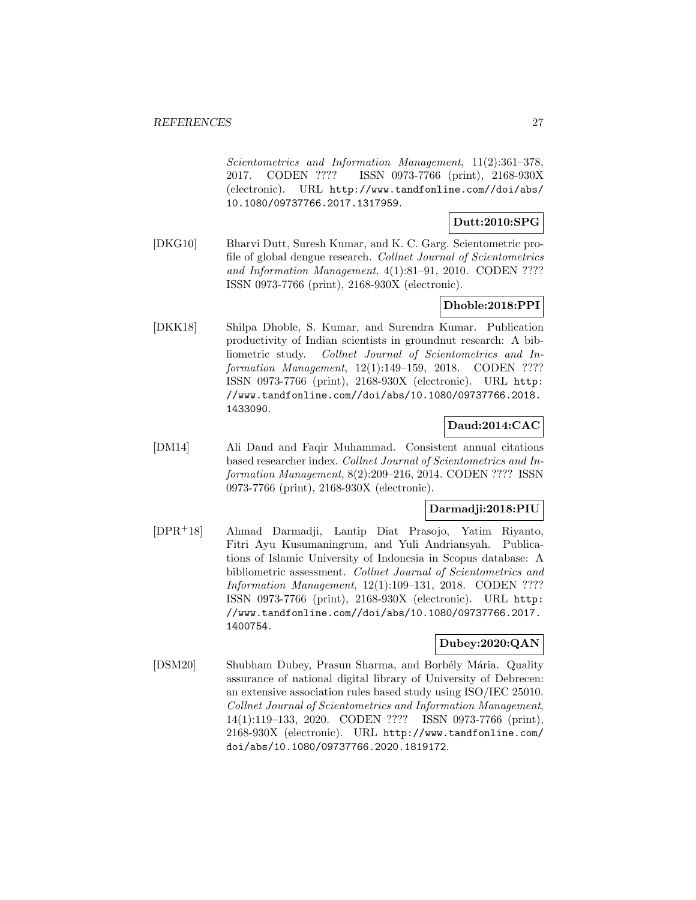Scientometrics and Information Management, 11(2):361–378, 2017. CODEN ???? ISSN 0973-7766 (print), 2168-930X (electronic). URL http://www.tandfonline.com//doi/abs/ 10.1080/09737766.2017.1317959.

# **Dutt:2010:SPG**

[DKG10] Bharvi Dutt, Suresh Kumar, and K. C. Garg. Scientometric profile of global dengue research. Collnet Journal of Scientometrics and Information Management, 4(1):81–91, 2010. CODEN ???? ISSN 0973-7766 (print), 2168-930X (electronic).

# **Dhoble:2018:PPI**

[DKK18] Shilpa Dhoble, S. Kumar, and Surendra Kumar. Publication productivity of Indian scientists in groundnut research: A bibliometric study. Collnet Journal of Scientometrics and Information Management, 12(1):149–159, 2018. CODEN ???? ISSN 0973-7766 (print), 2168-930X (electronic). URL http: //www.tandfonline.com//doi/abs/10.1080/09737766.2018. 1433090.

# **Daud:2014:CAC**

[DM14] Ali Daud and Faqir Muhammad. Consistent annual citations based researcher index. Collnet Journal of Scientometrics and Information Management, 8(2):209–216, 2014. CODEN ???? ISSN 0973-7766 (print), 2168-930X (electronic).

# **Darmadji:2018:PIU**

[DPR<sup>+</sup>18] Ahmad Darmadji, Lantip Diat Prasojo, Yatim Riyanto, Fitri Ayu Kusumaningrum, and Yuli Andriansyah. Publications of Islamic University of Indonesia in Scopus database: A bibliometric assessment. Collnet Journal of Scientometrics and Information Management, 12(1):109–131, 2018. CODEN ???? ISSN 0973-7766 (print), 2168-930X (electronic). URL http: //www.tandfonline.com//doi/abs/10.1080/09737766.2017. 1400754.

# **Dubey:2020:QAN**

[DSM20] Shubham Dubey, Prasun Sharma, and Borbély Mária. Quality assurance of national digital library of University of Debrecen: an extensive association rules based study using ISO/IEC 25010. Collnet Journal of Scientometrics and Information Management, 14(1):119–133, 2020. CODEN ???? ISSN 0973-7766 (print), 2168-930X (electronic). URL http://www.tandfonline.com/ doi/abs/10.1080/09737766.2020.1819172.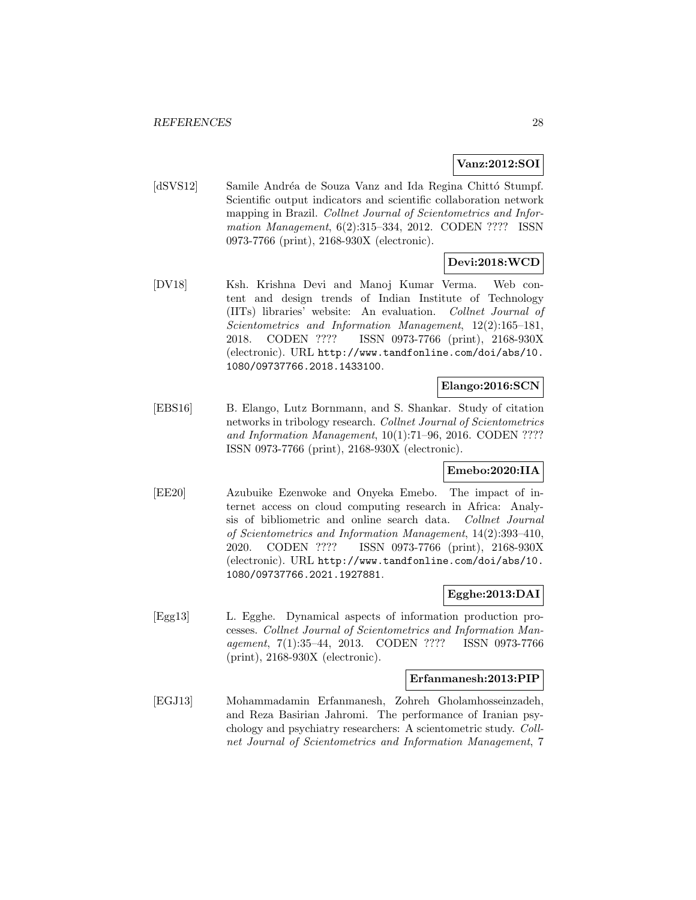### **Vanz:2012:SOI**

[dSVS12] Samile Andréa de Souza Vanz and Ida Regina Chittó Stumpf. Scientific output indicators and scientific collaboration network mapping in Brazil. Collnet Journal of Scientometrics and Information Management, 6(2):315–334, 2012. CODEN ???? ISSN 0973-7766 (print), 2168-930X (electronic).

# **Devi:2018:WCD**

[DV18] Ksh. Krishna Devi and Manoj Kumar Verma. Web content and design trends of Indian Institute of Technology (IITs) libraries' website: An evaluation. Collnet Journal of Scientometrics and Information Management, 12(2):165–181, 2018. CODEN ???? ISSN 0973-7766 (print), 2168-930X (electronic). URL http://www.tandfonline.com/doi/abs/10. 1080/09737766.2018.1433100.

# **Elango:2016:SCN**

[EBS16] B. Elango, Lutz Bornmann, and S. Shankar. Study of citation networks in tribology research. Collnet Journal of Scientometrics and Information Management, 10(1):71–96, 2016. CODEN ???? ISSN 0973-7766 (print), 2168-930X (electronic).

# **Emebo:2020:IIA**

[EE20] Azubuike Ezenwoke and Onyeka Emebo. The impact of internet access on cloud computing research in Africa: Analysis of bibliometric and online search data. Collnet Journal of Scientometrics and Information Management, 14(2):393–410, 2020. CODEN ???? ISSN 0973-7766 (print), 2168-930X (electronic). URL http://www.tandfonline.com/doi/abs/10. 1080/09737766.2021.1927881.

### **Egghe:2013:DAI**

[Egg13] L. Egghe. Dynamical aspects of information production processes. Collnet Journal of Scientometrics and Information Management, 7(1):35–44, 2013. CODEN ???? ISSN 0973-7766 (print), 2168-930X (electronic).

### **Erfanmanesh:2013:PIP**

[EGJ13] Mohammadamin Erfanmanesh, Zohreh Gholamhosseinzadeh, and Reza Basirian Jahromi. The performance of Iranian psychology and psychiatry researchers: A scientometric study. Collnet Journal of Scientometrics and Information Management, 7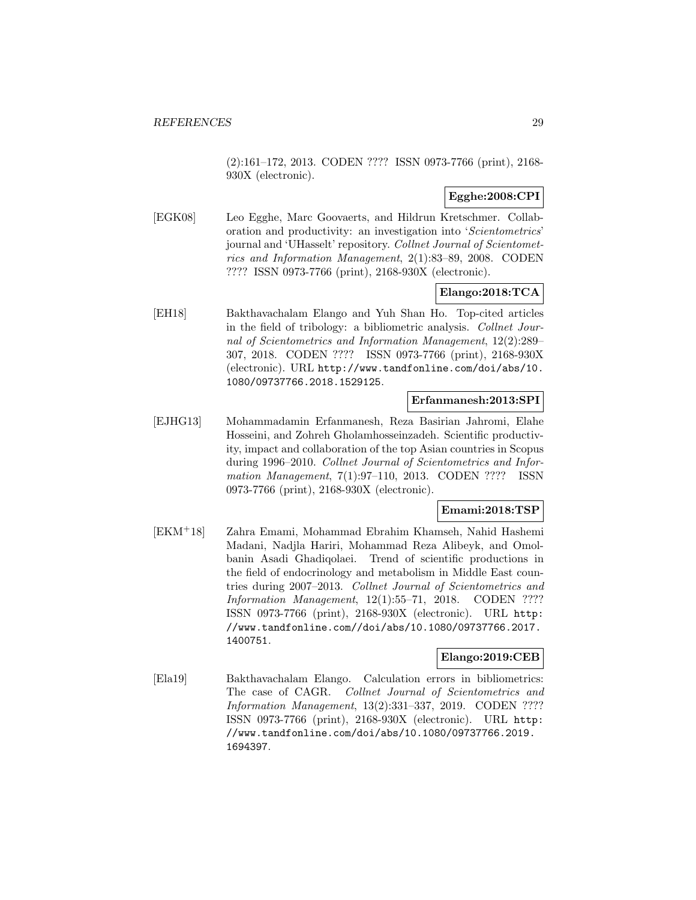(2):161–172, 2013. CODEN ???? ISSN 0973-7766 (print), 2168- 930X (electronic).

# **Egghe:2008:CPI**

[EGK08] Leo Egghe, Marc Goovaerts, and Hildrun Kretschmer. Collaboration and productivity: an investigation into 'Scientometrics' journal and 'UHasselt' repository. Collnet Journal of Scientometrics and Information Management, 2(1):83–89, 2008. CODEN ???? ISSN 0973-7766 (print), 2168-930X (electronic).

# **Elango:2018:TCA**

[EH18] Bakthavachalam Elango and Yuh Shan Ho. Top-cited articles in the field of tribology: a bibliometric analysis. Collnet Journal of Scientometrics and Information Management, 12(2):289– 307, 2018. CODEN ???? ISSN 0973-7766 (print), 2168-930X (electronic). URL http://www.tandfonline.com/doi/abs/10. 1080/09737766.2018.1529125.

#### **Erfanmanesh:2013:SPI**

[EJHG13] Mohammadamin Erfanmanesh, Reza Basirian Jahromi, Elahe Hosseini, and Zohreh Gholamhosseinzadeh. Scientific productivity, impact and collaboration of the top Asian countries in Scopus during 1996–2010. Collnet Journal of Scientometrics and Information Management, 7(1):97–110, 2013. CODEN ???? ISSN 0973-7766 (print), 2168-930X (electronic).

# **Emami:2018:TSP**

[EKM<sup>+</sup>18] Zahra Emami, Mohammad Ebrahim Khamseh, Nahid Hashemi Madani, Nadjla Hariri, Mohammad Reza Alibeyk, and Omolbanin Asadi Ghadiqolaei. Trend of scientific productions in the field of endocrinology and metabolism in Middle East countries during 2007–2013. Collnet Journal of Scientometrics and Information Management, 12(1):55–71, 2018. CODEN ???? ISSN 0973-7766 (print), 2168-930X (electronic). URL http: //www.tandfonline.com//doi/abs/10.1080/09737766.2017. 1400751.

# **Elango:2019:CEB**

[Ela19] Bakthavachalam Elango. Calculation errors in bibliometrics: The case of CAGR. Collnet Journal of Scientometrics and Information Management, 13(2):331–337, 2019. CODEN ???? ISSN 0973-7766 (print), 2168-930X (electronic). URL http: //www.tandfonline.com/doi/abs/10.1080/09737766.2019. 1694397.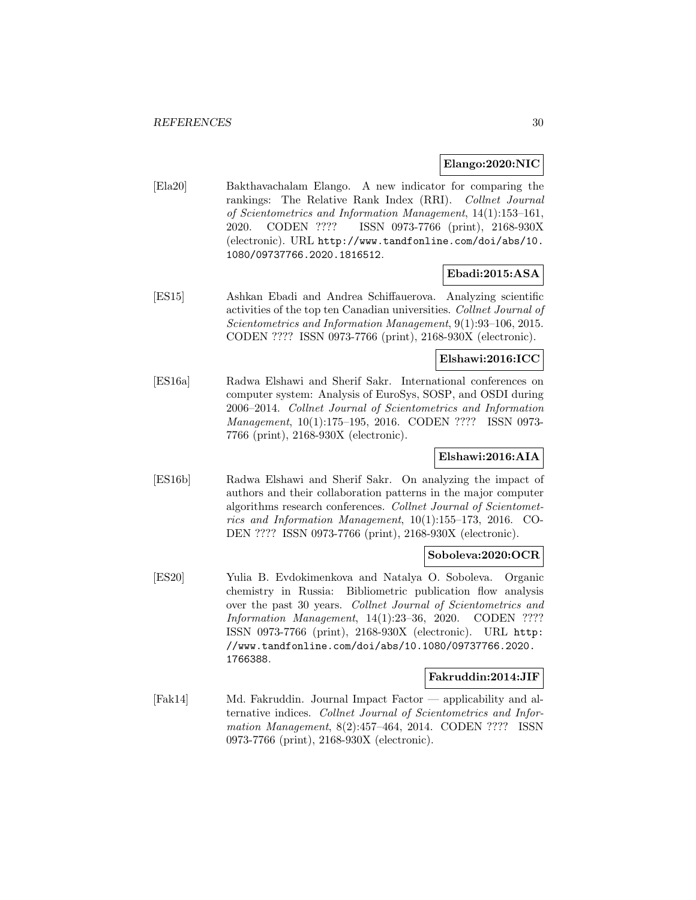### **Elango:2020:NIC**

[Ela20] Bakthavachalam Elango. A new indicator for comparing the rankings: The Relative Rank Index (RRI). Collnet Journal of Scientometrics and Information Management, 14(1):153–161, 2020. CODEN ???? ISSN 0973-7766 (print), 2168-930X (electronic). URL http://www.tandfonline.com/doi/abs/10. 1080/09737766.2020.1816512.

# **Ebadi:2015:ASA**

[ES15] Ashkan Ebadi and Andrea Schiffauerova. Analyzing scientific activities of the top ten Canadian universities. Collnet Journal of Scientometrics and Information Management, 9(1):93–106, 2015. CODEN ???? ISSN 0973-7766 (print), 2168-930X (electronic).

### **Elshawi:2016:ICC**

[ES16a] Radwa Elshawi and Sherif Sakr. International conferences on computer system: Analysis of EuroSys, SOSP, and OSDI during 2006–2014. Collnet Journal of Scientometrics and Information Management, 10(1):175–195, 2016. CODEN ???? ISSN 0973- 7766 (print), 2168-930X (electronic).

# **Elshawi:2016:AIA**

[ES16b] Radwa Elshawi and Sherif Sakr. On analyzing the impact of authors and their collaboration patterns in the major computer algorithms research conferences. Collnet Journal of Scientometrics and Information Management, 10(1):155–173, 2016. CO-DEN ???? ISSN 0973-7766 (print), 2168-930X (electronic).

### **Soboleva:2020:OCR**

[ES20] Yulia B. Evdokimenkova and Natalya O. Soboleva. Organic chemistry in Russia: Bibliometric publication flow analysis over the past 30 years. Collnet Journal of Scientometrics and Information Management, 14(1):23–36, 2020. CODEN ???? ISSN 0973-7766 (print), 2168-930X (electronic). URL http: //www.tandfonline.com/doi/abs/10.1080/09737766.2020. 1766388.

### **Fakruddin:2014:JIF**

[Fak14] Md. Fakruddin. Journal Impact Factor — applicability and alternative indices. Collnet Journal of Scientometrics and Information Management, 8(2):457–464, 2014. CODEN ???? ISSN 0973-7766 (print), 2168-930X (electronic).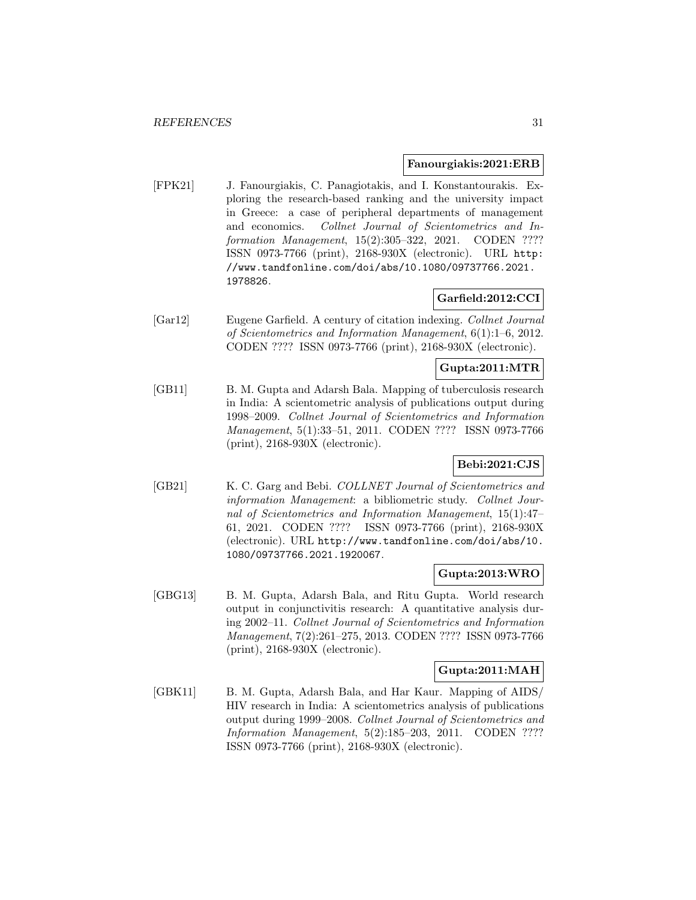#### **Fanourgiakis:2021:ERB**

[FPK21] J. Fanourgiakis, C. Panagiotakis, and I. Konstantourakis. Exploring the research-based ranking and the university impact in Greece: a case of peripheral departments of management and economics. Collnet Journal of Scientometrics and Information Management, 15(2):305–322, 2021. CODEN ???? ISSN 0973-7766 (print), 2168-930X (electronic). URL http: //www.tandfonline.com/doi/abs/10.1080/09737766.2021. 1978826.

# **Garfield:2012:CCI**

[Gar12] Eugene Garfield. A century of citation indexing. Collnet Journal of Scientometrics and Information Management, 6(1):1–6, 2012. CODEN ???? ISSN 0973-7766 (print), 2168-930X (electronic).

### **Gupta:2011:MTR**

[GB11] B. M. Gupta and Adarsh Bala. Mapping of tuberculosis research in India: A scientometric analysis of publications output during 1998–2009. Collnet Journal of Scientometrics and Information Management, 5(1):33–51, 2011. CODEN ???? ISSN 0973-7766 (print), 2168-930X (electronic).

# **Bebi:2021:CJS**

[GB21] K. C. Garg and Bebi. COLLNET Journal of Scientometrics and information Management: a bibliometric study. Collnet Journal of Scientometrics and Information Management, 15(1):47– 61, 2021. CODEN ???? ISSN 0973-7766 (print), 2168-930X (electronic). URL http://www.tandfonline.com/doi/abs/10. 1080/09737766.2021.1920067.

### **Gupta:2013:WRO**

[GBG13] B. M. Gupta, Adarsh Bala, and Ritu Gupta. World research output in conjunctivitis research: A quantitative analysis during 2002–11. Collnet Journal of Scientometrics and Information Management, 7(2):261–275, 2013. CODEN ???? ISSN 0973-7766 (print), 2168-930X (electronic).

#### **Gupta:2011:MAH**

[GBK11] B. M. Gupta, Adarsh Bala, and Har Kaur. Mapping of AIDS/ HIV research in India: A scientometrics analysis of publications output during 1999–2008. Collnet Journal of Scientometrics and Information Management, 5(2):185–203, 2011. CODEN ???? ISSN 0973-7766 (print), 2168-930X (electronic).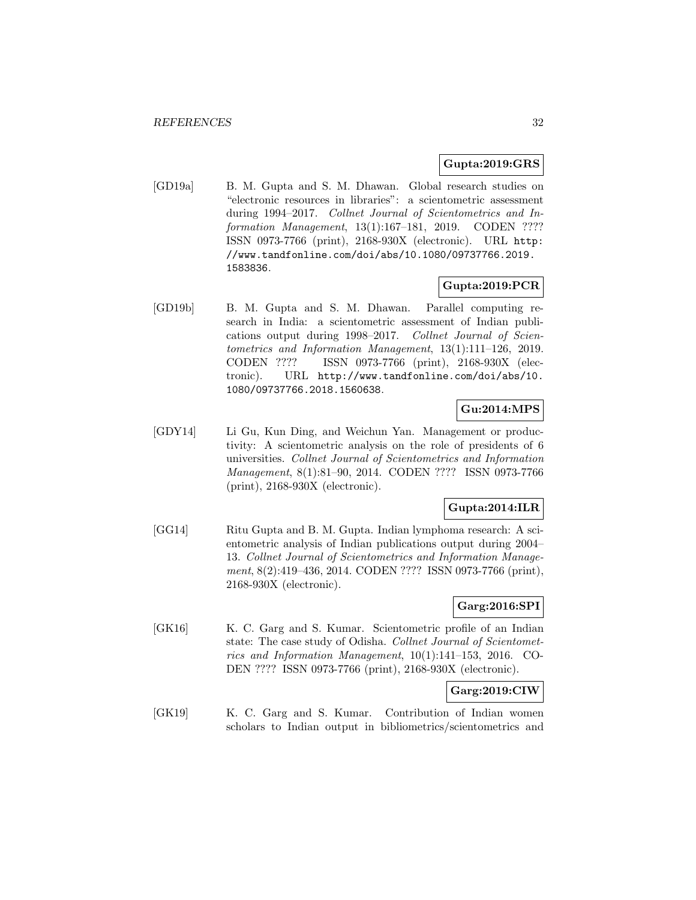# **Gupta:2019:GRS**

[GD19a] B. M. Gupta and S. M. Dhawan. Global research studies on "electronic resources in libraries": a scientometric assessment during 1994–2017. Collnet Journal of Scientometrics and Information Management, 13(1):167–181, 2019. CODEN ???? ISSN 0973-7766 (print), 2168-930X (electronic). URL http: //www.tandfonline.com/doi/abs/10.1080/09737766.2019. 1583836.

### **Gupta:2019:PCR**

[GD19b] B. M. Gupta and S. M. Dhawan. Parallel computing research in India: a scientometric assessment of Indian publications output during 1998–2017. Collnet Journal of Scientometrics and Information Management, 13(1):111–126, 2019. CODEN ???? ISSN 0973-7766 (print), 2168-930X (electronic). URL http://www.tandfonline.com/doi/abs/10. 1080/09737766.2018.1560638.

# **Gu:2014:MPS**

[GDY14] Li Gu, Kun Ding, and Weichun Yan. Management or productivity: A scientometric analysis on the role of presidents of 6 universities. Collnet Journal of Scientometrics and Information Management, 8(1):81–90, 2014. CODEN ???? ISSN 0973-7766 (print), 2168-930X (electronic).

# **Gupta:2014:ILR**

[GG14] Ritu Gupta and B. M. Gupta. Indian lymphoma research: A scientometric analysis of Indian publications output during 2004– 13. Collnet Journal of Scientometrics and Information Management, 8(2):419–436, 2014. CODEN ???? ISSN 0973-7766 (print), 2168-930X (electronic).

# **Garg:2016:SPI**

[GK16] K. C. Garg and S. Kumar. Scientometric profile of an Indian state: The case study of Odisha. Collnet Journal of Scientometrics and Information Management, 10(1):141–153, 2016. CO-DEN ???? ISSN 0973-7766 (print), 2168-930X (electronic).

### **Garg:2019:CIW**

[GK19] K. C. Garg and S. Kumar. Contribution of Indian women scholars to Indian output in bibliometrics/scientometrics and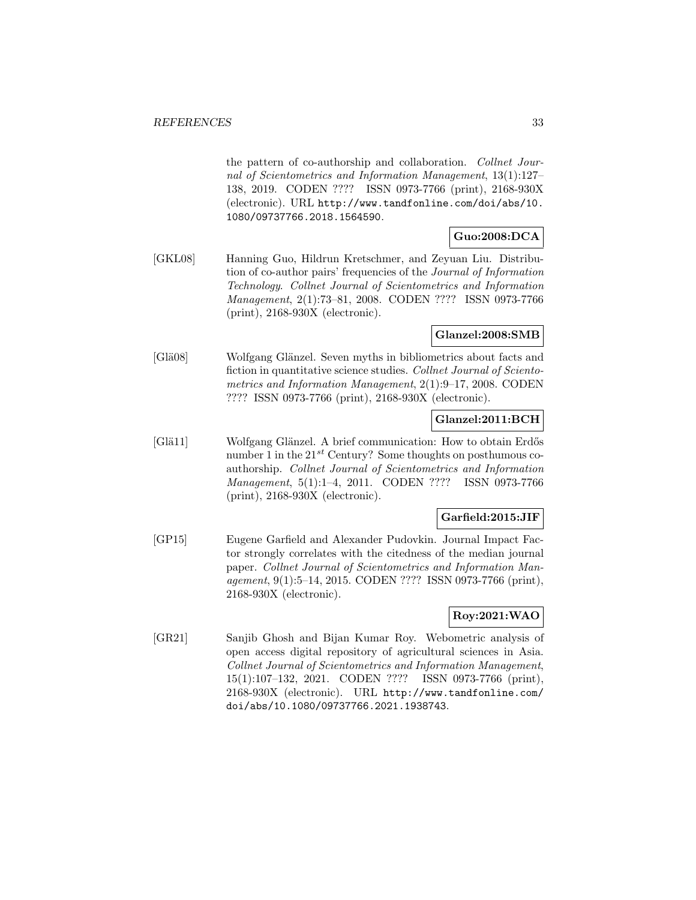the pattern of co-authorship and collaboration. Collnet Journal of Scientometrics and Information Management, 13(1):127– 138, 2019. CODEN ???? ISSN 0973-7766 (print), 2168-930X (electronic). URL http://www.tandfonline.com/doi/abs/10. 1080/09737766.2018.1564590.

# **Guo:2008:DCA**

[GKL08] Hanning Guo, Hildrun Kretschmer, and Zeyuan Liu. Distribution of co-author pairs' frequencies of the Journal of Information Technology. Collnet Journal of Scientometrics and Information Management, 2(1):73–81, 2008. CODEN ???? ISSN 0973-7766 (print), 2168-930X (electronic).

### **Glanzel:2008:SMB**

[Glä08] Wolfgang Glänzel. Seven myths in bibliometrics about facts and fiction in quantitative science studies. Collnet Journal of Scientometrics and Information Management, 2(1):9–17, 2008. CODEN ???? ISSN 0973-7766 (print), 2168-930X (electronic).

# **Glanzel:2011:BCH**

[Glä11] Wolfgang Glänzel. A brief communication: How to obtain Erdős number 1 in the  $21^{st}$  Century? Some thoughts on posthumous coauthorship. Collnet Journal of Scientometrics and Information Management, 5(1):1–4, 2011. CODEN ???? ISSN 0973-7766 (print), 2168-930X (electronic).

# **Garfield:2015:JIF**

[GP15] Eugene Garfield and Alexander Pudovkin. Journal Impact Factor strongly correlates with the citedness of the median journal paper. Collnet Journal of Scientometrics and Information Management, 9(1):5–14, 2015. CODEN ???? ISSN 0973-7766 (print), 2168-930X (electronic).

# **Roy:2021:WAO**

[GR21] Sanjib Ghosh and Bijan Kumar Roy. Webometric analysis of open access digital repository of agricultural sciences in Asia. Collnet Journal of Scientometrics and Information Management, 15(1):107–132, 2021. CODEN ???? ISSN 0973-7766 (print), 2168-930X (electronic). URL http://www.tandfonline.com/ doi/abs/10.1080/09737766.2021.1938743.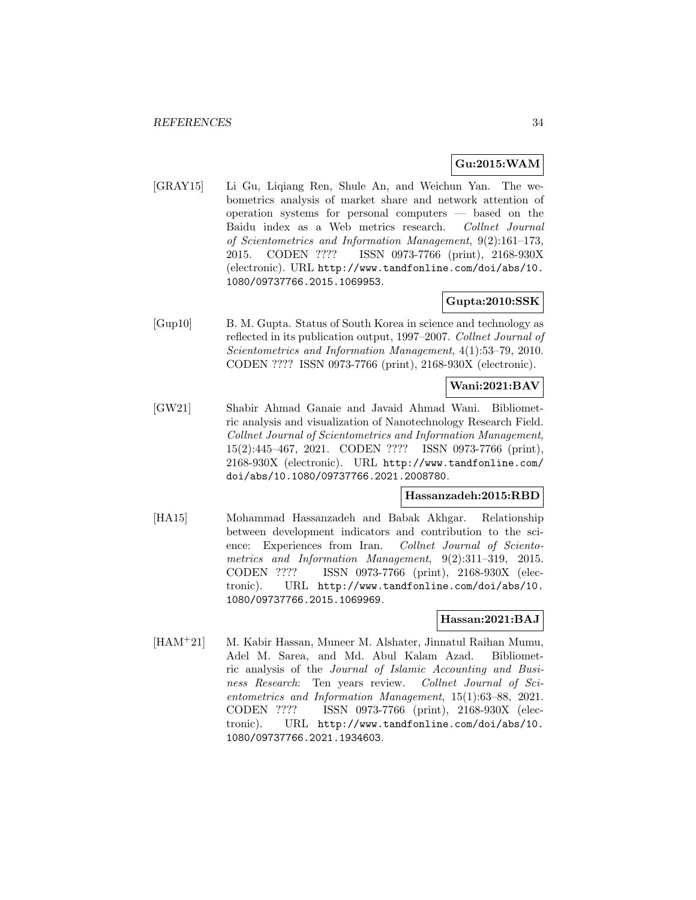# **Gu:2015:WAM**

[GRAY15] Li Gu, Liqiang Ren, Shule An, and Weichun Yan. The webometrics analysis of market share and network attention of operation systems for personal computers — based on the Baidu index as a Web metrics research. Collnet Journal of Scientometrics and Information Management, 9(2):161–173, 2015. CODEN ???? ISSN 0973-7766 (print), 2168-930X (electronic). URL http://www.tandfonline.com/doi/abs/10. 1080/09737766.2015.1069953.

# **Gupta:2010:SSK**

[Gup10] B. M. Gupta. Status of South Korea in science and technology as reflected in its publication output, 1997–2007. Collnet Journal of Scientometrics and Information Management, 4(1):53–79, 2010. CODEN ???? ISSN 0973-7766 (print), 2168-930X (electronic).

# **Wani:2021:BAV**

[GW21] Shabir Ahmad Ganaie and Javaid Ahmad Wani. Bibliometric analysis and visualization of Nanotechnology Research Field. Collnet Journal of Scientometrics and Information Management, 15(2):445–467, 2021. CODEN ???? ISSN 0973-7766 (print), 2168-930X (electronic). URL http://www.tandfonline.com/ doi/abs/10.1080/09737766.2021.2008780.

### **Hassanzadeh:2015:RBD**

[HA15] Mohammad Hassanzadeh and Babak Akhgar. Relationship between development indicators and contribution to the science: Experiences from Iran. Collnet Journal of Scientometrics and Information Management, 9(2):311–319, 2015. CODEN ???? ISSN 0973-7766 (print), 2168-930X (electronic). URL http://www.tandfonline.com/doi/abs/10. 1080/09737766.2015.1069969.

### **Hassan:2021:BAJ**

[HAM<sup>+</sup>21] M. Kabir Hassan, Muneer M. Alshater, Jinnatul Raihan Mumu, Adel M. Sarea, and Md. Abul Kalam Azad. Bibliometric analysis of the Journal of Islamic Accounting and Business Research: Ten years review. Collnet Journal of Scientometrics and Information Management, 15(1):63–88, 2021. CODEN ???? ISSN 0973-7766 (print), 2168-930X (electronic). URL http://www.tandfonline.com/doi/abs/10. 1080/09737766.2021.1934603.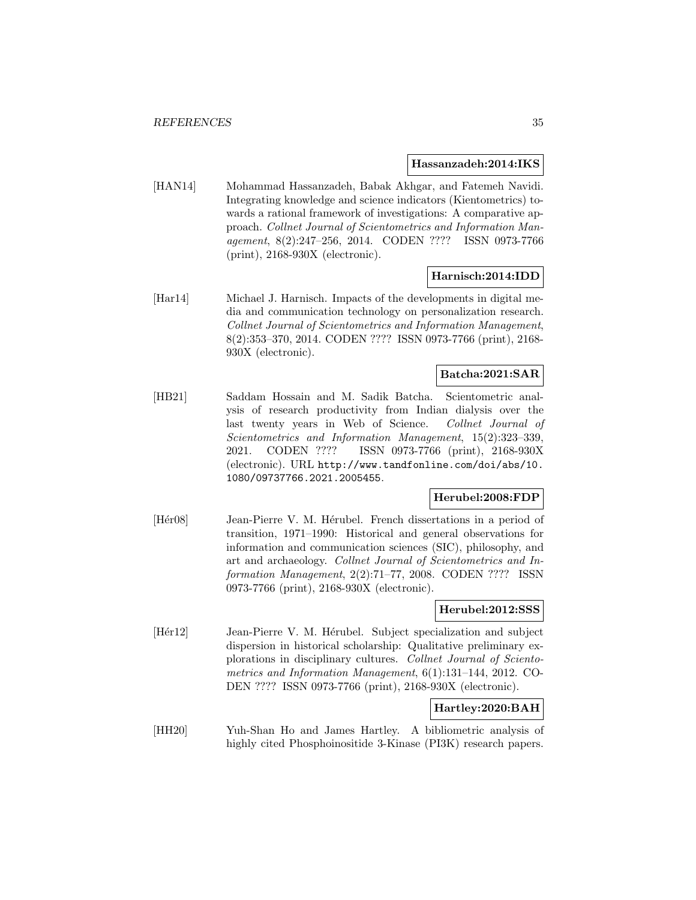#### **Hassanzadeh:2014:IKS**

[HAN14] Mohammad Hassanzadeh, Babak Akhgar, and Fatemeh Navidi. Integrating knowledge and science indicators (Kientometrics) towards a rational framework of investigations: A comparative approach. Collnet Journal of Scientometrics and Information Management, 8(2):247–256, 2014. CODEN ???? ISSN 0973-7766 (print), 2168-930X (electronic).

### **Harnisch:2014:IDD**

[Har14] Michael J. Harnisch. Impacts of the developments in digital media and communication technology on personalization research. Collnet Journal of Scientometrics and Information Management, 8(2):353–370, 2014. CODEN ???? ISSN 0973-7766 (print), 2168- 930X (electronic).

# **Batcha:2021:SAR**

[HB21] Saddam Hossain and M. Sadik Batcha. Scientometric analysis of research productivity from Indian dialysis over the last twenty years in Web of Science. Collnet Journal of Scientometrics and Information Management, 15(2):323–339, 2021. CODEN ???? ISSN 0973-7766 (print), 2168-930X (electronic). URL http://www.tandfonline.com/doi/abs/10. 1080/09737766.2021.2005455.

### **Herubel:2008:FDP**

[Her08] Jean-Pierre V. M. Herubel. French dissertations in a period of transition, 1971–1990: Historical and general observations for information and communication sciences (SIC), philosophy, and art and archaeology. Collnet Journal of Scientometrics and Information Management, 2(2):71–77, 2008. CODEN ???? ISSN 0973-7766 (print), 2168-930X (electronic).

#### **Herubel:2012:SSS**

[Hér12] Jean-Pierre V. M. Hérubel. Subject specialization and subject dispersion in historical scholarship: Qualitative preliminary explorations in disciplinary cultures. Collnet Journal of Scientometrics and Information Management, 6(1):131–144, 2012. CO-DEN ???? ISSN 0973-7766 (print), 2168-930X (electronic).

### **Hartley:2020:BAH**

[HH20] Yuh-Shan Ho and James Hartley. A bibliometric analysis of highly cited Phosphoinositide 3-Kinase (PI3K) research papers.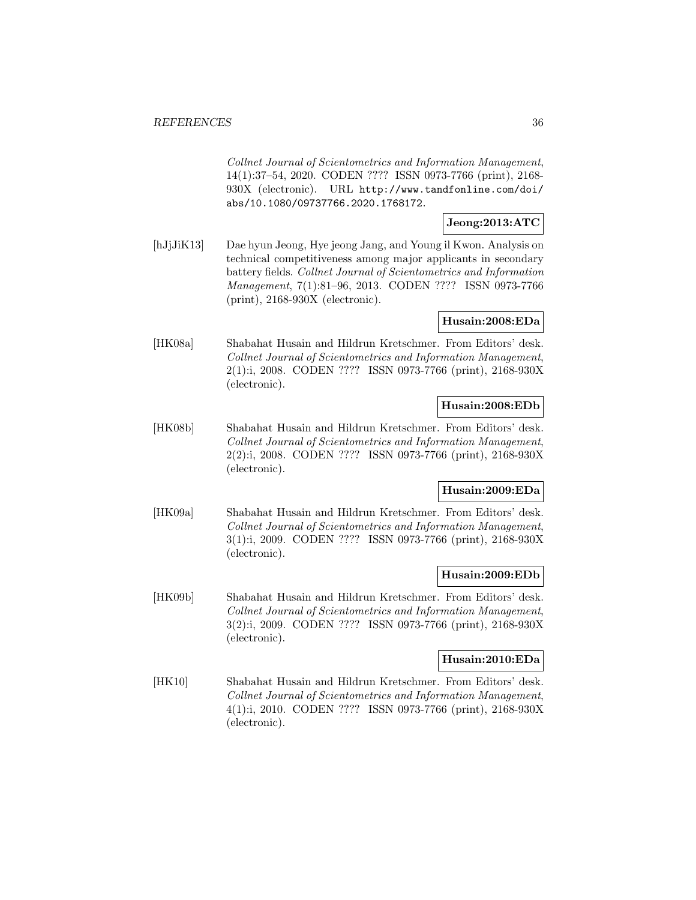Collnet Journal of Scientometrics and Information Management, 14(1):37–54, 2020. CODEN ???? ISSN 0973-7766 (print), 2168- 930X (electronic). URL http://www.tandfonline.com/doi/ abs/10.1080/09737766.2020.1768172.

# **Jeong:2013:ATC**

[hJjJiK13] Dae hyun Jeong, Hye jeong Jang, and Young il Kwon. Analysis on technical competitiveness among major applicants in secondary battery fields. Collnet Journal of Scientometrics and Information Management, 7(1):81–96, 2013. CODEN ???? ISSN 0973-7766 (print), 2168-930X (electronic).

# **Husain:2008:EDa**

[HK08a] Shabahat Husain and Hildrun Kretschmer. From Editors' desk. Collnet Journal of Scientometrics and Information Management, 2(1):i, 2008. CODEN ???? ISSN 0973-7766 (print), 2168-930X (electronic).

### **Husain:2008:EDb**

[HK08b] Shabahat Husain and Hildrun Kretschmer. From Editors' desk. Collnet Journal of Scientometrics and Information Management, 2(2):i, 2008. CODEN ???? ISSN 0973-7766 (print), 2168-930X (electronic).

### **Husain:2009:EDa**

[HK09a] Shabahat Husain and Hildrun Kretschmer. From Editors' desk. Collnet Journal of Scientometrics and Information Management, 3(1):i, 2009. CODEN ???? ISSN 0973-7766 (print), 2168-930X (electronic).

### **Husain:2009:EDb**

[HK09b] Shabahat Husain and Hildrun Kretschmer. From Editors' desk. Collnet Journal of Scientometrics and Information Management, 3(2):i, 2009. CODEN ???? ISSN 0973-7766 (print), 2168-930X (electronic).

### **Husain:2010:EDa**

[HK10] Shabahat Husain and Hildrun Kretschmer. From Editors' desk. Collnet Journal of Scientometrics and Information Management, 4(1):i, 2010. CODEN ???? ISSN 0973-7766 (print), 2168-930X (electronic).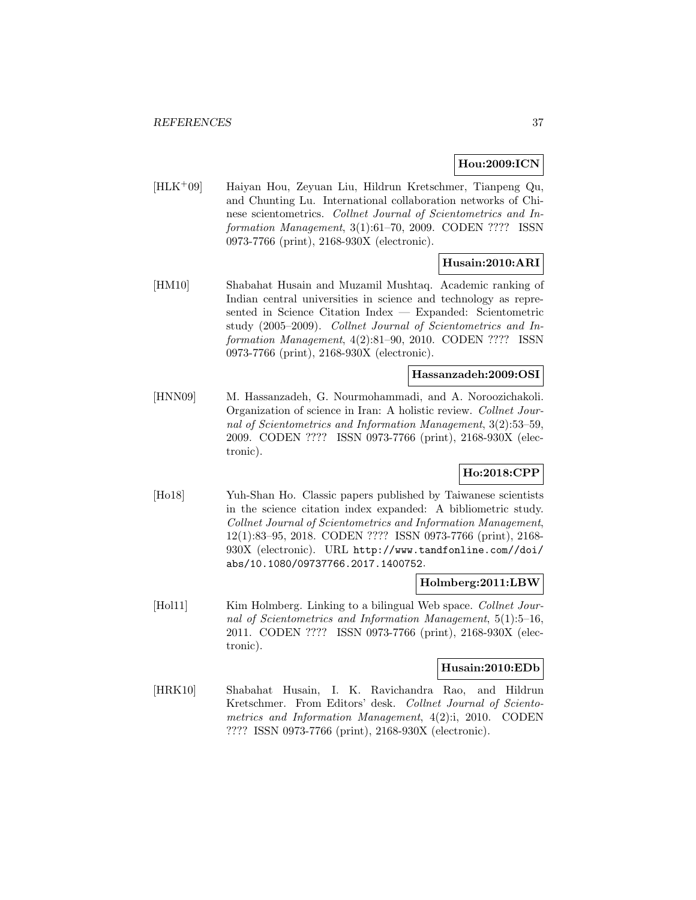# **Hou:2009:ICN**

[HLK<sup>+</sup>09] Haiyan Hou, Zeyuan Liu, Hildrun Kretschmer, Tianpeng Qu, and Chunting Lu. International collaboration networks of Chinese scientometrics. Collnet Journal of Scientometrics and Information Management, 3(1):61–70, 2009. CODEN ???? ISSN 0973-7766 (print), 2168-930X (electronic).

# **Husain:2010:ARI**

[HM10] Shabahat Husain and Muzamil Mushtaq. Academic ranking of Indian central universities in science and technology as represented in Science Citation Index — Expanded: Scientometric study (2005–2009). Collnet Journal of Scientometrics and Information Management, 4(2):81–90, 2010. CODEN ???? ISSN 0973-7766 (print), 2168-930X (electronic).

### **Hassanzadeh:2009:OSI**

[HNN09] M. Hassanzadeh, G. Nourmohammadi, and A. Noroozichakoli. Organization of science in Iran: A holistic review. Collnet Journal of Scientometrics and Information Management, 3(2):53–59, 2009. CODEN ???? ISSN 0973-7766 (print), 2168-930X (electronic).

# **Ho:2018:CPP**

[Ho18] Yuh-Shan Ho. Classic papers published by Taiwanese scientists in the science citation index expanded: A bibliometric study. Collnet Journal of Scientometrics and Information Management, 12(1):83–95, 2018. CODEN ???? ISSN 0973-7766 (print), 2168- 930X (electronic). URL http://www.tandfonline.com//doi/ abs/10.1080/09737766.2017.1400752.

#### **Holmberg:2011:LBW**

[Hol11] Kim Holmberg. Linking to a bilingual Web space. Collnet Journal of Scientometrics and Information Management, 5(1):5–16, 2011. CODEN ???? ISSN 0973-7766 (print), 2168-930X (electronic).

#### **Husain:2010:EDb**

[HRK10] Shabahat Husain, I. K. Ravichandra Rao, and Hildrun Kretschmer. From Editors' desk. Collnet Journal of Scientometrics and Information Management, 4(2):i, 2010. CODEN ???? ISSN 0973-7766 (print), 2168-930X (electronic).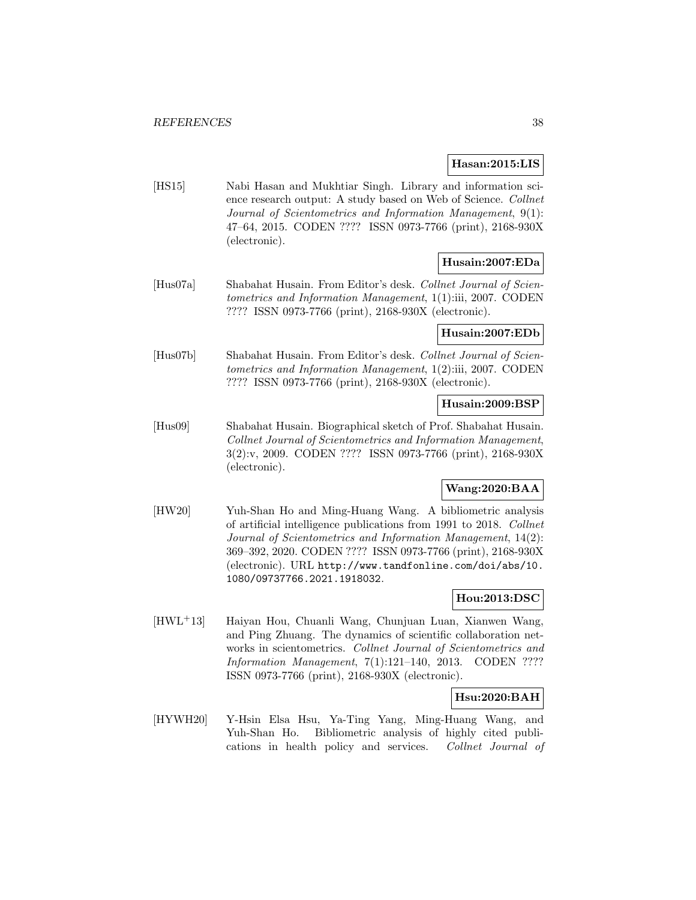#### **Hasan:2015:LIS**

[HS15] Nabi Hasan and Mukhtiar Singh. Library and information science research output: A study based on Web of Science. Collnet Journal of Scientometrics and Information Management, 9(1): 47–64, 2015. CODEN ???? ISSN 0973-7766 (print), 2168-930X (electronic).

# **Husain:2007:EDa**

[Hus07a] Shabahat Husain. From Editor's desk. Collnet Journal of Scientometrics and Information Management, 1(1):iii, 2007. CODEN ???? ISSN 0973-7766 (print), 2168-930X (electronic).

#### **Husain:2007:EDb**

[Hus07b] Shabahat Husain. From Editor's desk. Collnet Journal of Scientometrics and Information Management, 1(2):iii, 2007. CODEN ???? ISSN 0973-7766 (print), 2168-930X (electronic).

### **Husain:2009:BSP**

[Hus09] Shabahat Husain. Biographical sketch of Prof. Shabahat Husain. Collnet Journal of Scientometrics and Information Management, 3(2):v, 2009. CODEN ???? ISSN 0973-7766 (print), 2168-930X (electronic).

# **Wang:2020:BAA**

[HW20] Yuh-Shan Ho and Ming-Huang Wang. A bibliometric analysis of artificial intelligence publications from 1991 to 2018. Collnet Journal of Scientometrics and Information Management, 14(2): 369–392, 2020. CODEN ???? ISSN 0973-7766 (print), 2168-930X (electronic). URL http://www.tandfonline.com/doi/abs/10. 1080/09737766.2021.1918032.

# **Hou:2013:DSC**

[HWL<sup>+</sup>13] Haiyan Hou, Chuanli Wang, Chunjuan Luan, Xianwen Wang, and Ping Zhuang. The dynamics of scientific collaboration networks in scientometrics. Collnet Journal of Scientometrics and Information Management, 7(1):121–140, 2013. CODEN ???? ISSN 0973-7766 (print), 2168-930X (electronic).

## **Hsu:2020:BAH**

[HYWH20] Y-Hsin Elsa Hsu, Ya-Ting Yang, Ming-Huang Wang, and Yuh-Shan Ho. Bibliometric analysis of highly cited publications in health policy and services. Collnet Journal of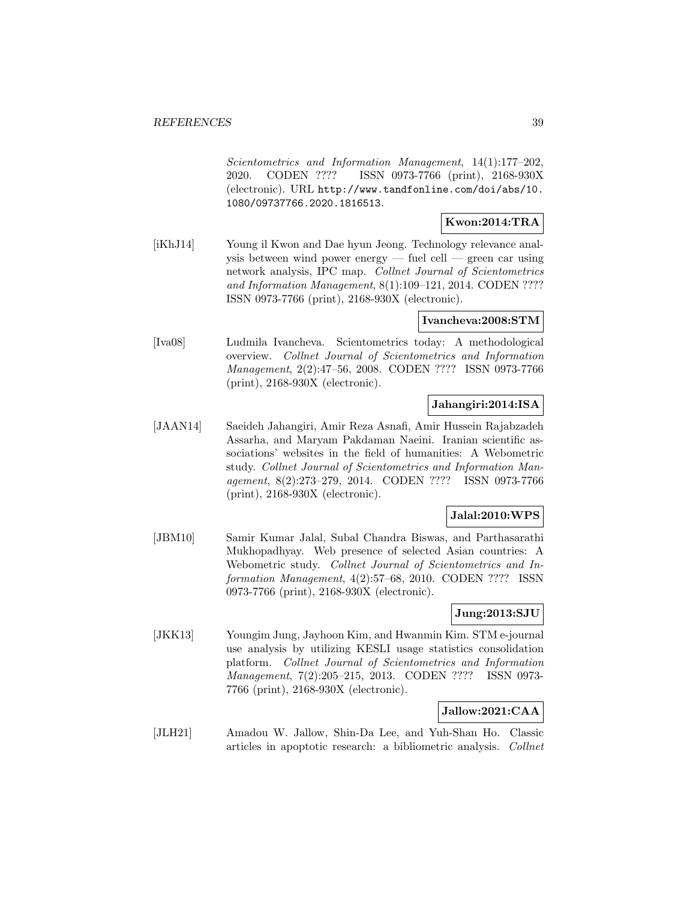Scientometrics and Information Management, 14(1):177–202, 2020. CODEN ???? ISSN 0973-7766 (print), 2168-930X (electronic). URL http://www.tandfonline.com/doi/abs/10. 1080/09737766.2020.1816513.

### **Kwon:2014:TRA**

[iKhJ14] Young il Kwon and Dae hyun Jeong. Technology relevance analysis between wind power energy — fuel cell — green car using network analysis, IPC map. Collnet Journal of Scientometrics and Information Management, 8(1):109–121, 2014. CODEN ???? ISSN 0973-7766 (print), 2168-930X (electronic).

#### **Ivancheva:2008:STM**

[Iva08] Ludmila Ivancheva. Scientometrics today: A methodological overview. Collnet Journal of Scientometrics and Information Management, 2(2):47–56, 2008. CODEN ???? ISSN 0973-7766 (print), 2168-930X (electronic).

### **Jahangiri:2014:ISA**

[JAAN14] Saeideh Jahangiri, Amir Reza Asnafi, Amir Hussein Rajabzadeh Assarha, and Maryam Pakdaman Naeini. Iranian scientific associations' websites in the field of humanities: A Webometric study. Collnet Journal of Scientometrics and Information Management, 8(2):273–279, 2014. CODEN ???? ISSN 0973-7766 (print), 2168-930X (electronic).

# **Jalal:2010:WPS**

[JBM10] Samir Kumar Jalal, Subal Chandra Biswas, and Parthasarathi Mukhopadhyay. Web presence of selected Asian countries: A Webometric study. Collnet Journal of Scientometrics and Information Management, 4(2):57–68, 2010. CODEN ???? ISSN 0973-7766 (print), 2168-930X (electronic).

### **Jung:2013:SJU**

[JKK13] Youngim Jung, Jayhoon Kim, and Hwanmin Kim. STM e-journal use analysis by utilizing KESLI usage statistics consolidation platform. Collnet Journal of Scientometrics and Information Management, 7(2):205–215, 2013. CODEN ???? ISSN 0973- 7766 (print), 2168-930X (electronic).

# **Jallow:2021:CAA**

[JLH21] Amadou W. Jallow, Shin-Da Lee, and Yuh-Shan Ho. Classic articles in apoptotic research: a bibliometric analysis. Collnet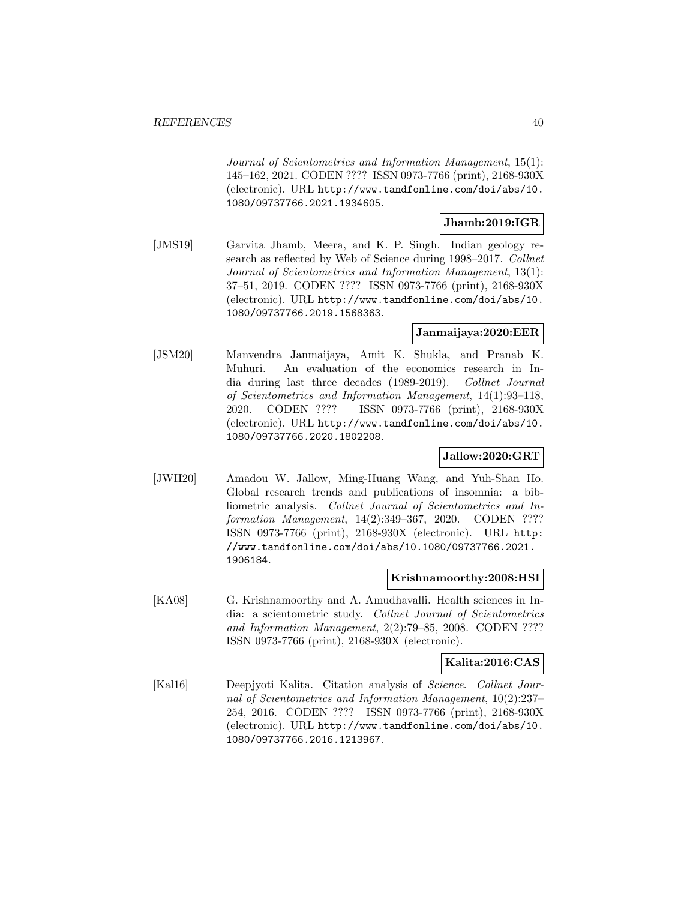Journal of Scientometrics and Information Management, 15(1): 145–162, 2021. CODEN ???? ISSN 0973-7766 (print), 2168-930X (electronic). URL http://www.tandfonline.com/doi/abs/10. 1080/09737766.2021.1934605.

### **Jhamb:2019:IGR**

[JMS19] Garvita Jhamb, Meera, and K. P. Singh. Indian geology research as reflected by Web of Science during 1998–2017. Collnet Journal of Scientometrics and Information Management, 13(1): 37–51, 2019. CODEN ???? ISSN 0973-7766 (print), 2168-930X (electronic). URL http://www.tandfonline.com/doi/abs/10. 1080/09737766.2019.1568363.

#### **Janmaijaya:2020:EER**

[JSM20] Manvendra Janmaijaya, Amit K. Shukla, and Pranab K. Muhuri. An evaluation of the economics research in India during last three decades (1989-2019). Collnet Journal of Scientometrics and Information Management, 14(1):93–118, 2020. CODEN ???? ISSN 0973-7766 (print), 2168-930X (electronic). URL http://www.tandfonline.com/doi/abs/10. 1080/09737766.2020.1802208.

#### **Jallow:2020:GRT**

[JWH20] Amadou W. Jallow, Ming-Huang Wang, and Yuh-Shan Ho. Global research trends and publications of insomnia: a bibliometric analysis. Collnet Journal of Scientometrics and Information Management, 14(2):349–367, 2020. CODEN ???? ISSN 0973-7766 (print), 2168-930X (electronic). URL http: //www.tandfonline.com/doi/abs/10.1080/09737766.2021. 1906184.

#### **Krishnamoorthy:2008:HSI**

[KA08] G. Krishnamoorthy and A. Amudhavalli. Health sciences in India: a scientometric study. Collnet Journal of Scientometrics and Information Management, 2(2):79–85, 2008. CODEN ???? ISSN 0973-7766 (print), 2168-930X (electronic).

#### **Kalita:2016:CAS**

[Kal16] Deepjyoti Kalita. Citation analysis of *Science. Collnet Jour*nal of Scientometrics and Information Management, 10(2):237– 254, 2016. CODEN ???? ISSN 0973-7766 (print), 2168-930X (electronic). URL http://www.tandfonline.com/doi/abs/10. 1080/09737766.2016.1213967.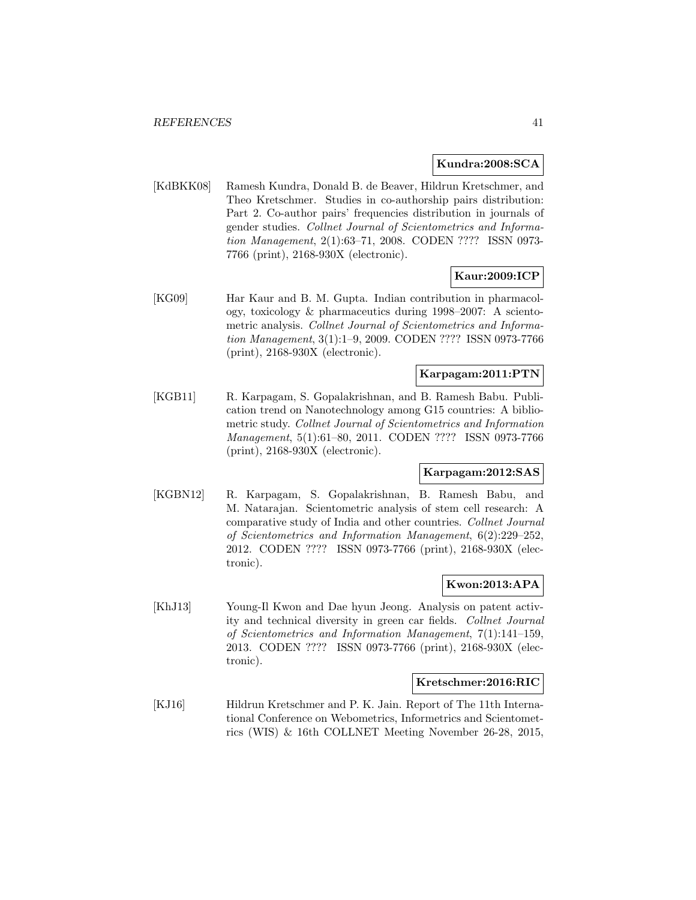#### **Kundra:2008:SCA**

[KdBKK08] Ramesh Kundra, Donald B. de Beaver, Hildrun Kretschmer, and Theo Kretschmer. Studies in co-authorship pairs distribution: Part 2. Co-author pairs' frequencies distribution in journals of gender studies. Collnet Journal of Scientometrics and Information Management, 2(1):63–71, 2008. CODEN ???? ISSN 0973- 7766 (print), 2168-930X (electronic).

### **Kaur:2009:ICP**

[KG09] Har Kaur and B. M. Gupta. Indian contribution in pharmacology, toxicology & pharmaceutics during 1998–2007: A scientometric analysis. Collnet Journal of Scientometrics and Information Management, 3(1):1–9, 2009. CODEN ???? ISSN 0973-7766 (print), 2168-930X (electronic).

# **Karpagam:2011:PTN**

[KGB11] R. Karpagam, S. Gopalakrishnan, and B. Ramesh Babu. Publication trend on Nanotechnology among G15 countries: A bibliometric study. Collnet Journal of Scientometrics and Information Management, 5(1):61–80, 2011. CODEN ???? ISSN 0973-7766 (print), 2168-930X (electronic).

#### **Karpagam:2012:SAS**

[KGBN12] R. Karpagam, S. Gopalakrishnan, B. Ramesh Babu, and M. Natarajan. Scientometric analysis of stem cell research: A comparative study of India and other countries. Collnet Journal of Scientometrics and Information Management, 6(2):229–252, 2012. CODEN ???? ISSN 0973-7766 (print), 2168-930X (electronic).

## **Kwon:2013:APA**

[KhJ13] Young-Il Kwon and Dae hyun Jeong. Analysis on patent activity and technical diversity in green car fields. Collnet Journal of Scientometrics and Information Management, 7(1):141–159, 2013. CODEN ???? ISSN 0973-7766 (print), 2168-930X (electronic).

#### **Kretschmer:2016:RIC**

[KJ16] Hildrun Kretschmer and P. K. Jain. Report of The 11th International Conference on Webometrics, Informetrics and Scientometrics (WIS) & 16th COLLNET Meeting November 26-28, 2015,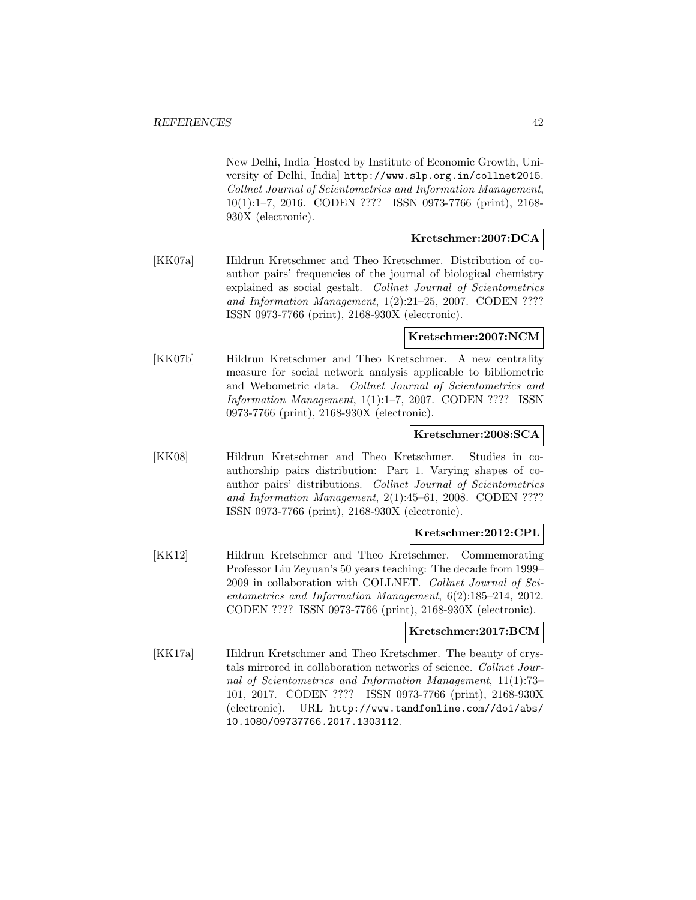New Delhi, India [Hosted by Institute of Economic Growth, University of Delhi, India] http://www.slp.org.in/collnet2015. Collnet Journal of Scientometrics and Information Management, 10(1):1–7, 2016. CODEN ???? ISSN 0973-7766 (print), 2168- 930X (electronic).

# **Kretschmer:2007:DCA**

[KK07a] Hildrun Kretschmer and Theo Kretschmer. Distribution of coauthor pairs' frequencies of the journal of biological chemistry explained as social gestalt. Collnet Journal of Scientometrics and Information Management, 1(2):21–25, 2007. CODEN ???? ISSN 0973-7766 (print), 2168-930X (electronic).

#### **Kretschmer:2007:NCM**

[KK07b] Hildrun Kretschmer and Theo Kretschmer. A new centrality measure for social network analysis applicable to bibliometric and Webometric data. Collnet Journal of Scientometrics and Information Management, 1(1):1–7, 2007. CODEN ???? ISSN 0973-7766 (print), 2168-930X (electronic).

#### **Kretschmer:2008:SCA**

[KK08] Hildrun Kretschmer and Theo Kretschmer. Studies in coauthorship pairs distribution: Part 1. Varying shapes of coauthor pairs' distributions. Collnet Journal of Scientometrics and Information Management, 2(1):45–61, 2008. CODEN ???? ISSN 0973-7766 (print), 2168-930X (electronic).

#### **Kretschmer:2012:CPL**

[KK12] Hildrun Kretschmer and Theo Kretschmer. Commemorating Professor Liu Zeyuan's 50 years teaching: The decade from 1999– 2009 in collaboration with COLLNET. Collnet Journal of Scientometrics and Information Management, 6(2):185–214, 2012. CODEN ???? ISSN 0973-7766 (print), 2168-930X (electronic).

#### **Kretschmer:2017:BCM**

[KK17a] Hildrun Kretschmer and Theo Kretschmer. The beauty of crystals mirrored in collaboration networks of science. Collnet Journal of Scientometrics and Information Management, 11(1):73– 101, 2017. CODEN ???? ISSN 0973-7766 (print), 2168-930X (electronic). URL http://www.tandfonline.com//doi/abs/ 10.1080/09737766.2017.1303112.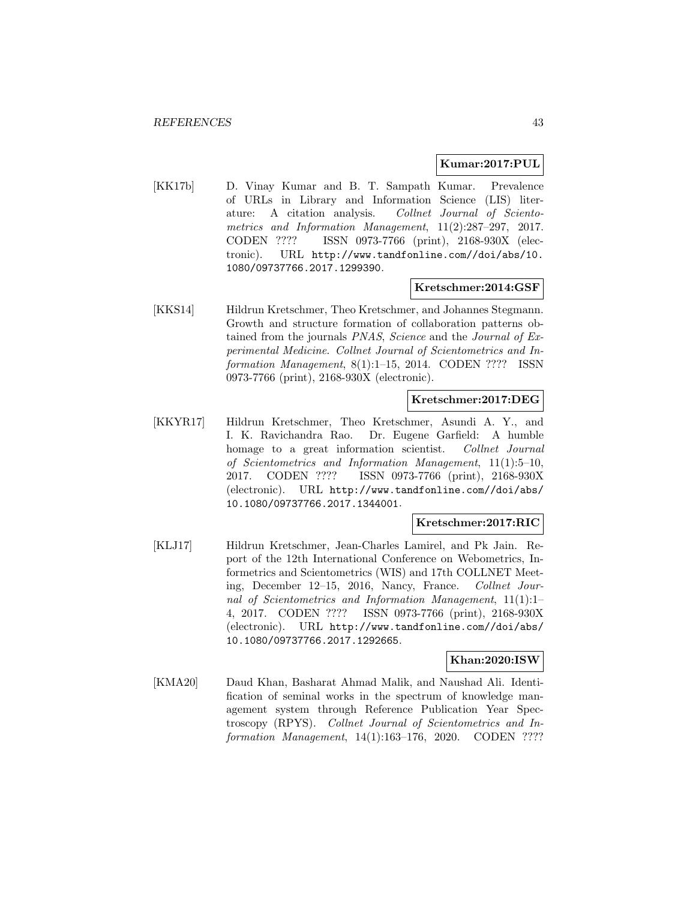#### **Kumar:2017:PUL**

[KK17b] D. Vinay Kumar and B. T. Sampath Kumar. Prevalence of URLs in Library and Information Science (LIS) literature: A citation analysis. Collnet Journal of Scientometrics and Information Management, 11(2):287–297, 2017. CODEN ???? ISSN 0973-7766 (print), 2168-930X (electronic). URL http://www.tandfonline.com//doi/abs/10. 1080/09737766.2017.1299390.

#### **Kretschmer:2014:GSF**

[KKS14] Hildrun Kretschmer, Theo Kretschmer, and Johannes Stegmann. Growth and structure formation of collaboration patterns obtained from the journals PNAS, Science and the Journal of Experimental Medicine. Collnet Journal of Scientometrics and Information Management, 8(1):1–15, 2014. CODEN ???? ISSN 0973-7766 (print), 2168-930X (electronic).

#### **Kretschmer:2017:DEG**

[KKYR17] Hildrun Kretschmer, Theo Kretschmer, Asundi A. Y., and I. K. Ravichandra Rao. Dr. Eugene Garfield: A humble homage to a great information scientist. Collnet Journal of Scientometrics and Information Management, 11(1):5–10, 2017. CODEN ???? ISSN 0973-7766 (print), 2168-930X (electronic). URL http://www.tandfonline.com//doi/abs/ 10.1080/09737766.2017.1344001.

#### **Kretschmer:2017:RIC**

[KLJ17] Hildrun Kretschmer, Jean-Charles Lamirel, and Pk Jain. Report of the 12th International Conference on Webometrics, Informetrics and Scientometrics (WIS) and 17th COLLNET Meeting, December 12–15, 2016, Nancy, France. Collnet Journal of Scientometrics and Information Management, 11(1):1– 4, 2017. CODEN ???? ISSN 0973-7766 (print), 2168-930X (electronic). URL http://www.tandfonline.com//doi/abs/ 10.1080/09737766.2017.1292665.

#### **Khan:2020:ISW**

[KMA20] Daud Khan, Basharat Ahmad Malik, and Naushad Ali. Identification of seminal works in the spectrum of knowledge management system through Reference Publication Year Spectroscopy (RPYS). Collnet Journal of Scientometrics and Information Management, 14(1):163–176, 2020. CODEN ????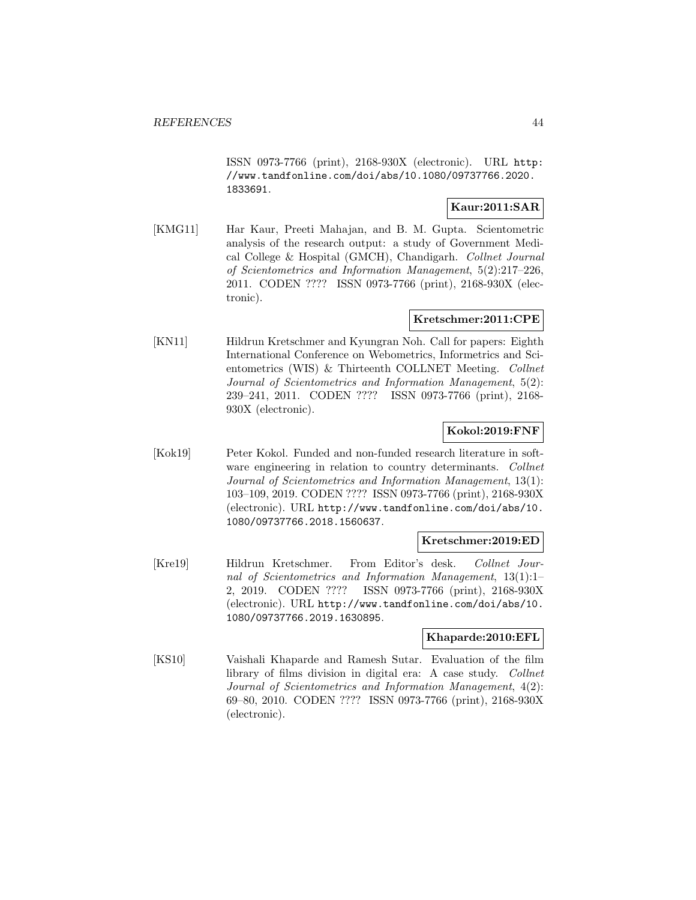ISSN 0973-7766 (print), 2168-930X (electronic). URL http: //www.tandfonline.com/doi/abs/10.1080/09737766.2020. 1833691.

# **Kaur:2011:SAR**

[KMG11] Har Kaur, Preeti Mahajan, and B. M. Gupta. Scientometric analysis of the research output: a study of Government Medical College & Hospital (GMCH), Chandigarh. Collnet Journal of Scientometrics and Information Management, 5(2):217–226, 2011. CODEN ???? ISSN 0973-7766 (print), 2168-930X (electronic).

# **Kretschmer:2011:CPE**

[KN11] Hildrun Kretschmer and Kyungran Noh. Call for papers: Eighth International Conference on Webometrics, Informetrics and Scientometrics (WIS) & Thirteenth COLLNET Meeting. Collnet Journal of Scientometrics and Information Management, 5(2): 239–241, 2011. CODEN ???? ISSN 0973-7766 (print), 2168- 930X (electronic).

# **Kokol:2019:FNF**

[Kok19] Peter Kokol. Funded and non-funded research literature in software engineering in relation to country determinants. Collnet Journal of Scientometrics and Information Management, 13(1): 103–109, 2019. CODEN ???? ISSN 0973-7766 (print), 2168-930X (electronic). URL http://www.tandfonline.com/doi/abs/10. 1080/09737766.2018.1560637.

#### **Kretschmer:2019:ED**

[Kre19] Hildrun Kretschmer. From Editor's desk. Collnet Journal of Scientometrics and Information Management, 13(1):1– 2, 2019. CODEN ???? ISSN 0973-7766 (print), 2168-930X (electronic). URL http://www.tandfonline.com/doi/abs/10. 1080/09737766.2019.1630895.

### **Khaparde:2010:EFL**

[KS10] Vaishali Khaparde and Ramesh Sutar. Evaluation of the film library of films division in digital era: A case study. Collnet Journal of Scientometrics and Information Management, 4(2): 69–80, 2010. CODEN ???? ISSN 0973-7766 (print), 2168-930X (electronic).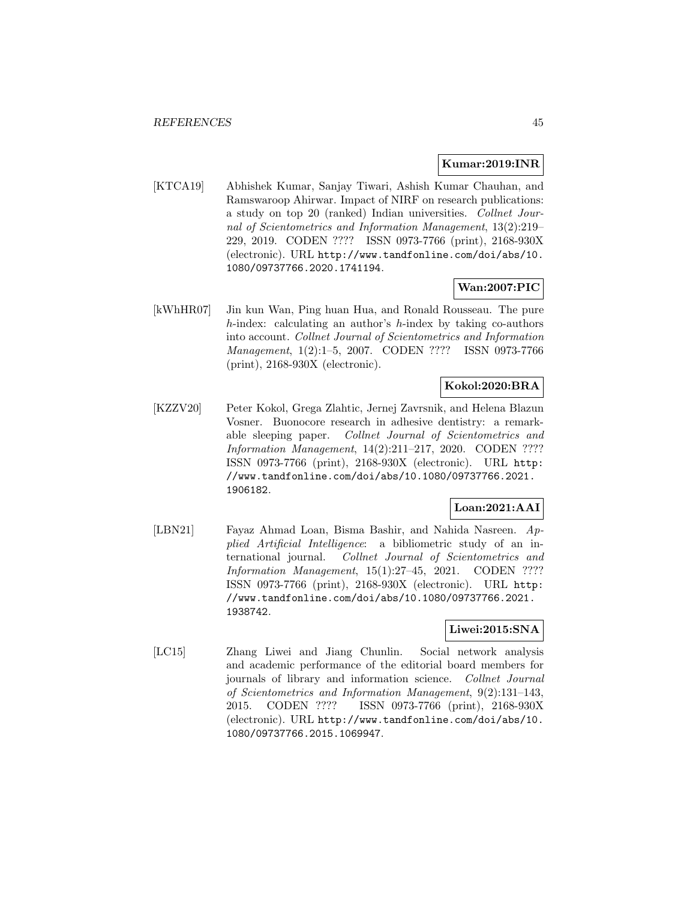#### **Kumar:2019:INR**

[KTCA19] Abhishek Kumar, Sanjay Tiwari, Ashish Kumar Chauhan, and Ramswaroop Ahirwar. Impact of NIRF on research publications: a study on top 20 (ranked) Indian universities. Collnet Journal of Scientometrics and Information Management, 13(2):219– 229, 2019. CODEN ???? ISSN 0973-7766 (print), 2168-930X (electronic). URL http://www.tandfonline.com/doi/abs/10. 1080/09737766.2020.1741194.

#### **Wan:2007:PIC**

[kWhHR07] Jin kun Wan, Ping huan Hua, and Ronald Rousseau. The pure h-index: calculating an author's h-index by taking co-authors into account. Collnet Journal of Scientometrics and Information Management, 1(2):1–5, 2007. CODEN ???? ISSN 0973-7766 (print), 2168-930X (electronic).

# **Kokol:2020:BRA**

[KZZV20] Peter Kokol, Grega Zlahtic, Jernej Zavrsnik, and Helena Blazun Vosner. Buonocore research in adhesive dentistry: a remarkable sleeping paper. Collnet Journal of Scientometrics and Information Management, 14(2):211–217, 2020. CODEN ???? ISSN 0973-7766 (print), 2168-930X (electronic). URL http: //www.tandfonline.com/doi/abs/10.1080/09737766.2021. 1906182.

## **Loan:2021:AAI**

[LBN21] Fayaz Ahmad Loan, Bisma Bashir, and Nahida Nasreen. Applied Artificial Intelligence: a bibliometric study of an international journal. Collnet Journal of Scientometrics and Information Management, 15(1):27–45, 2021. CODEN ???? ISSN 0973-7766 (print), 2168-930X (electronic). URL http: //www.tandfonline.com/doi/abs/10.1080/09737766.2021. 1938742.

### **Liwei:2015:SNA**

[LC15] Zhang Liwei and Jiang Chunlin. Social network analysis and academic performance of the editorial board members for journals of library and information science. Collnet Journal of Scientometrics and Information Management, 9(2):131–143, 2015. CODEN ???? ISSN 0973-7766 (print), 2168-930X (electronic). URL http://www.tandfonline.com/doi/abs/10. 1080/09737766.2015.1069947.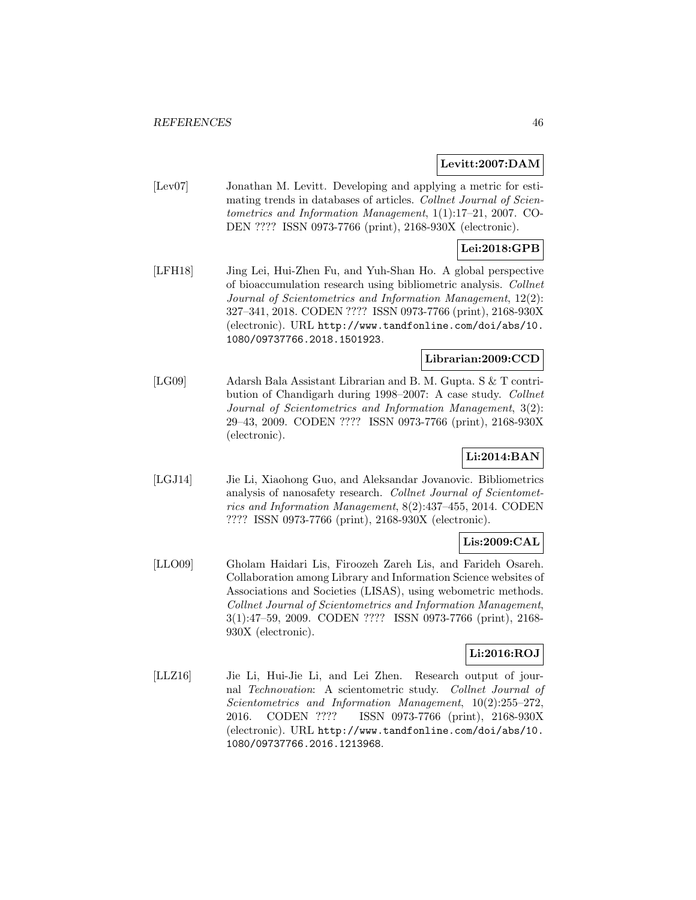#### **Levitt:2007:DAM**

[Lev07] Jonathan M. Levitt. Developing and applying a metric for estimating trends in databases of articles. Collnet Journal of Scientometrics and Information Management, 1(1):17–21, 2007. CO-DEN ???? ISSN 0973-7766 (print), 2168-930X (electronic).

# **Lei:2018:GPB**

[LFH18] Jing Lei, Hui-Zhen Fu, and Yuh-Shan Ho. A global perspective of bioaccumulation research using bibliometric analysis. Collnet Journal of Scientometrics and Information Management, 12(2): 327–341, 2018. CODEN ???? ISSN 0973-7766 (print), 2168-930X (electronic). URL http://www.tandfonline.com/doi/abs/10. 1080/09737766.2018.1501923.

## **Librarian:2009:CCD**

[LG09] Adarsh Bala Assistant Librarian and B. M. Gupta. S & T contribution of Chandigarh during 1998–2007: A case study. Collnet Journal of Scientometrics and Information Management, 3(2): 29–43, 2009. CODEN ???? ISSN 0973-7766 (print), 2168-930X (electronic).

# **Li:2014:BAN**

[LGJ14] Jie Li, Xiaohong Guo, and Aleksandar Jovanovic. Bibliometrics analysis of nanosafety research. Collnet Journal of Scientometrics and Information Management, 8(2):437–455, 2014. CODEN ???? ISSN 0973-7766 (print), 2168-930X (electronic).

# **Lis:2009:CAL**

[LLO09] Gholam Haidari Lis, Firoozeh Zareh Lis, and Farideh Osareh. Collaboration among Library and Information Science websites of Associations and Societies (LISAS), using webometric methods. Collnet Journal of Scientometrics and Information Management, 3(1):47–59, 2009. CODEN ???? ISSN 0973-7766 (print), 2168- 930X (electronic).

# **Li:2016:ROJ**

[LLZ16] Jie Li, Hui-Jie Li, and Lei Zhen. Research output of journal Technovation: A scientometric study. Collnet Journal of Scientometrics and Information Management, 10(2):255–272, 2016. CODEN ???? ISSN 0973-7766 (print), 2168-930X (electronic). URL http://www.tandfonline.com/doi/abs/10. 1080/09737766.2016.1213968.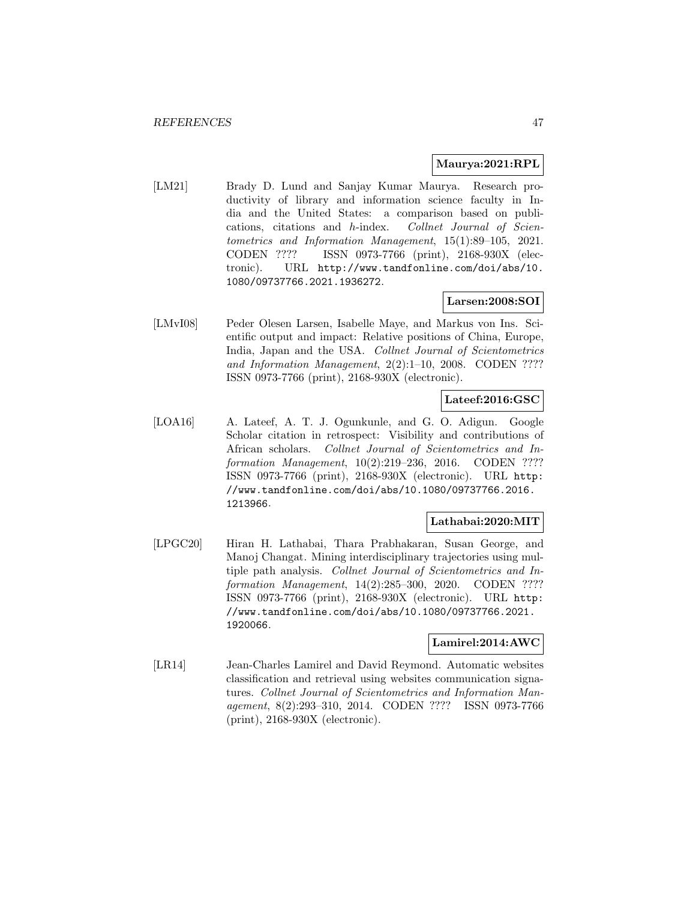#### **Maurya:2021:RPL**

[LM21] Brady D. Lund and Sanjay Kumar Maurya. Research productivity of library and information science faculty in India and the United States: a comparison based on publications, citations and h-index. Collnet Journal of Scientometrics and Information Management, 15(1):89–105, 2021. CODEN ???? ISSN 0973-7766 (print), 2168-930X (electronic). URL http://www.tandfonline.com/doi/abs/10. 1080/09737766.2021.1936272.

# **Larsen:2008:SOI**

[LMvI08] Peder Olesen Larsen, Isabelle Maye, and Markus von Ins. Scientific output and impact: Relative positions of China, Europe, India, Japan and the USA. Collnet Journal of Scientometrics and Information Management, 2(2):1–10, 2008. CODEN ???? ISSN 0973-7766 (print), 2168-930X (electronic).

# **Lateef:2016:GSC**

[LOA16] A. Lateef, A. T. J. Ogunkunle, and G. O. Adigun. Google Scholar citation in retrospect: Visibility and contributions of African scholars. Collnet Journal of Scientometrics and Information Management, 10(2):219–236, 2016. CODEN ???? ISSN 0973-7766 (print), 2168-930X (electronic). URL http: //www.tandfonline.com/doi/abs/10.1080/09737766.2016. 1213966.

#### **Lathabai:2020:MIT**

[LPGC20] Hiran H. Lathabai, Thara Prabhakaran, Susan George, and Manoj Changat. Mining interdisciplinary trajectories using multiple path analysis. Collnet Journal of Scientometrics and Information Management, 14(2):285–300, 2020. CODEN ???? ISSN 0973-7766 (print), 2168-930X (electronic). URL http: //www.tandfonline.com/doi/abs/10.1080/09737766.2021. 1920066.

# **Lamirel:2014:AWC**

[LR14] Jean-Charles Lamirel and David Reymond. Automatic websites classification and retrieval using websites communication signatures. Collnet Journal of Scientometrics and Information Management, 8(2):293–310, 2014. CODEN ???? ISSN 0973-7766 (print), 2168-930X (electronic).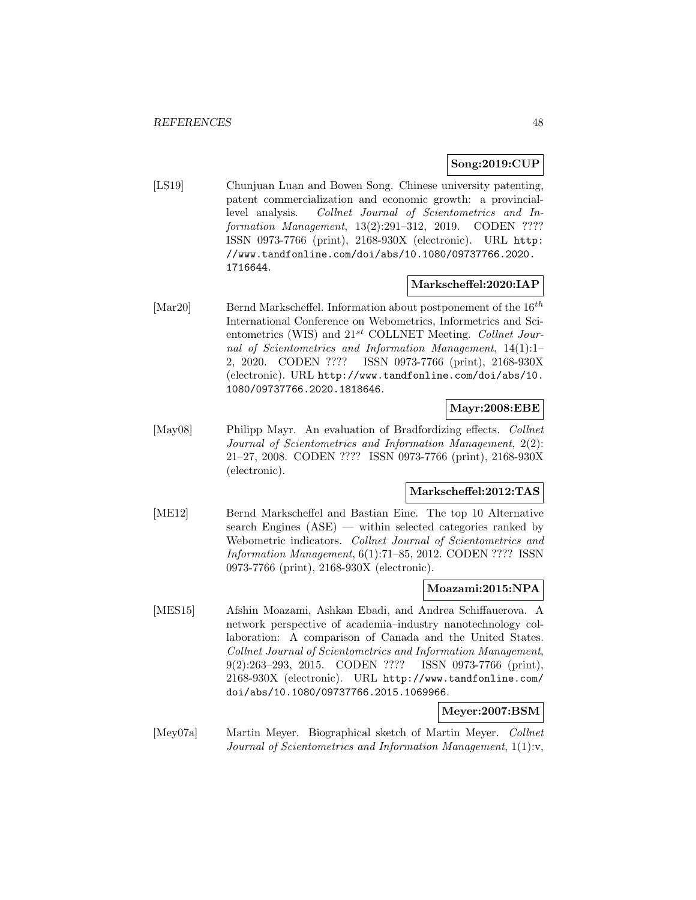### **Song:2019:CUP**

[LS19] Chunjuan Luan and Bowen Song. Chinese university patenting, patent commercialization and economic growth: a provinciallevel analysis. Collnet Journal of Scientometrics and Information Management, 13(2):291–312, 2019. CODEN ???? ISSN 0973-7766 (print), 2168-930X (electronic). URL http: //www.tandfonline.com/doi/abs/10.1080/09737766.2020. 1716644.

#### **Markscheffel:2020:IAP**

[Mar20] Bernd Markscheffel. Information about postponement of the  $16^{th}$ International Conference on Webometrics, Informetrics and Scientometrics (WIS) and  $21^{st}$  COLLNET Meeting. Collnet Journal of Scientometrics and Information Management, 14(1):1– 2, 2020. CODEN ???? ISSN 0973-7766 (print), 2168-930X (electronic). URL http://www.tandfonline.com/doi/abs/10. 1080/09737766.2020.1818646.

### **Mayr:2008:EBE**

[May08] Philipp Mayr. An evaluation of Bradfordizing effects. Collnet Journal of Scientometrics and Information Management, 2(2): 21–27, 2008. CODEN ???? ISSN 0973-7766 (print), 2168-930X (electronic).

#### **Markscheffel:2012:TAS**

[ME12] Bernd Markscheffel and Bastian Eine. The top 10 Alternative search Engines (ASE) — within selected categories ranked by Webometric indicators. Collnet Journal of Scientometrics and Information Management, 6(1):71–85, 2012. CODEN ???? ISSN 0973-7766 (print), 2168-930X (electronic).

#### **Moazami:2015:NPA**

[MES15] Afshin Moazami, Ashkan Ebadi, and Andrea Schiffauerova. A network perspective of academia–industry nanotechnology collaboration: A comparison of Canada and the United States. Collnet Journal of Scientometrics and Information Management, 9(2):263–293, 2015. CODEN ???? ISSN 0973-7766 (print), 2168-930X (electronic). URL http://www.tandfonline.com/ doi/abs/10.1080/09737766.2015.1069966.

# **Meyer:2007:BSM**

[Mey07a] Martin Meyer. Biographical sketch of Martin Meyer. Collnet Journal of Scientometrics and Information Management, 1(1):v,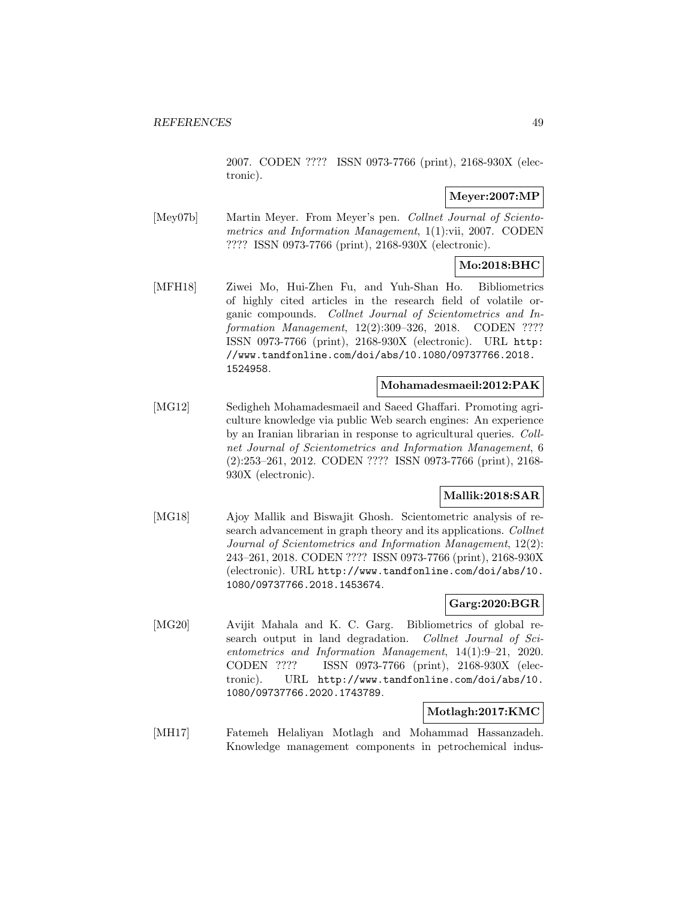2007. CODEN ???? ISSN 0973-7766 (print), 2168-930X (electronic).

# **Meyer:2007:MP**

[Mey07b] Martin Meyer. From Meyer's pen. Collnet Journal of Scientometrics and Information Management, 1(1):vii, 2007. CODEN ???? ISSN 0973-7766 (print), 2168-930X (electronic).

# **Mo:2018:BHC**

[MFH18] Ziwei Mo, Hui-Zhen Fu, and Yuh-Shan Ho. Bibliometrics of highly cited articles in the research field of volatile organic compounds. Collnet Journal of Scientometrics and Information Management, 12(2):309–326, 2018. CODEN ???? ISSN 0973-7766 (print), 2168-930X (electronic). URL http: //www.tandfonline.com/doi/abs/10.1080/09737766.2018. 1524958.

### **Mohamadesmaeil:2012:PAK**

[MG12] Sedigheh Mohamadesmaeil and Saeed Ghaffari. Promoting agriculture knowledge via public Web search engines: An experience by an Iranian librarian in response to agricultural queries. Collnet Journal of Scientometrics and Information Management, 6 (2):253–261, 2012. CODEN ???? ISSN 0973-7766 (print), 2168- 930X (electronic).

# **Mallik:2018:SAR**

[MG18] Ajoy Mallik and Biswajit Ghosh. Scientometric analysis of research advancement in graph theory and its applications. Collnet Journal of Scientometrics and Information Management, 12(2): 243–261, 2018. CODEN ???? ISSN 0973-7766 (print), 2168-930X (electronic). URL http://www.tandfonline.com/doi/abs/10. 1080/09737766.2018.1453674.

## **Garg:2020:BGR**

[MG20] Avijit Mahala and K. C. Garg. Bibliometrics of global research output in land degradation. Collnet Journal of Scientometrics and Information Management, 14(1):9–21, 2020. CODEN ???? ISSN 0973-7766 (print), 2168-930X (electronic). URL http://www.tandfonline.com/doi/abs/10. 1080/09737766.2020.1743789.

# **Motlagh:2017:KMC**

[MH17] Fatemeh Helaliyan Motlagh and Mohammad Hassanzadeh. Knowledge management components in petrochemical indus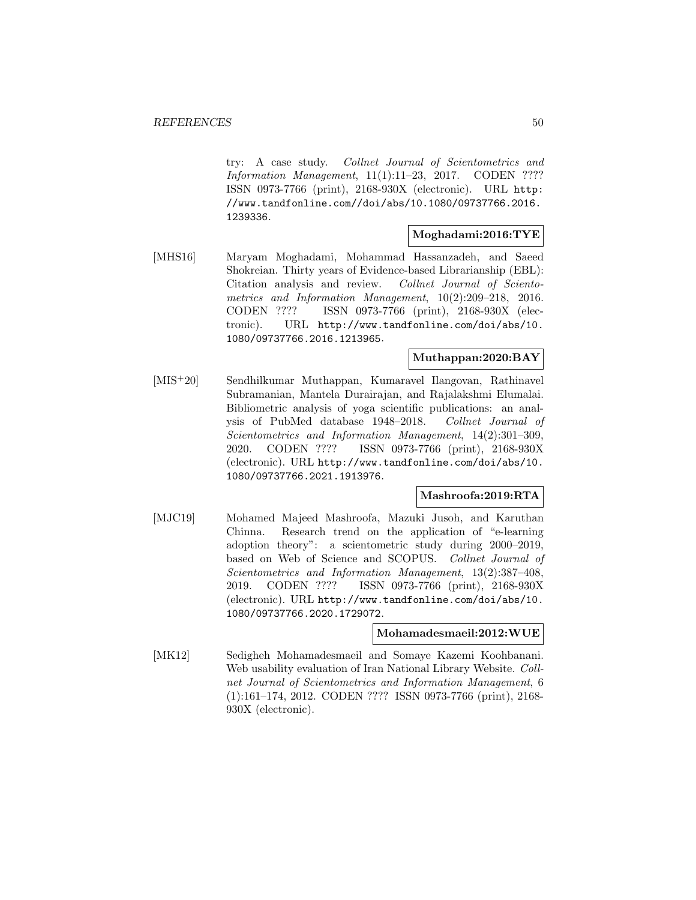try: A case study. Collnet Journal of Scientometrics and Information Management, 11(1):11–23, 2017. CODEN ???? ISSN 0973-7766 (print), 2168-930X (electronic). URL http: //www.tandfonline.com//doi/abs/10.1080/09737766.2016. 1239336.

# **Moghadami:2016:TYE**

[MHS16] Maryam Moghadami, Mohammad Hassanzadeh, and Saeed Shokreian. Thirty years of Evidence-based Librarianship (EBL): Citation analysis and review. Collnet Journal of Scientometrics and Information Management, 10(2):209–218, 2016. CODEN ???? ISSN 0973-7766 (print), 2168-930X (electronic). URL http://www.tandfonline.com/doi/abs/10. 1080/09737766.2016.1213965.

# **Muthappan:2020:BAY**

[MIS<sup>+</sup>20] Sendhilkumar Muthappan, Kumaravel Ilangovan, Rathinavel Subramanian, Mantela Durairajan, and Rajalakshmi Elumalai. Bibliometric analysis of yoga scientific publications: an analysis of PubMed database 1948–2018. Collnet Journal of Scientometrics and Information Management, 14(2):301–309, 2020. CODEN ???? ISSN 0973-7766 (print), 2168-930X (electronic). URL http://www.tandfonline.com/doi/abs/10. 1080/09737766.2021.1913976.

# **Mashroofa:2019:RTA**

[MJC19] Mohamed Majeed Mashroofa, Mazuki Jusoh, and Karuthan Chinna. Research trend on the application of "e-learning adoption theory": a scientometric study during 2000–2019, based on Web of Science and SCOPUS. Collnet Journal of Scientometrics and Information Management, 13(2):387–408, 2019. CODEN ???? ISSN 0973-7766 (print), 2168-930X (electronic). URL http://www.tandfonline.com/doi/abs/10. 1080/09737766.2020.1729072.

#### **Mohamadesmaeil:2012:WUE**

[MK12] Sedigheh Mohamadesmaeil and Somaye Kazemi Koohbanani. Web usability evaluation of Iran National Library Website. Collnet Journal of Scientometrics and Information Management, 6 (1):161–174, 2012. CODEN ???? ISSN 0973-7766 (print), 2168- 930X (electronic).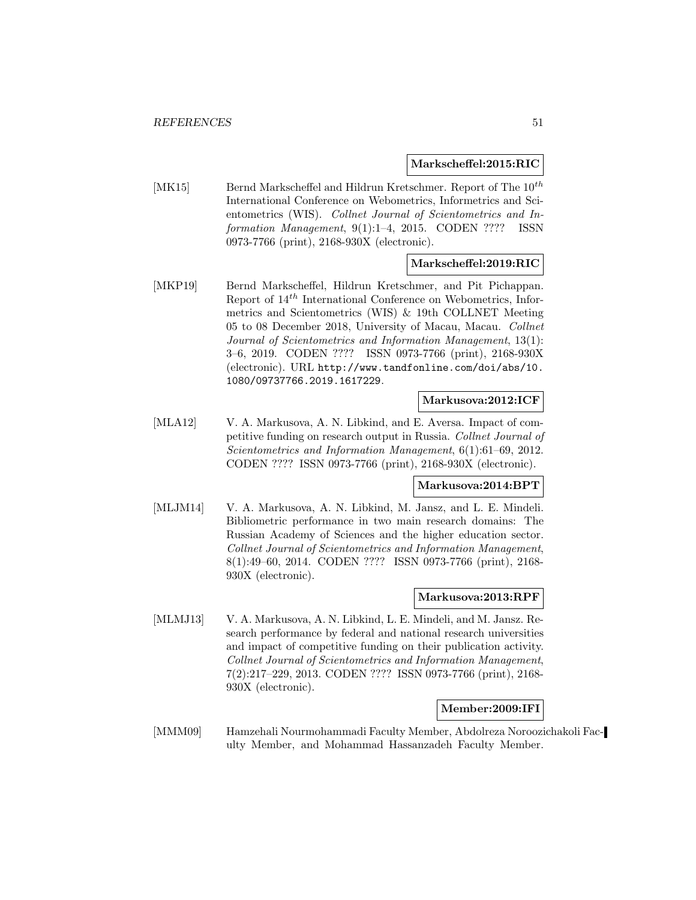**Markscheffel:2015:RIC**

[MK15] Bernd Markscheffel and Hildrun Kretschmer. Report of The  $10^{th}$ International Conference on Webometrics, Informetrics and Scientometrics (WIS). Collnet Journal of Scientometrics and Information Management, 9(1):1–4, 2015. CODEN ???? ISSN 0973-7766 (print), 2168-930X (electronic).

### **Markscheffel:2019:RIC**

[MKP19] Bernd Markscheffel, Hildrun Kretschmer, and Pit Pichappan. Report of  $14^{th}$  International Conference on Webometrics, Informetrics and Scientometrics (WIS) & 19th COLLNET Meeting 05 to 08 December 2018, University of Macau, Macau. Collnet Journal of Scientometrics and Information Management, 13(1): 3–6, 2019. CODEN ???? ISSN 0973-7766 (print), 2168-930X (electronic). URL http://www.tandfonline.com/doi/abs/10. 1080/09737766.2019.1617229.

#### **Markusova:2012:ICF**

[MLA12] V. A. Markusova, A. N. Libkind, and E. Aversa. Impact of competitive funding on research output in Russia. Collnet Journal of Scientometrics and Information Management, 6(1):61–69, 2012. CODEN ???? ISSN 0973-7766 (print), 2168-930X (electronic).

#### **Markusova:2014:BPT**

[MLJM14] V. A. Markusova, A. N. Libkind, M. Jansz, and L. E. Mindeli. Bibliometric performance in two main research domains: The Russian Academy of Sciences and the higher education sector. Collnet Journal of Scientometrics and Information Management, 8(1):49–60, 2014. CODEN ???? ISSN 0973-7766 (print), 2168- 930X (electronic).

#### **Markusova:2013:RPF**

[MLMJ13] V. A. Markusova, A. N. Libkind, L. E. Mindeli, and M. Jansz. Research performance by federal and national research universities and impact of competitive funding on their publication activity. Collnet Journal of Scientometrics and Information Management, 7(2):217–229, 2013. CODEN ???? ISSN 0973-7766 (print), 2168- 930X (electronic).

### **Member:2009:IFI**

[MMM09] Hamzehali Nourmohammadi Faculty Member, Abdolreza Noroozichakoli Faculty Member, and Mohammad Hassanzadeh Faculty Member.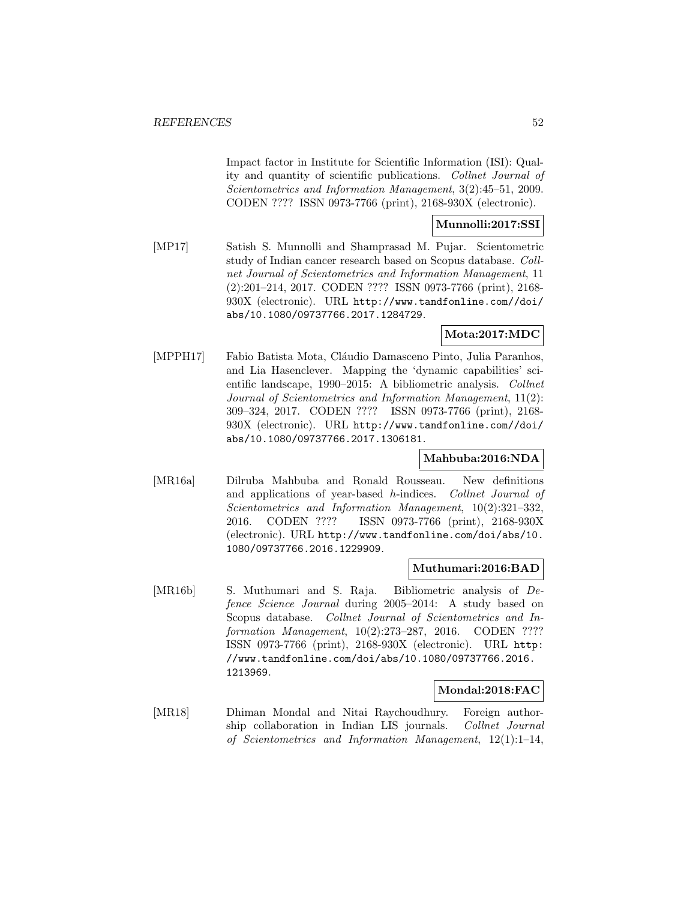Impact factor in Institute for Scientific Information (ISI): Quality and quantity of scientific publications. Collnet Journal of Scientometrics and Information Management, 3(2):45–51, 2009. CODEN ???? ISSN 0973-7766 (print), 2168-930X (electronic).

## **Munnolli:2017:SSI**

[MP17] Satish S. Munnolli and Shamprasad M. Pujar. Scientometric study of Indian cancer research based on Scopus database. Collnet Journal of Scientometrics and Information Management, 11 (2):201–214, 2017. CODEN ???? ISSN 0973-7766 (print), 2168- 930X (electronic). URL http://www.tandfonline.com//doi/ abs/10.1080/09737766.2017.1284729.

### **Mota:2017:MDC**

[MPPH17] Fabio Batista Mota, Cláudio Damasceno Pinto, Julia Paranhos, and Lia Hasenclever. Mapping the 'dynamic capabilities' scientific landscape, 1990–2015: A bibliometric analysis. Collnet Journal of Scientometrics and Information Management, 11(2): 309–324, 2017. CODEN ???? ISSN 0973-7766 (print), 2168- 930X (electronic). URL http://www.tandfonline.com//doi/ abs/10.1080/09737766.2017.1306181.

#### **Mahbuba:2016:NDA**

[MR16a] Dilruba Mahbuba and Ronald Rousseau. New definitions and applications of year-based h-indices. Collnet Journal of Scientometrics and Information Management, 10(2):321–332, 2016. CODEN ???? ISSN 0973-7766 (print), 2168-930X (electronic). URL http://www.tandfonline.com/doi/abs/10. 1080/09737766.2016.1229909.

#### **Muthumari:2016:BAD**

[MR16b] S. Muthumari and S. Raja. Bibliometric analysis of Defence Science Journal during 2005–2014: A study based on Scopus database. Collnet Journal of Scientometrics and Information Management, 10(2):273–287, 2016. CODEN ???? ISSN 0973-7766 (print), 2168-930X (electronic). URL http: //www.tandfonline.com/doi/abs/10.1080/09737766.2016. 1213969.

#### **Mondal:2018:FAC**

[MR18] Dhiman Mondal and Nitai Raychoudhury. Foreign authorship collaboration in Indian LIS journals. Collnet Journal of Scientometrics and Information Management, 12(1):1–14,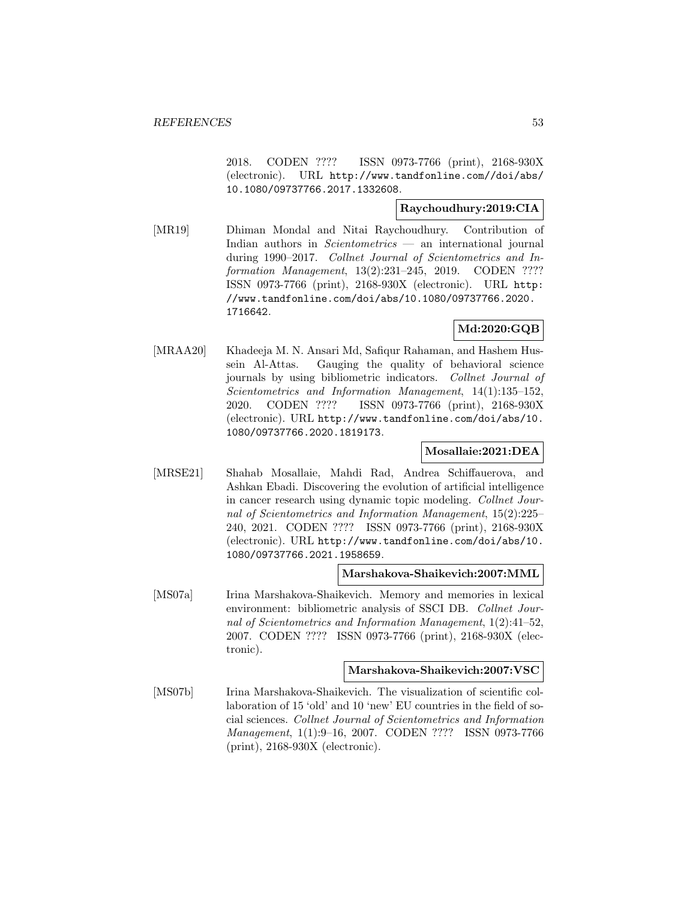2018. CODEN ???? ISSN 0973-7766 (print), 2168-930X (electronic). URL http://www.tandfonline.com//doi/abs/ 10.1080/09737766.2017.1332608.

## **Raychoudhury:2019:CIA**

[MR19] Dhiman Mondal and Nitai Raychoudhury. Contribution of Indian authors in Scientometrics — an international journal during 1990–2017. Collnet Journal of Scientometrics and Information Management, 13(2):231–245, 2019. CODEN ???? ISSN 0973-7766 (print), 2168-930X (electronic). URL http: //www.tandfonline.com/doi/abs/10.1080/09737766.2020. 1716642.

# **Md:2020:GQB**

[MRAA20] Khadeeja M. N. Ansari Md, Safiqur Rahaman, and Hashem Hussein Al-Attas. Gauging the quality of behavioral science journals by using bibliometric indicators. Collnet Journal of Scientometrics and Information Management, 14(1):135–152, 2020. CODEN ???? ISSN 0973-7766 (print), 2168-930X (electronic). URL http://www.tandfonline.com/doi/abs/10. 1080/09737766.2020.1819173.

# **Mosallaie:2021:DEA**

[MRSE21] Shahab Mosallaie, Mahdi Rad, Andrea Schiffauerova, and Ashkan Ebadi. Discovering the evolution of artificial intelligence in cancer research using dynamic topic modeling. Collnet Journal of Scientometrics and Information Management, 15(2):225– 240, 2021. CODEN ???? ISSN 0973-7766 (print), 2168-930X (electronic). URL http://www.tandfonline.com/doi/abs/10. 1080/09737766.2021.1958659.

#### **Marshakova-Shaikevich:2007:MML**

[MS07a] Irina Marshakova-Shaikevich. Memory and memories in lexical environment: bibliometric analysis of SSCI DB. Collnet Journal of Scientometrics and Information Management, 1(2):41–52, 2007. CODEN ???? ISSN 0973-7766 (print), 2168-930X (electronic).

#### **Marshakova-Shaikevich:2007:VSC**

[MS07b] Irina Marshakova-Shaikevich. The visualization of scientific collaboration of 15 'old' and 10 'new' EU countries in the field of social sciences. Collnet Journal of Scientometrics and Information Management, 1(1):9–16, 2007. CODEN ???? ISSN 0973-7766 (print), 2168-930X (electronic).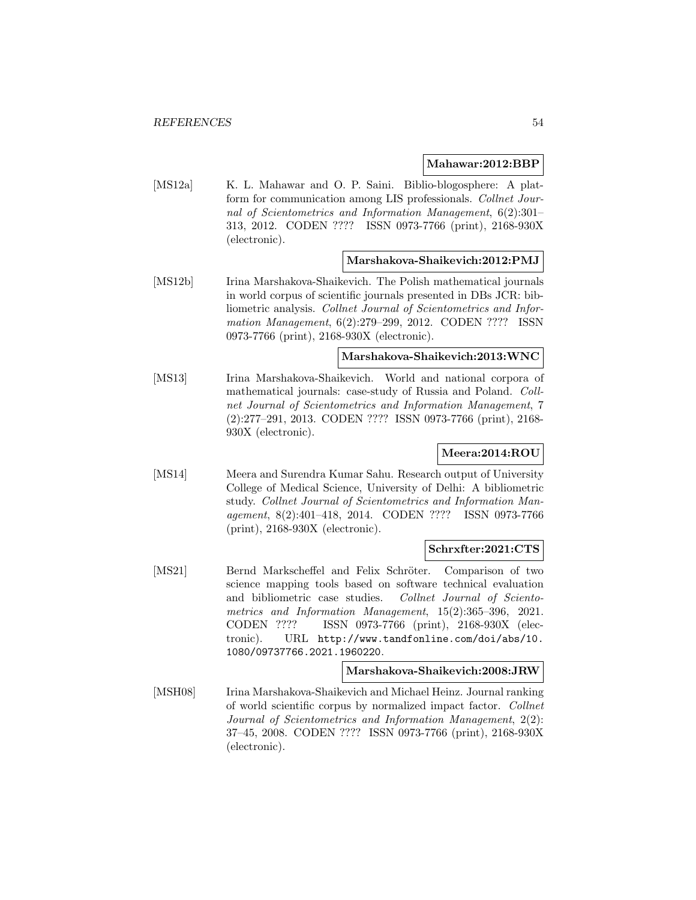#### **Mahawar:2012:BBP**

[MS12a] K. L. Mahawar and O. P. Saini. Biblio-blogosphere: A platform for communication among LIS professionals. Collnet Journal of Scientometrics and Information Management, 6(2):301– 313, 2012. CODEN ???? ISSN 0973-7766 (print), 2168-930X (electronic).

#### **Marshakova-Shaikevich:2012:PMJ**

[MS12b] Irina Marshakova-Shaikevich. The Polish mathematical journals in world corpus of scientific journals presented in DBs JCR: bibliometric analysis. Collnet Journal of Scientometrics and Information Management, 6(2):279–299, 2012. CODEN ???? ISSN 0973-7766 (print), 2168-930X (electronic).

### **Marshakova-Shaikevich:2013:WNC**

[MS13] Irina Marshakova-Shaikevich. World and national corpora of mathematical journals: case-study of Russia and Poland. Collnet Journal of Scientometrics and Information Management, 7 (2):277–291, 2013. CODEN ???? ISSN 0973-7766 (print), 2168- 930X (electronic).

# **Meera:2014:ROU**

[MS14] Meera and Surendra Kumar Sahu. Research output of University College of Medical Science, University of Delhi: A bibliometric study. Collnet Journal of Scientometrics and Information Management, 8(2):401–418, 2014. CODEN ???? ISSN 0973-7766 (print), 2168-930X (electronic).

#### **Schrxfter:2021:CTS**

[MS21] Bernd Markscheffel and Felix Schröter. Comparison of two science mapping tools based on software technical evaluation and bibliometric case studies. Collnet Journal of Scientometrics and Information Management, 15(2):365–396, 2021. CODEN ???? ISSN 0973-7766 (print), 2168-930X (electronic). URL http://www.tandfonline.com/doi/abs/10. 1080/09737766.2021.1960220.

#### **Marshakova-Shaikevich:2008:JRW**

[MSH08] Irina Marshakova-Shaikevich and Michael Heinz. Journal ranking of world scientific corpus by normalized impact factor. Collnet Journal of Scientometrics and Information Management, 2(2): 37–45, 2008. CODEN ???? ISSN 0973-7766 (print), 2168-930X (electronic).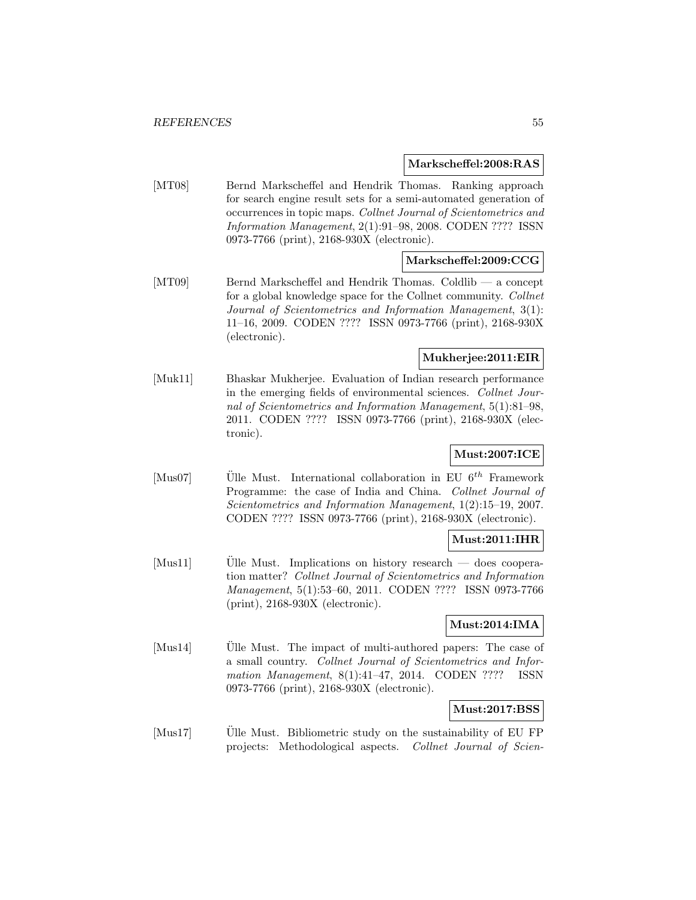#### **Markscheffel:2008:RAS**

[MT08] Bernd Markscheffel and Hendrik Thomas. Ranking approach for search engine result sets for a semi-automated generation of occurrences in topic maps. Collnet Journal of Scientometrics and Information Management, 2(1):91–98, 2008. CODEN ???? ISSN 0973-7766 (print), 2168-930X (electronic).

### **Markscheffel:2009:CCG**

[MT09] Bernd Markscheffel and Hendrik Thomas. Coldlib — a concept for a global knowledge space for the Collnet community. Collnet Journal of Scientometrics and Information Management, 3(1): 11–16, 2009. CODEN ???? ISSN 0973-7766 (print), 2168-930X (electronic).

## **Mukherjee:2011:EIR**

[Muk11] Bhaskar Mukherjee. Evaluation of Indian research performance in the emerging fields of environmental sciences. Collnet Journal of Scientometrics and Information Management, 5(1):81–98, 2011. CODEN ???? ISSN 0973-7766 (print), 2168-930X (electronic).

# **Must:2007:ICE**

[Mus07] Ulle Must. International collaboration in EU  $6^{th}$  Framework Programme: the case of India and China. Collnet Journal of Scientometrics and Information Management, 1(2):15–19, 2007. CODEN ???? ISSN 0973-7766 (print), 2168-930X (electronic).

#### **Must:2011:IHR**

[Mus11] Ulle Must. Implications on history research — does cooperation matter? Collnet Journal of Scientometrics and Information Management, 5(1):53–60, 2011. CODEN ???? ISSN 0973-7766 (print), 2168-930X (electronic).

# **Must:2014:IMA**

 $[Mus14]$  Ulle Must. The impact of multi-authored papers: The case of a small country. Collnet Journal of Scientometrics and Information Management, 8(1):41-47, 2014. CODEN ???? ISSN 0973-7766 (print), 2168-930X (electronic).

#### **Must:2017:BSS**

 $[Mus17]$  Ulle Must. Bibliometric study on the sustainability of EU FP projects: Methodological aspects. Collnet Journal of Scien-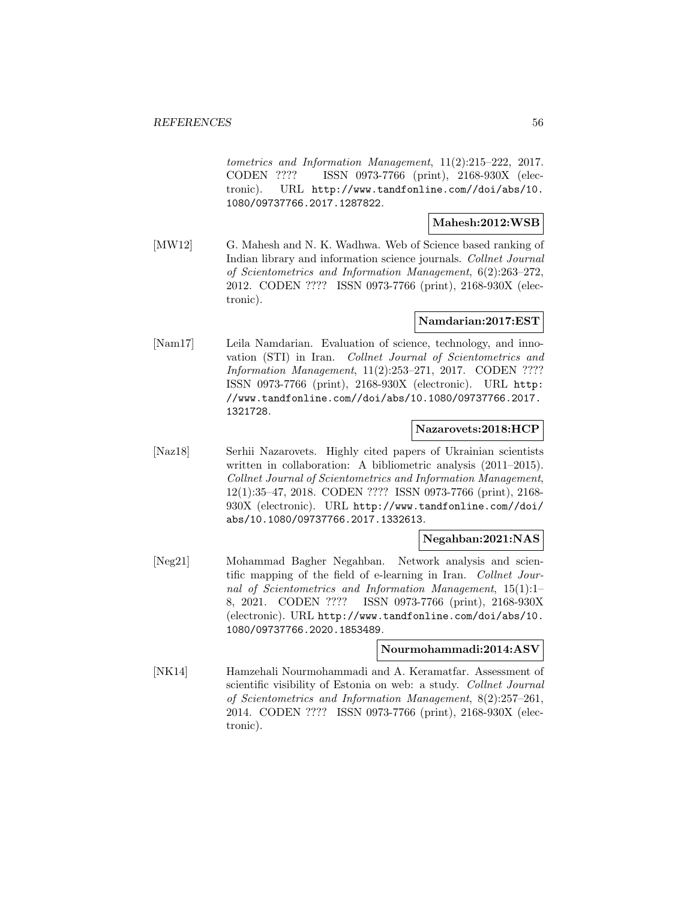tometrics and Information Management, 11(2):215–222, 2017. CODEN ???? ISSN 0973-7766 (print), 2168-930X (electronic). URL http://www.tandfonline.com//doi/abs/10. 1080/09737766.2017.1287822.

# **Mahesh:2012:WSB**

[MW12] G. Mahesh and N. K. Wadhwa. Web of Science based ranking of Indian library and information science journals. Collnet Journal of Scientometrics and Information Management, 6(2):263–272, 2012. CODEN ???? ISSN 0973-7766 (print), 2168-930X (electronic).

### **Namdarian:2017:EST**

[Nam17] Leila Namdarian. Evaluation of science, technology, and innovation (STI) in Iran. Collnet Journal of Scientometrics and Information Management, 11(2):253–271, 2017. CODEN ???? ISSN 0973-7766 (print), 2168-930X (electronic). URL http: //www.tandfonline.com//doi/abs/10.1080/09737766.2017. 1321728.

### **Nazarovets:2018:HCP**

[Naz18] Serhii Nazarovets. Highly cited papers of Ukrainian scientists written in collaboration: A bibliometric analysis (2011–2015). Collnet Journal of Scientometrics and Information Management, 12(1):35–47, 2018. CODEN ???? ISSN 0973-7766 (print), 2168- 930X (electronic). URL http://www.tandfonline.com//doi/ abs/10.1080/09737766.2017.1332613.

#### **Negahban:2021:NAS**

[Neg21] Mohammad Bagher Negahban. Network analysis and scientific mapping of the field of e-learning in Iran. Collnet Journal of Scientometrics and Information Management, 15(1):1– 8, 2021. CODEN ???? ISSN 0973-7766 (print), 2168-930X (electronic). URL http://www.tandfonline.com/doi/abs/10. 1080/09737766.2020.1853489.

#### **Nourmohammadi:2014:ASV**

[NK14] Hamzehali Nourmohammadi and A. Keramatfar. Assessment of scientific visibility of Estonia on web: a study. Collnet Journal of Scientometrics and Information Management, 8(2):257–261, 2014. CODEN ???? ISSN 0973-7766 (print), 2168-930X (electronic).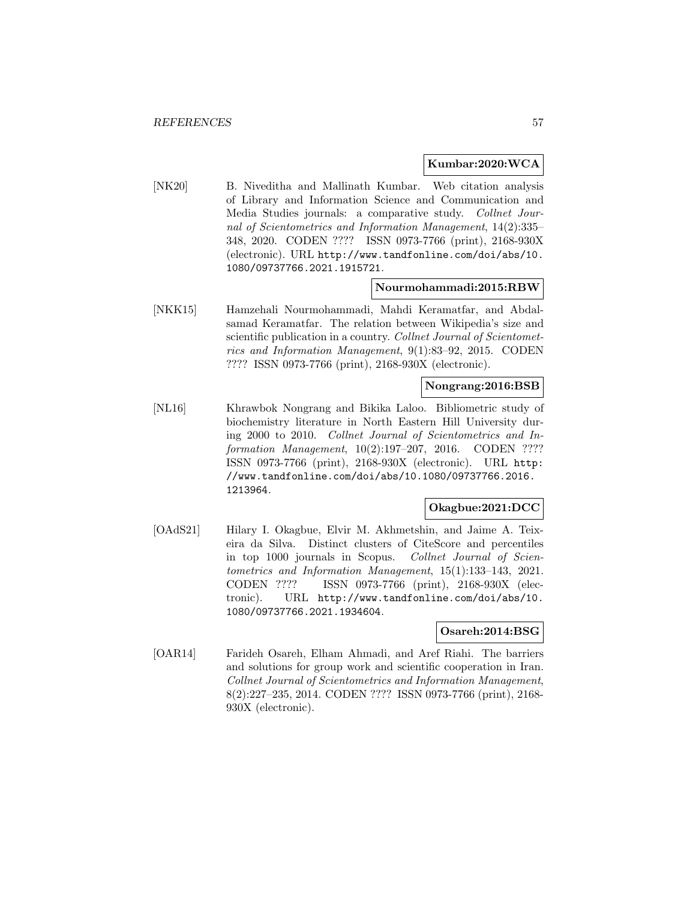#### **Kumbar:2020:WCA**

[NK20] B. Niveditha and Mallinath Kumbar. Web citation analysis of Library and Information Science and Communication and Media Studies journals: a comparative study. Collnet Journal of Scientometrics and Information Management, 14(2):335– 348, 2020. CODEN ???? ISSN 0973-7766 (print), 2168-930X (electronic). URL http://www.tandfonline.com/doi/abs/10. 1080/09737766.2021.1915721.

### **Nourmohammadi:2015:RBW**

[NKK15] Hamzehali Nourmohammadi, Mahdi Keramatfar, and Abdalsamad Keramatfar. The relation between Wikipedia's size and scientific publication in a country. Collnet Journal of Scientometrics and Information Management, 9(1):83–92, 2015. CODEN ???? ISSN 0973-7766 (print), 2168-930X (electronic).

#### **Nongrang:2016:BSB**

[NL16] Khrawbok Nongrang and Bikika Laloo. Bibliometric study of biochemistry literature in North Eastern Hill University during 2000 to 2010. Collnet Journal of Scientometrics and Information Management, 10(2):197-207, 2016. CODEN ???? ISSN 0973-7766 (print), 2168-930X (electronic). URL http: //www.tandfonline.com/doi/abs/10.1080/09737766.2016. 1213964.

# **Okagbue:2021:DCC**

[OAdS21] Hilary I. Okagbue, Elvir M. Akhmetshin, and Jaime A. Teixeira da Silva. Distinct clusters of CiteScore and percentiles in top 1000 journals in Scopus. Collnet Journal of Scientometrics and Information Management, 15(1):133–143, 2021. CODEN ???? ISSN 0973-7766 (print), 2168-930X (electronic). URL http://www.tandfonline.com/doi/abs/10. 1080/09737766.2021.1934604.

#### **Osareh:2014:BSG**

[OAR14] Farideh Osareh, Elham Ahmadi, and Aref Riahi. The barriers and solutions for group work and scientific cooperation in Iran. Collnet Journal of Scientometrics and Information Management, 8(2):227–235, 2014. CODEN ???? ISSN 0973-7766 (print), 2168- 930X (electronic).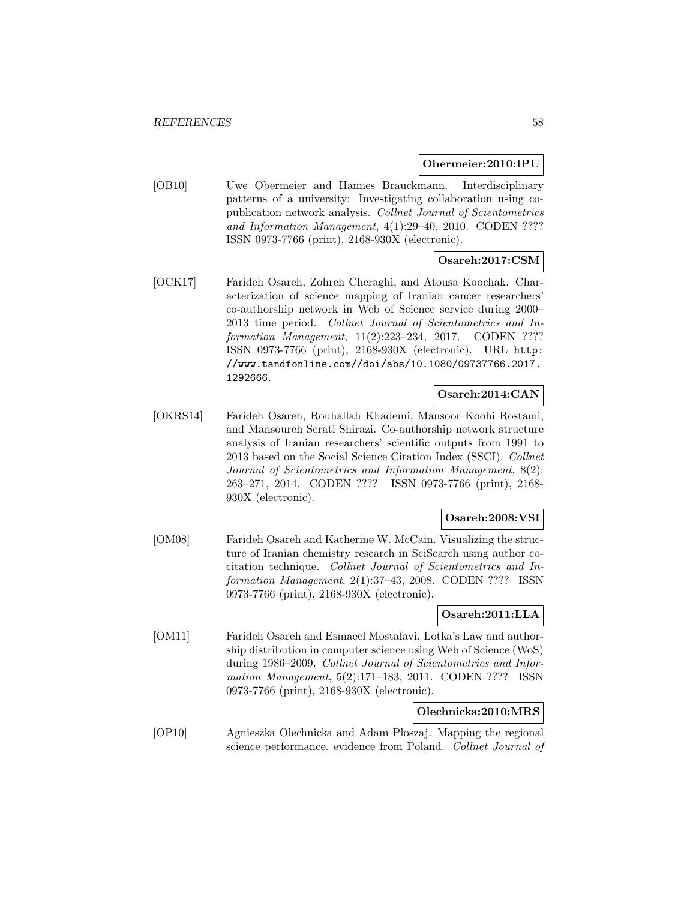#### **Obermeier:2010:IPU**

[OB10] Uwe Obermeier and Hannes Brauckmann. Interdisciplinary patterns of a university: Investigating collaboration using copublication network analysis. Collnet Journal of Scientometrics and Information Management, 4(1):29–40, 2010. CODEN ???? ISSN 0973-7766 (print), 2168-930X (electronic).

## **Osareh:2017:CSM**

[OCK17] Farideh Osareh, Zohreh Cheraghi, and Atousa Koochak. Characterization of science mapping of Iranian cancer researchers' co-authorship network in Web of Science service during 2000– 2013 time period. Collnet Journal of Scientometrics and Information Management, 11(2):223-234, 2017. CODEN ???? ISSN 0973-7766 (print), 2168-930X (electronic). URL http: //www.tandfonline.com//doi/abs/10.1080/09737766.2017. 1292666.

## **Osareh:2014:CAN**

[OKRS14] Farideh Osareh, Rouhallah Khademi, Mansoor Koohi Rostami, and Mansoureh Serati Shirazi. Co-authorship network structure analysis of Iranian researchers' scientific outputs from 1991 to 2013 based on the Social Science Citation Index (SSCI). Collnet Journal of Scientometrics and Information Management, 8(2): 263–271, 2014. CODEN ???? ISSN 0973-7766 (print), 2168- 930X (electronic).

## **Osareh:2008:VSI**

[OM08] Farideh Osareh and Katherine W. McCain. Visualizing the structure of Iranian chemistry research in SciSearch using author cocitation technique. Collnet Journal of Scientometrics and Information Management, 2(1):37–43, 2008. CODEN ???? ISSN 0973-7766 (print), 2168-930X (electronic).

#### **Osareh:2011:LLA**

[OM11] Farideh Osareh and Esmaeel Mostafavi. Lotka's Law and authorship distribution in computer science using Web of Science (WoS) during 1986–2009. Collnet Journal of Scientometrics and Information Management, 5(2):171–183, 2011. CODEN ???? ISSN 0973-7766 (print), 2168-930X (electronic).

## **Olechnicka:2010:MRS**

[OP10] Agnieszka Olechnicka and Adam Ploszaj. Mapping the regional science performance. evidence from Poland. Collnet Journal of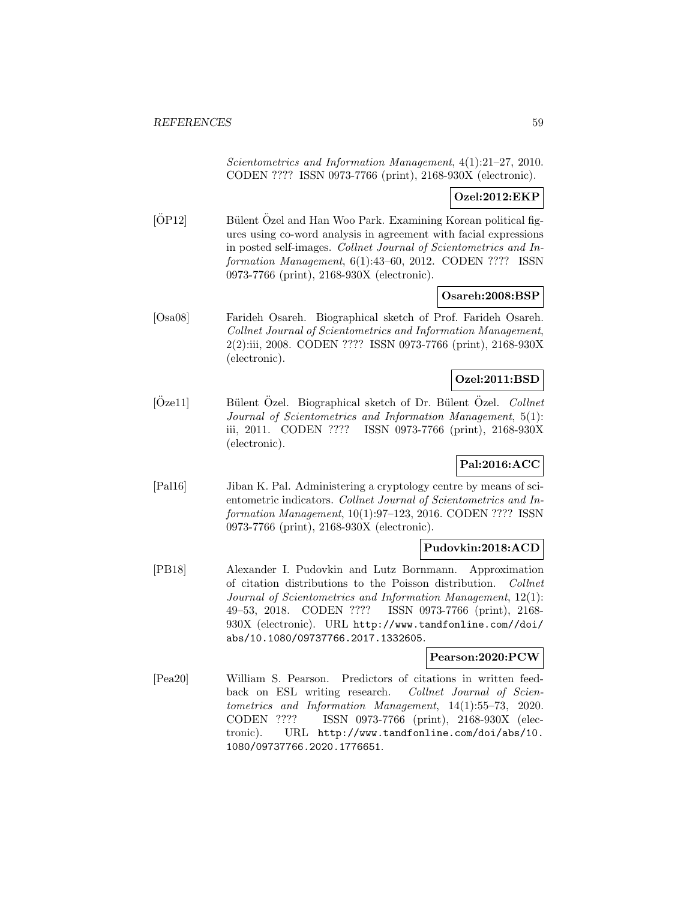Scientometrics and Information Management, 4(1):21–27, 2010. CODEN ???? ISSN 0973-7766 (print), 2168-930X (electronic).

# **Ozel:2012:EKP**

 $[OP12]$  Bülent Özel and Han Woo Park. Examining Korean political figures using co-word analysis in agreement with facial expressions in posted self-images. Collnet Journal of Scientometrics and Information Management, 6(1):43–60, 2012. CODEN ???? ISSN 0973-7766 (print), 2168-930X (electronic).

### **Osareh:2008:BSP**

[Osa08] Farideh Osareh. Biographical sketch of Prof. Farideh Osareh. Collnet Journal of Scientometrics and Information Management, 2(2):iii, 2008. CODEN ???? ISSN 0973-7766 (print), 2168-930X (electronic).

### **Ozel:2011:BSD**

 $[\text{Özel1}]$  Bülent Özel. Biographical sketch of Dr. Bülent Özel. Collnet Journal of Scientometrics and Information Management, 5(1): iii, 2011. CODEN ???? ISSN 0973-7766 (print), 2168-930X (electronic).

# **Pal:2016:ACC**

[Pal16] Jiban K. Pal. Administering a cryptology centre by means of scientometric indicators. Collnet Journal of Scientometrics and Information Management, 10(1):97–123, 2016. CODEN ???? ISSN 0973-7766 (print), 2168-930X (electronic).

#### **Pudovkin:2018:ACD**

[PB18] Alexander I. Pudovkin and Lutz Bornmann. Approximation of citation distributions to the Poisson distribution. Collnet Journal of Scientometrics and Information Management, 12(1): 49–53, 2018. CODEN ???? ISSN 0973-7766 (print), 2168- 930X (electronic). URL http://www.tandfonline.com//doi/ abs/10.1080/09737766.2017.1332605.

## **Pearson:2020:PCW**

[Pea20] William S. Pearson. Predictors of citations in written feedback on ESL writing research. Collnet Journal of Scientometrics and Information Management, 14(1):55–73, 2020. CODEN ???? ISSN 0973-7766 (print), 2168-930X (electronic). URL http://www.tandfonline.com/doi/abs/10. 1080/09737766.2020.1776651.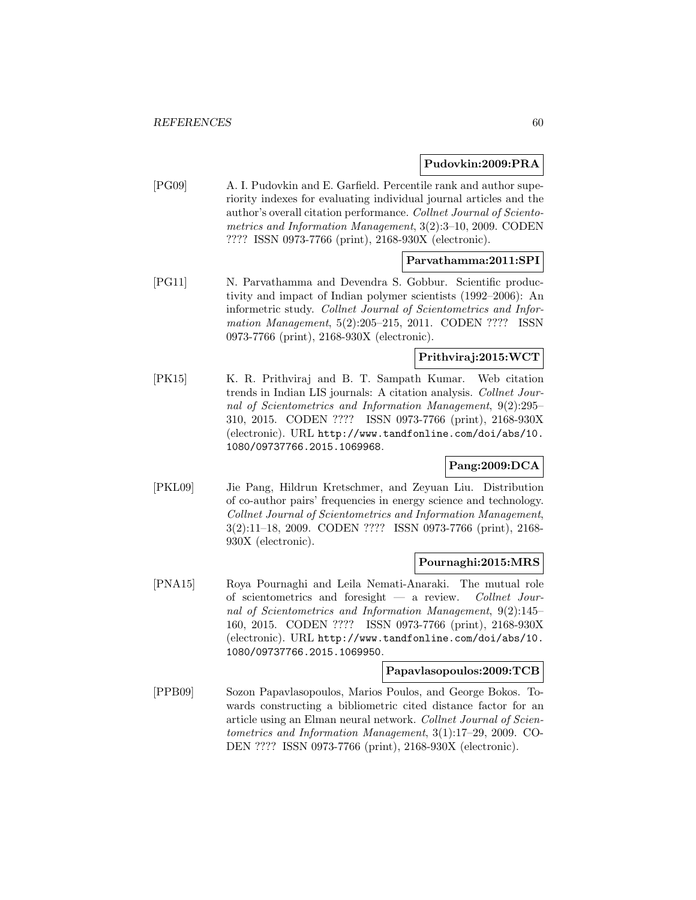### **Pudovkin:2009:PRA**

[PG09] A. I. Pudovkin and E. Garfield. Percentile rank and author superiority indexes for evaluating individual journal articles and the author's overall citation performance. Collnet Journal of Scientometrics and Information Management, 3(2):3–10, 2009. CODEN ???? ISSN 0973-7766 (print), 2168-930X (electronic).

# **Parvathamma:2011:SPI**

[PG11] N. Parvathamma and Devendra S. Gobbur. Scientific productivity and impact of Indian polymer scientists (1992–2006): An informetric study. Collnet Journal of Scientometrics and Information Management, 5(2):205–215, 2011. CODEN ???? ISSN 0973-7766 (print), 2168-930X (electronic).

# **Prithviraj:2015:WCT**

[PK15] K. R. Prithviraj and B. T. Sampath Kumar. Web citation trends in Indian LIS journals: A citation analysis. Collnet Journal of Scientometrics and Information Management, 9(2):295– 310, 2015. CODEN ???? ISSN 0973-7766 (print), 2168-930X (electronic). URL http://www.tandfonline.com/doi/abs/10. 1080/09737766.2015.1069968.

# **Pang:2009:DCA**

[PKL09] Jie Pang, Hildrun Kretschmer, and Zeyuan Liu. Distribution of co-author pairs' frequencies in energy science and technology. Collnet Journal of Scientometrics and Information Management, 3(2):11–18, 2009. CODEN ???? ISSN 0973-7766 (print), 2168- 930X (electronic).

#### **Pournaghi:2015:MRS**

[PNA15] Roya Pournaghi and Leila Nemati-Anaraki. The mutual role of scientometrics and foresight — a review. Collnet Journal of Scientometrics and Information Management, 9(2):145– 160, 2015. CODEN ???? ISSN 0973-7766 (print), 2168-930X (electronic). URL http://www.tandfonline.com/doi/abs/10. 1080/09737766.2015.1069950.

#### **Papavlasopoulos:2009:TCB**

[PPB09] Sozon Papavlasopoulos, Marios Poulos, and George Bokos. Towards constructing a bibliometric cited distance factor for an article using an Elman neural network. Collnet Journal of Scientometrics and Information Management, 3(1):17–29, 2009. CO-DEN ???? ISSN 0973-7766 (print), 2168-930X (electronic).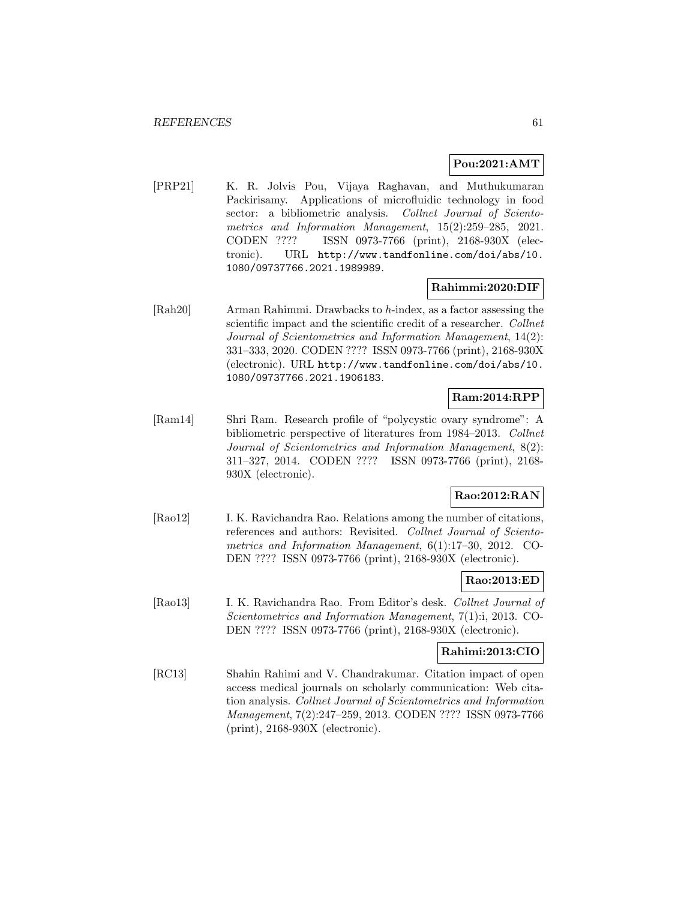### **Pou:2021:AMT**

[PRP21] K. R. Jolvis Pou, Vijaya Raghavan, and Muthukumaran Packirisamy. Applications of microfluidic technology in food sector: a bibliometric analysis. Collnet Journal of Scientometrics and Information Management, 15(2):259–285, 2021. CODEN ???? ISSN 0973-7766 (print), 2168-930X (electronic). URL http://www.tandfonline.com/doi/abs/10. 1080/09737766.2021.1989989.

### **Rahimmi:2020:DIF**

[Rah20] Arman Rahimmi. Drawbacks to h-index, as a factor assessing the scientific impact and the scientific credit of a researcher. Collnet Journal of Scientometrics and Information Management, 14(2): 331–333, 2020. CODEN ???? ISSN 0973-7766 (print), 2168-930X (electronic). URL http://www.tandfonline.com/doi/abs/10. 1080/09737766.2021.1906183.

# **Ram:2014:RPP**

[Ram14] Shri Ram. Research profile of "polycystic ovary syndrome": A bibliometric perspective of literatures from 1984–2013. Collnet Journal of Scientometrics and Information Management, 8(2): 311–327, 2014. CODEN ???? ISSN 0973-7766 (print), 2168- 930X (electronic).

# **Rao:2012:RAN**

[Rao12] I. K. Ravichandra Rao. Relations among the number of citations, references and authors: Revisited. Collnet Journal of Scientometrics and Information Management, 6(1):17–30, 2012. CO-DEN ???? ISSN 0973-7766 (print), 2168-930X (electronic).

#### **Rao:2013:ED**

[Rao13] I. K. Ravichandra Rao. From Editor's desk. Collnet Journal of Scientometrics and Information Management, 7(1):i, 2013. CO-DEN ???? ISSN 0973-7766 (print), 2168-930X (electronic).

#### **Rahimi:2013:CIO**

[RC13] Shahin Rahimi and V. Chandrakumar. Citation impact of open access medical journals on scholarly communication: Web citation analysis. Collnet Journal of Scientometrics and Information Management, 7(2):247–259, 2013. CODEN ???? ISSN 0973-7766 (print), 2168-930X (electronic).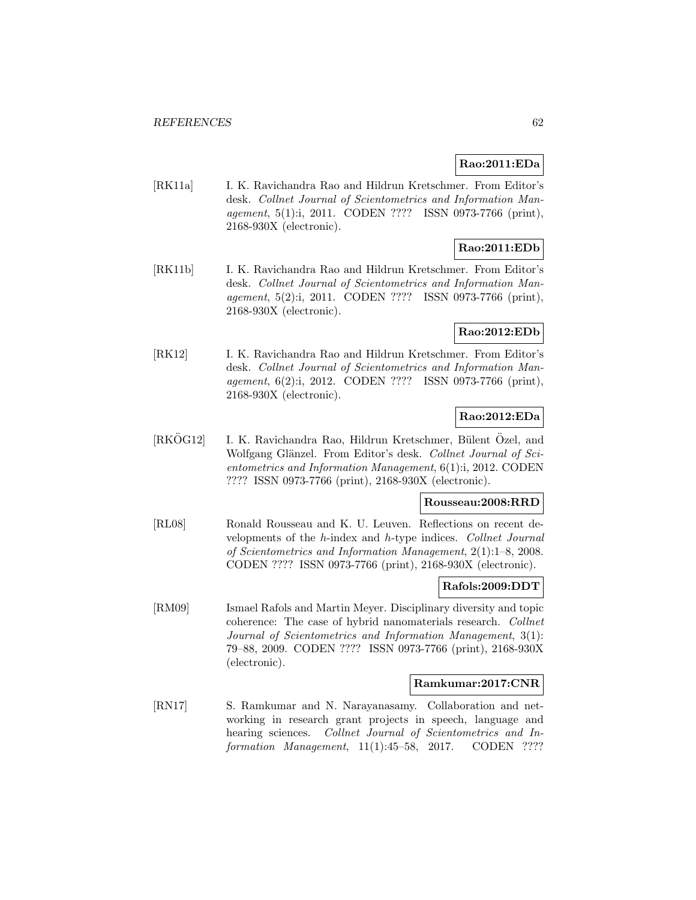## **Rao:2011:EDa**

[RK11a] I. K. Ravichandra Rao and Hildrun Kretschmer. From Editor's desk. Collnet Journal of Scientometrics and Information Management, 5(1):i, 2011. CODEN ???? ISSN 0973-7766 (print), 2168-930X (electronic).

# **Rao:2011:EDb**

[RK11b] I. K. Ravichandra Rao and Hildrun Kretschmer. From Editor's desk. Collnet Journal of Scientometrics and Information Management, 5(2):i, 2011. CODEN ???? ISSN 0973-7766 (print), 2168-930X (electronic).

### **Rao:2012:EDb**

[RK12] I. K. Ravichandra Rao and Hildrun Kretschmer. From Editor's desk. Collnet Journal of Scientometrics and Information Management, 6(2):i, 2012. CODEN ???? ISSN 0973-7766 (print), 2168-930X (electronic).

#### **Rao:2012:EDa**

 $[RK\ddot{O}G12]$  I. K. Ravichandra Rao, Hildrun Kretschmer, Bülent Özel, and Wolfgang Glänzel. From Editor's desk. Collnet Journal of Scientometrics and Information Management, 6(1):i, 2012. CODEN ???? ISSN 0973-7766 (print), 2168-930X (electronic).

#### **Rousseau:2008:RRD**

[RL08] Ronald Rousseau and K. U. Leuven. Reflections on recent developments of the h-index and h-type indices. Collnet Journal of Scientometrics and Information Management, 2(1):1–8, 2008. CODEN ???? ISSN 0973-7766 (print), 2168-930X (electronic).

#### **Rafols:2009:DDT**

[RM09] Ismael Rafols and Martin Meyer. Disciplinary diversity and topic coherence: The case of hybrid nanomaterials research. Collnet Journal of Scientometrics and Information Management, 3(1): 79–88, 2009. CODEN ???? ISSN 0973-7766 (print), 2168-930X (electronic).

## **Ramkumar:2017:CNR**

[RN17] S. Ramkumar and N. Narayanasamy. Collaboration and networking in research grant projects in speech, language and hearing sciences. Collnet Journal of Scientometrics and Information Management, 11(1):45–58, 2017. CODEN ????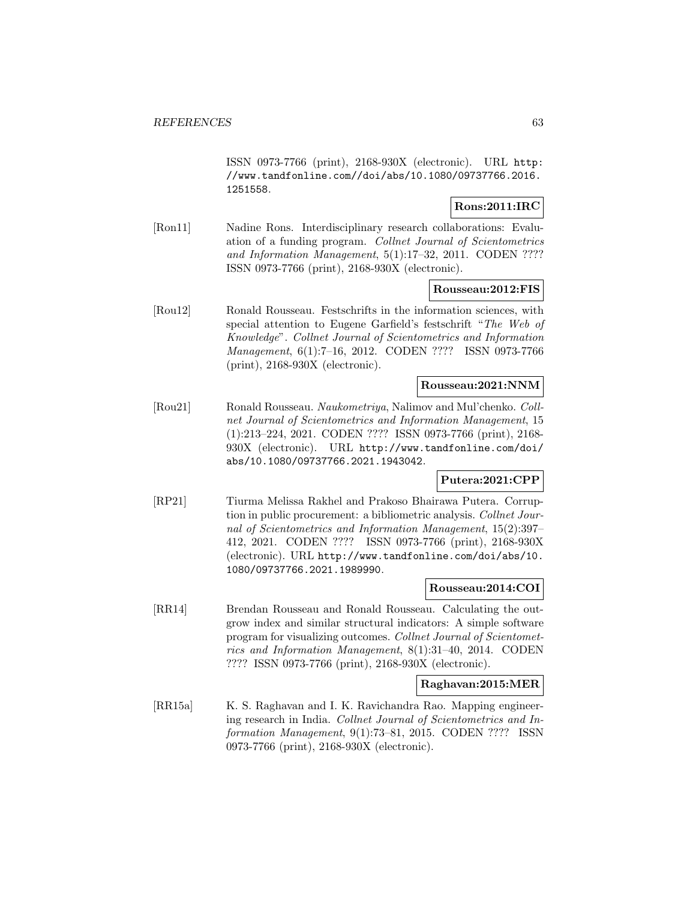ISSN 0973-7766 (print), 2168-930X (electronic). URL http: //www.tandfonline.com//doi/abs/10.1080/09737766.2016. 1251558.

# **Rons:2011:IRC**

[Ron11] Nadine Rons. Interdisciplinary research collaborations: Evaluation of a funding program. Collnet Journal of Scientometrics and Information Management, 5(1):17–32, 2011. CODEN ???? ISSN 0973-7766 (print), 2168-930X (electronic).

### **Rousseau:2012:FIS**

[Rou12] Ronald Rousseau. Festschrifts in the information sciences, with special attention to Eugene Garfield's festschrift "The Web of Knowledge". Collnet Journal of Scientometrics and Information Management, 6(1):7–16, 2012. CODEN ???? ISSN 0973-7766 (print), 2168-930X (electronic).

#### **Rousseau:2021:NNM**

[Rou21] Ronald Rousseau. Naukometriya, Nalimov and Mul'chenko. Collnet Journal of Scientometrics and Information Management, 15 (1):213–224, 2021. CODEN ???? ISSN 0973-7766 (print), 2168- 930X (electronic). URL http://www.tandfonline.com/doi/ abs/10.1080/09737766.2021.1943042.

#### **Putera:2021:CPP**

[RP21] Tiurma Melissa Rakhel and Prakoso Bhairawa Putera. Corruption in public procurement: a bibliometric analysis. Collnet Journal of Scientometrics and Information Management, 15(2):397– 412, 2021. CODEN ???? ISSN 0973-7766 (print), 2168-930X (electronic). URL http://www.tandfonline.com/doi/abs/10. 1080/09737766.2021.1989990.

### **Rousseau:2014:COI**

[RR14] Brendan Rousseau and Ronald Rousseau. Calculating the outgrow index and similar structural indicators: A simple software program for visualizing outcomes. Collnet Journal of Scientometrics and Information Management, 8(1):31–40, 2014. CODEN ???? ISSN 0973-7766 (print), 2168-930X (electronic).

#### **Raghavan:2015:MER**

[RR15a] K. S. Raghavan and I. K. Ravichandra Rao. Mapping engineering research in India. Collnet Journal of Scientometrics and Information Management, 9(1):73–81, 2015. CODEN ???? ISSN 0973-7766 (print), 2168-930X (electronic).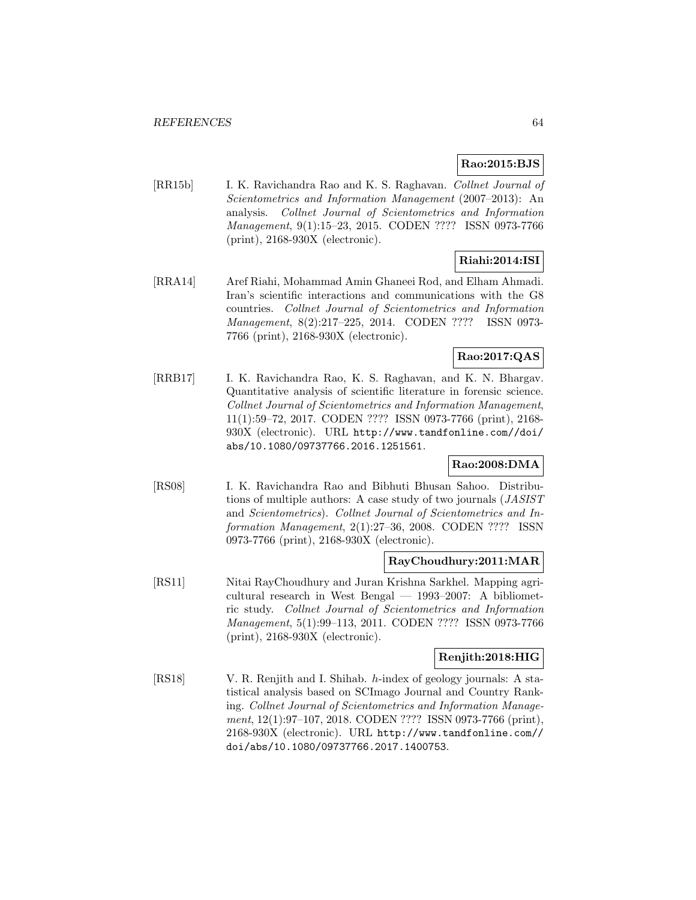# **Rao:2015:BJS**

[RR15b] I. K. Ravichandra Rao and K. S. Raghavan. Collnet Journal of Scientometrics and Information Management (2007–2013): An analysis. Collnet Journal of Scientometrics and Information Management, 9(1):15–23, 2015. CODEN ???? ISSN 0973-7766 (print), 2168-930X (electronic).

# **Riahi:2014:ISI**

[RRA14] Aref Riahi, Mohammad Amin Ghaneei Rod, and Elham Ahmadi. Iran's scientific interactions and communications with the G8 countries. Collnet Journal of Scientometrics and Information Management, 8(2):217–225, 2014. CODEN ???? ISSN 0973- 7766 (print), 2168-930X (electronic).

# **Rao:2017:QAS**

[RRB17] I. K. Ravichandra Rao, K. S. Raghavan, and K. N. Bhargav. Quantitative analysis of scientific literature in forensic science. Collnet Journal of Scientometrics and Information Management, 11(1):59–72, 2017. CODEN ???? ISSN 0973-7766 (print), 2168- 930X (electronic). URL http://www.tandfonline.com//doi/ abs/10.1080/09737766.2016.1251561.

# **Rao:2008:DMA**

[RS08] I. K. Ravichandra Rao and Bibhuti Bhusan Sahoo. Distributions of multiple authors: A case study of two journals (JASIST and Scientometrics). Collnet Journal of Scientometrics and Information Management, 2(1):27–36, 2008. CODEN ???? ISSN 0973-7766 (print), 2168-930X (electronic).

# **RayChoudhury:2011:MAR**

[RS11] Nitai RayChoudhury and Juran Krishna Sarkhel. Mapping agricultural research in West Bengal — 1993–2007: A bibliometric study. Collnet Journal of Scientometrics and Information Management, 5(1):99–113, 2011. CODEN ???? ISSN 0973-7766 (print), 2168-930X (electronic).

# **Renjith:2018:HIG**

[RS18] V. R. Renjith and I. Shihab. h-index of geology journals: A statistical analysis based on SCImago Journal and Country Ranking. Collnet Journal of Scientometrics and Information Management, 12(1):97-107, 2018. CODEN ???? ISSN 0973-7766 (print), 2168-930X (electronic). URL http://www.tandfonline.com// doi/abs/10.1080/09737766.2017.1400753.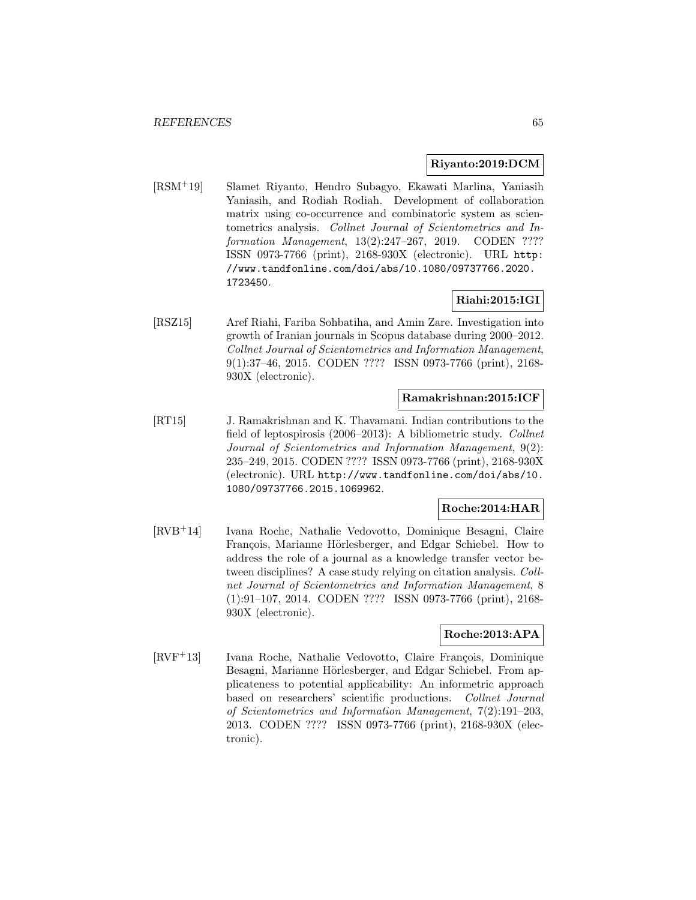#### **Riyanto:2019:DCM**

[RSM<sup>+</sup>19] Slamet Riyanto, Hendro Subagyo, Ekawati Marlina, Yaniasih Yaniasih, and Rodiah Rodiah. Development of collaboration matrix using co-occurrence and combinatoric system as scientometrics analysis. Collnet Journal of Scientometrics and Information Management, 13(2):247–267, 2019. CODEN ???? ISSN 0973-7766 (print), 2168-930X (electronic). URL http: //www.tandfonline.com/doi/abs/10.1080/09737766.2020. 1723450.

### **Riahi:2015:IGI**

[RSZ15] Aref Riahi, Fariba Sohbatiha, and Amin Zare. Investigation into growth of Iranian journals in Scopus database during 2000–2012. Collnet Journal of Scientometrics and Information Management, 9(1):37–46, 2015. CODEN ???? ISSN 0973-7766 (print), 2168- 930X (electronic).

### **Ramakrishnan:2015:ICF**

[RT15] J. Ramakrishnan and K. Thavamani. Indian contributions to the field of leptospirosis (2006–2013): A bibliometric study. Collnet Journal of Scientometrics and Information Management, 9(2): 235–249, 2015. CODEN ???? ISSN 0973-7766 (print), 2168-930X (electronic). URL http://www.tandfonline.com/doi/abs/10. 1080/09737766.2015.1069962.

### **Roche:2014:HAR**

[RVB<sup>+</sup>14] Ivana Roche, Nathalie Vedovotto, Dominique Besagni, Claire François, Marianne Hörlesberger, and Edgar Schiebel. How to address the role of a journal as a knowledge transfer vector between disciplines? A case study relying on citation analysis. Collnet Journal of Scientometrics and Information Management, 8 (1):91–107, 2014. CODEN ???? ISSN 0973-7766 (print), 2168- 930X (electronic).

#### **Roche:2013:APA**

[RVF<sup>+</sup>13] Ivana Roche, Nathalie Vedovotto, Claire François, Dominique Besagni, Marianne Hörlesberger, and Edgar Schiebel. From applicateness to potential applicability: An informetric approach based on researchers' scientific productions. Collnet Journal of Scientometrics and Information Management, 7(2):191–203, 2013. CODEN ???? ISSN 0973-7766 (print), 2168-930X (electronic).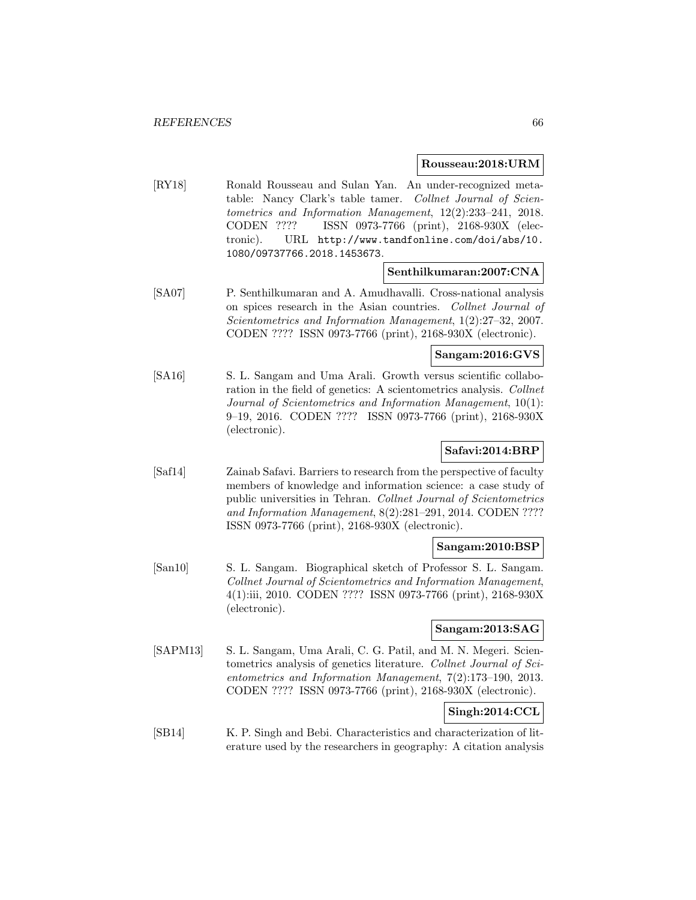#### **Rousseau:2018:URM**

[RY18] Ronald Rousseau and Sulan Yan. An under-recognized metatable: Nancy Clark's table tamer. Collnet Journal of Scientometrics and Information Management, 12(2):233–241, 2018. CODEN ???? ISSN 0973-7766 (print), 2168-930X (electronic). URL http://www.tandfonline.com/doi/abs/10. 1080/09737766.2018.1453673.

#### **Senthilkumaran:2007:CNA**

[SA07] P. Senthilkumaran and A. Amudhavalli. Cross-national analysis on spices research in the Asian countries. Collnet Journal of Scientometrics and Information Management, 1(2):27–32, 2007. CODEN ???? ISSN 0973-7766 (print), 2168-930X (electronic).

# **Sangam:2016:GVS**

[SA16] S. L. Sangam and Uma Arali. Growth versus scientific collaboration in the field of genetics: A scientometrics analysis. Collnet Journal of Scientometrics and Information Management, 10(1): 9–19, 2016. CODEN ???? ISSN 0973-7766 (print), 2168-930X (electronic).

# **Safavi:2014:BRP**

[Saf14] Zainab Safavi. Barriers to research from the perspective of faculty members of knowledge and information science: a case study of public universities in Tehran. Collnet Journal of Scientometrics and Information Management, 8(2):281–291, 2014. CODEN ???? ISSN 0973-7766 (print), 2168-930X (electronic).

#### **Sangam:2010:BSP**

[San10] S. L. Sangam. Biographical sketch of Professor S. L. Sangam. Collnet Journal of Scientometrics and Information Management, 4(1):iii, 2010. CODEN ???? ISSN 0973-7766 (print), 2168-930X (electronic).

### **Sangam:2013:SAG**

[SAPM13] S. L. Sangam, Uma Arali, C. G. Patil, and M. N. Megeri. Scientometrics analysis of genetics literature. Collnet Journal of Scientometrics and Information Management, 7(2):173–190, 2013. CODEN ???? ISSN 0973-7766 (print), 2168-930X (electronic).

# **Singh:2014:CCL**

[SB14] K. P. Singh and Bebi. Characteristics and characterization of literature used by the researchers in geography: A citation analysis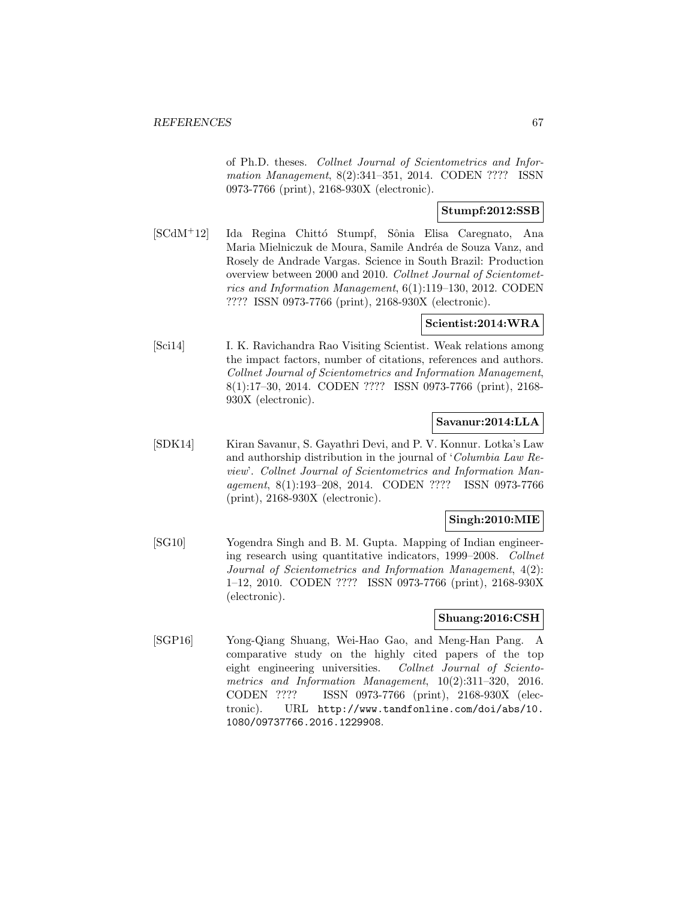of Ph.D. theses. Collnet Journal of Scientometrics and Information Management, 8(2):341–351, 2014. CODEN ???? ISSN 0973-7766 (print), 2168-930X (electronic).

# **Stumpf:2012:SSB**

[SCdM+12] Ida Regina Chittó Stumpf, Sônia Elisa Caregnato, Ana Maria Mielniczuk de Moura, Samile Andréa de Souza Vanz, and Rosely de Andrade Vargas. Science in South Brazil: Production overview between 2000 and 2010. Collnet Journal of Scientometrics and Information Management, 6(1):119–130, 2012. CODEN ???? ISSN 0973-7766 (print), 2168-930X (electronic).

#### **Scientist:2014:WRA**

[Sci14] I. K. Ravichandra Rao Visiting Scientist. Weak relations among the impact factors, number of citations, references and authors. Collnet Journal of Scientometrics and Information Management, 8(1):17–30, 2014. CODEN ???? ISSN 0973-7766 (print), 2168- 930X (electronic).

### **Savanur:2014:LLA**

[SDK14] Kiran Savanur, S. Gayathri Devi, and P. V. Konnur. Lotka's Law and authorship distribution in the journal of 'Columbia Law Review'. Collnet Journal of Scientometrics and Information Management, 8(1):193–208, 2014. CODEN ???? ISSN 0973-7766 (print), 2168-930X (electronic).

## **Singh:2010:MIE**

[SG10] Yogendra Singh and B. M. Gupta. Mapping of Indian engineering research using quantitative indicators, 1999–2008. Collnet Journal of Scientometrics and Information Management, 4(2): 1–12, 2010. CODEN ???? ISSN 0973-7766 (print), 2168-930X (electronic).

### **Shuang:2016:CSH**

[SGP16] Yong-Qiang Shuang, Wei-Hao Gao, and Meng-Han Pang. A comparative study on the highly cited papers of the top eight engineering universities. Collnet Journal of Scientometrics and Information Management, 10(2):311–320, 2016. CODEN ???? ISSN 0973-7766 (print), 2168-930X (electronic). URL http://www.tandfonline.com/doi/abs/10. 1080/09737766.2016.1229908.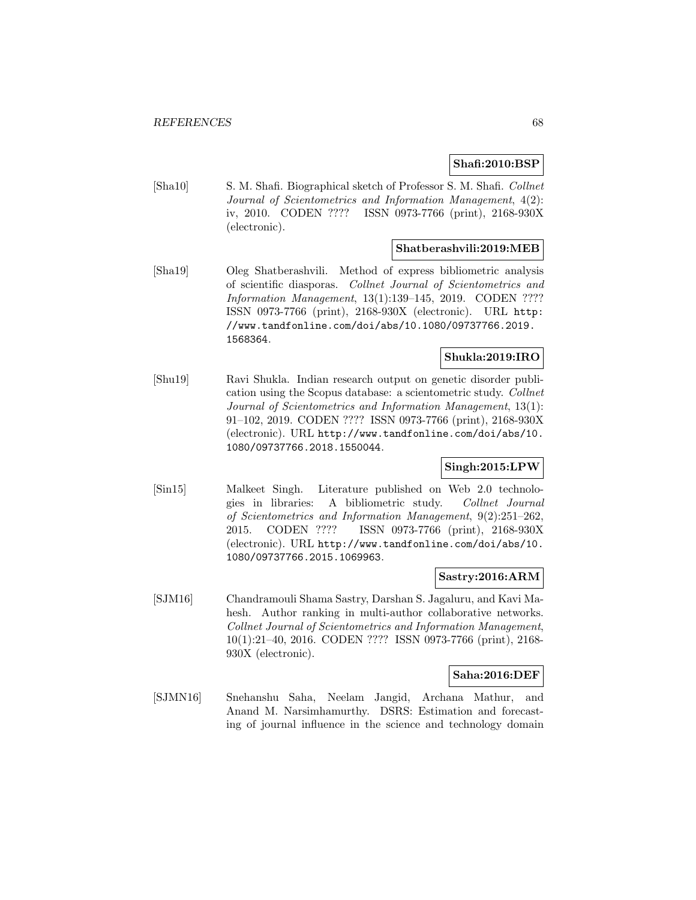### **Shafi:2010:BSP**

[Sha10] S. M. Shafi. Biographical sketch of Professor S. M. Shafi. Collnet Journal of Scientometrics and Information Management, 4(2): iv, 2010. CODEN ???? ISSN 0973-7766 (print), 2168-930X (electronic).

### **Shatberashvili:2019:MEB**

[Sha19] Oleg Shatberashvili. Method of express bibliometric analysis of scientific diasporas. Collnet Journal of Scientometrics and Information Management, 13(1):139–145, 2019. CODEN ???? ISSN 0973-7766 (print), 2168-930X (electronic). URL http: //www.tandfonline.com/doi/abs/10.1080/09737766.2019. 1568364.

# **Shukla:2019:IRO**

[Shu19] Ravi Shukla. Indian research output on genetic disorder publication using the Scopus database: a scientometric study. Collnet Journal of Scientometrics and Information Management, 13(1): 91–102, 2019. CODEN ???? ISSN 0973-7766 (print), 2168-930X (electronic). URL http://www.tandfonline.com/doi/abs/10. 1080/09737766.2018.1550044.

#### **Singh:2015:LPW**

[Sin15] Malkeet Singh. Literature published on Web 2.0 technologies in libraries: A bibliometric study. Collnet Journal of Scientometrics and Information Management, 9(2):251–262, 2015. CODEN ???? ISSN 0973-7766 (print), 2168-930X (electronic). URL http://www.tandfonline.com/doi/abs/10. 1080/09737766.2015.1069963.

#### **Sastry:2016:ARM**

[SJM16] Chandramouli Shama Sastry, Darshan S. Jagaluru, and Kavi Mahesh. Author ranking in multi-author collaborative networks. Collnet Journal of Scientometrics and Information Management, 10(1):21–40, 2016. CODEN ???? ISSN 0973-7766 (print), 2168- 930X (electronic).

#### **Saha:2016:DEF**

[SJMN16] Snehanshu Saha, Neelam Jangid, Archana Mathur, and Anand M. Narsimhamurthy. DSRS: Estimation and forecasting of journal influence in the science and technology domain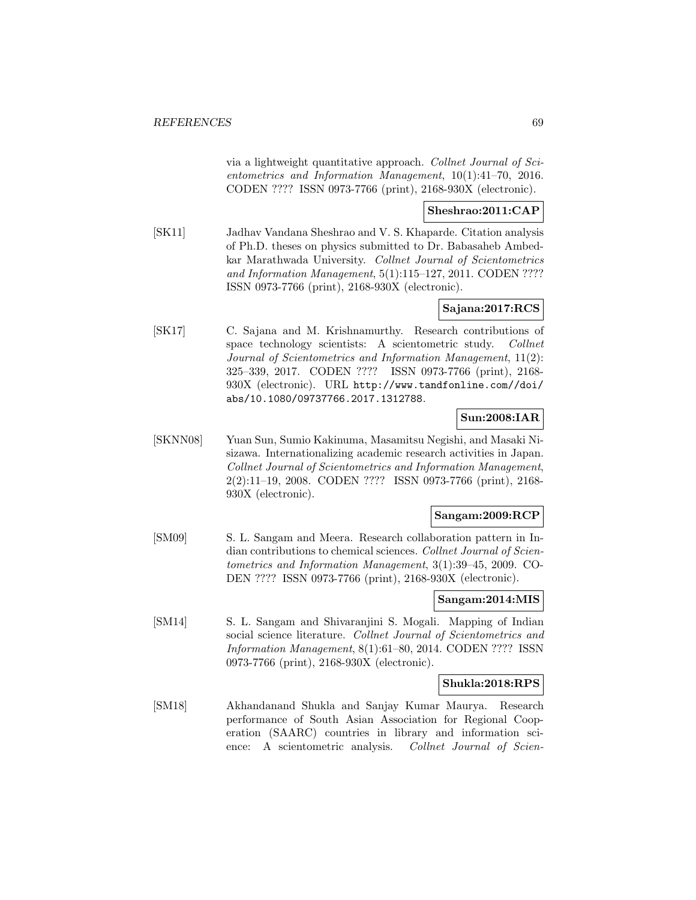via a lightweight quantitative approach. Collnet Journal of Scientometrics and Information Management, 10(1):41–70, 2016. CODEN ???? ISSN 0973-7766 (print), 2168-930X (electronic).

# **Sheshrao:2011:CAP**

[SK11] Jadhav Vandana Sheshrao and V. S. Khaparde. Citation analysis of Ph.D. theses on physics submitted to Dr. Babasaheb Ambedkar Marathwada University. Collnet Journal of Scientometrics and Information Management, 5(1):115–127, 2011. CODEN ???? ISSN 0973-7766 (print), 2168-930X (electronic).

# **Sajana:2017:RCS**

[SK17] C. Sajana and M. Krishnamurthy. Research contributions of space technology scientists: A scientometric study. Collnet Journal of Scientometrics and Information Management, 11(2): 325–339, 2017. CODEN ???? ISSN 0973-7766 (print), 2168- 930X (electronic). URL http://www.tandfonline.com//doi/ abs/10.1080/09737766.2017.1312788.

# **Sun:2008:IAR**

[SKNN08] Yuan Sun, Sumio Kakinuma, Masamitsu Negishi, and Masaki Nisizawa. Internationalizing academic research activities in Japan. Collnet Journal of Scientometrics and Information Management, 2(2):11–19, 2008. CODEN ???? ISSN 0973-7766 (print), 2168- 930X (electronic).

#### **Sangam:2009:RCP**

[SM09] S. L. Sangam and Meera. Research collaboration pattern in Indian contributions to chemical sciences. Collnet Journal of Scientometrics and Information Management, 3(1):39–45, 2009. CO-DEN ???? ISSN 0973-7766 (print), 2168-930X (electronic).

### **Sangam:2014:MIS**

[SM14] S. L. Sangam and Shivaranjini S. Mogali. Mapping of Indian social science literature. Collnet Journal of Scientometrics and Information Management, 8(1):61–80, 2014. CODEN ???? ISSN 0973-7766 (print), 2168-930X (electronic).

#### **Shukla:2018:RPS**

[SM18] Akhandanand Shukla and Sanjay Kumar Maurya. Research performance of South Asian Association for Regional Cooperation (SAARC) countries in library and information science: A scientometric analysis. Collnet Journal of Scien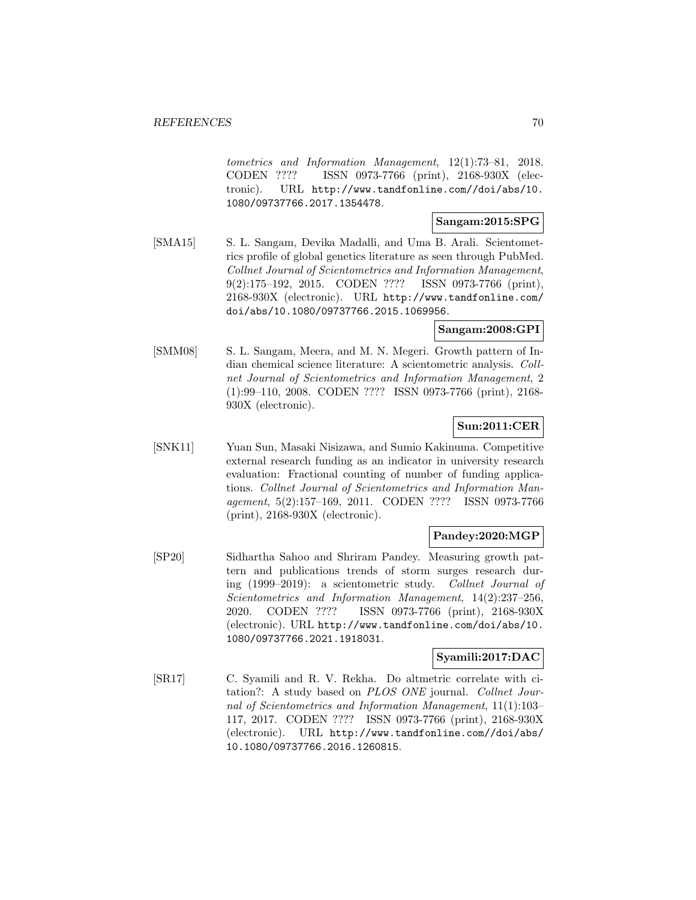tometrics and Information Management, 12(1):73–81, 2018. CODEN ???? ISSN 0973-7766 (print), 2168-930X (electronic). URL http://www.tandfonline.com//doi/abs/10. 1080/09737766.2017.1354478.

#### **Sangam:2015:SPG**

[SMA15] S. L. Sangam, Devika Madalli, and Uma B. Arali. Scientometrics profile of global genetics literature as seen through PubMed. Collnet Journal of Scientometrics and Information Management, 9(2):175–192, 2015. CODEN ???? ISSN 0973-7766 (print), 2168-930X (electronic). URL http://www.tandfonline.com/ doi/abs/10.1080/09737766.2015.1069956.

## **Sangam:2008:GPI**

[SMM08] S. L. Sangam, Meera, and M. N. Megeri. Growth pattern of Indian chemical science literature: A scientometric analysis. Collnet Journal of Scientometrics and Information Management, 2 (1):99–110, 2008. CODEN ???? ISSN 0973-7766 (print), 2168- 930X (electronic).

# **Sun:2011:CER**

[SNK11] Yuan Sun, Masaki Nisizawa, and Sumio Kakinuma. Competitive external research funding as an indicator in university research evaluation: Fractional counting of number of funding applications. Collnet Journal of Scientometrics and Information Management, 5(2):157–169, 2011. CODEN ???? ISSN 0973-7766 (print), 2168-930X (electronic).

# **Pandey:2020:MGP**

[SP20] Sidhartha Sahoo and Shriram Pandey. Measuring growth pattern and publications trends of storm surges research during (1999–2019): a scientometric study. Collnet Journal of Scientometrics and Information Management, 14(2):237–256, 2020. CODEN ???? ISSN 0973-7766 (print), 2168-930X (electronic). URL http://www.tandfonline.com/doi/abs/10. 1080/09737766.2021.1918031.

### **Syamili:2017:DAC**

[SR17] C. Syamili and R. V. Rekha. Do altmetric correlate with citation?: A study based on PLOS ONE journal. Collnet Journal of Scientometrics and Information Management, 11(1):103– 117, 2017. CODEN ???? ISSN 0973-7766 (print), 2168-930X (electronic). URL http://www.tandfonline.com//doi/abs/ 10.1080/09737766.2016.1260815.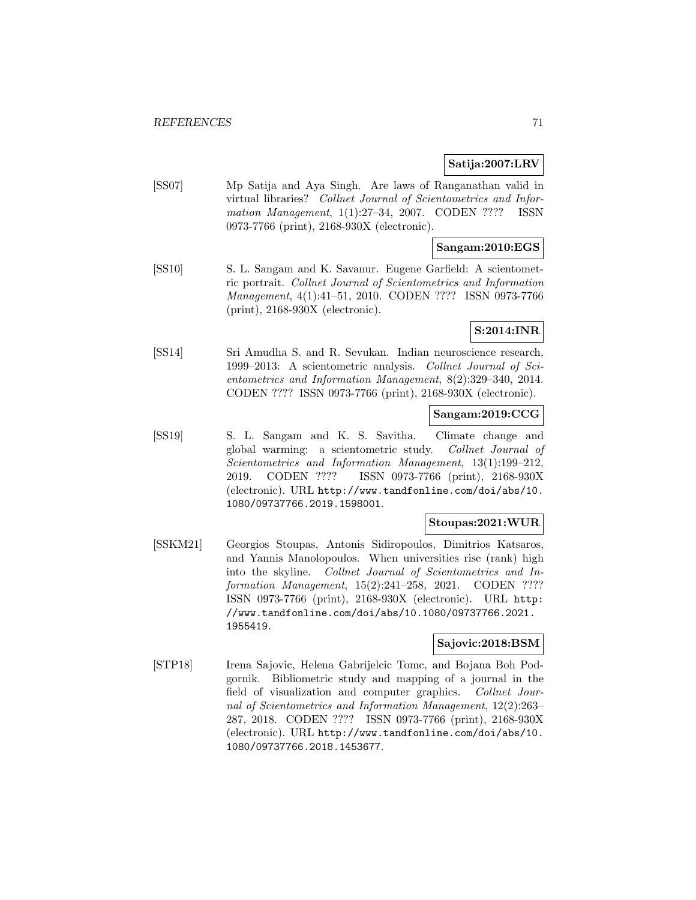# **Satija:2007:LRV**

[SS07] Mp Satija and Aya Singh. Are laws of Ranganathan valid in virtual libraries? Collnet Journal of Scientometrics and Information Management, 1(1):27–34, 2007. CODEN ???? ISSN 0973-7766 (print), 2168-930X (electronic).

### **Sangam:2010:EGS**

[SS10] S. L. Sangam and K. Savanur. Eugene Garfield: A scientometric portrait. Collnet Journal of Scientometrics and Information Management, 4(1):41–51, 2010. CODEN ???? ISSN 0973-7766 (print), 2168-930X (electronic).

# **S:2014:INR**

[SS14] Sri Amudha S. and R. Sevukan. Indian neuroscience research, 1999–2013: A scientometric analysis. Collnet Journal of Scientometrics and Information Management, 8(2):329–340, 2014. CODEN ???? ISSN 0973-7766 (print), 2168-930X (electronic).

## **Sangam:2019:CCG**

[SS19] S. L. Sangam and K. S. Savitha. Climate change and global warming: a scientometric study. Collnet Journal of Scientometrics and Information Management, 13(1):199–212, 2019. CODEN ???? ISSN 0973-7766 (print), 2168-930X (electronic). URL http://www.tandfonline.com/doi/abs/10. 1080/09737766.2019.1598001.

# **Stoupas:2021:WUR**

[SSKM21] Georgios Stoupas, Antonis Sidiropoulos, Dimitrios Katsaros, and Yannis Manolopoulos. When universities rise (rank) high into the skyline. Collnet Journal of Scientometrics and Information Management, 15(2):241–258, 2021. CODEN ???? ISSN 0973-7766 (print), 2168-930X (electronic). URL http: //www.tandfonline.com/doi/abs/10.1080/09737766.2021. 1955419.

### **Sajovic:2018:BSM**

[STP18] Irena Sajovic, Helena Gabrijelcic Tomc, and Bojana Boh Podgornik. Bibliometric study and mapping of a journal in the field of visualization and computer graphics. Collnet Journal of Scientometrics and Information Management, 12(2):263– 287, 2018. CODEN ???? ISSN 0973-7766 (print), 2168-930X (electronic). URL http://www.tandfonline.com/doi/abs/10. 1080/09737766.2018.1453677.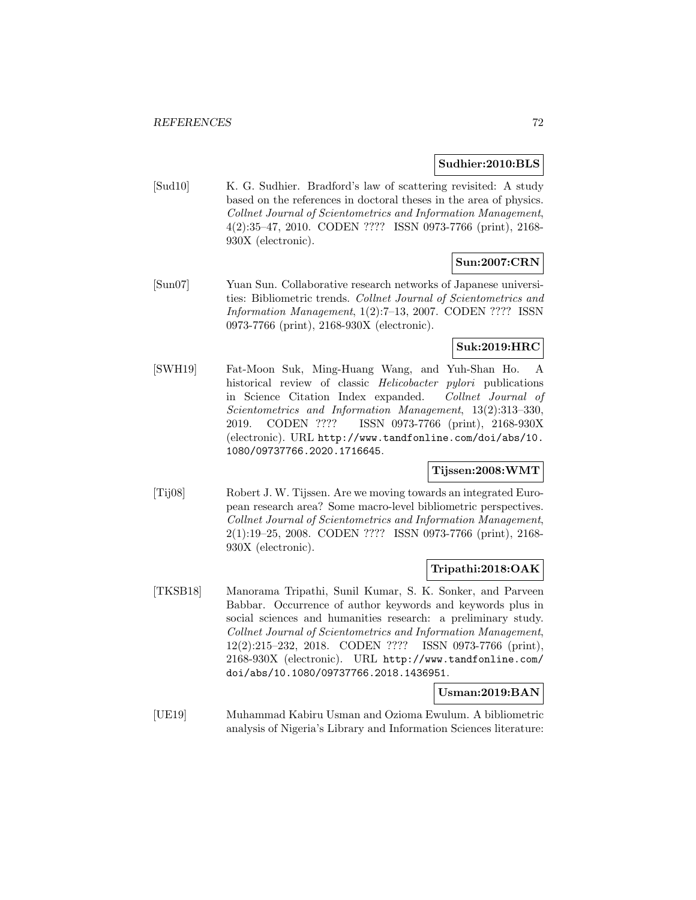#### **Sudhier:2010:BLS**

[Sud10] K. G. Sudhier. Bradford's law of scattering revisited: A study based on the references in doctoral theses in the area of physics. Collnet Journal of Scientometrics and Information Management, 4(2):35–47, 2010. CODEN ???? ISSN 0973-7766 (print), 2168- 930X (electronic).

# **Sun:2007:CRN**

[Sun07] Yuan Sun. Collaborative research networks of Japanese universities: Bibliometric trends. Collnet Journal of Scientometrics and Information Management, 1(2):7–13, 2007. CODEN ???? ISSN 0973-7766 (print), 2168-930X (electronic).

# **Suk:2019:HRC**

[SWH19] Fat-Moon Suk, Ming-Huang Wang, and Yuh-Shan Ho. A historical review of classic *Helicobacter pylori* publications in Science Citation Index expanded. Collnet Journal of Scientometrics and Information Management, 13(2):313–330, 2019. CODEN ???? ISSN 0973-7766 (print), 2168-930X (electronic). URL http://www.tandfonline.com/doi/abs/10. 1080/09737766.2020.1716645.

## **Tijssen:2008:WMT**

[Tij08] Robert J. W. Tijssen. Are we moving towards an integrated European research area? Some macro-level bibliometric perspectives. Collnet Journal of Scientometrics and Information Management, 2(1):19–25, 2008. CODEN ???? ISSN 0973-7766 (print), 2168- 930X (electronic).

#### **Tripathi:2018:OAK**

[TKSB18] Manorama Tripathi, Sunil Kumar, S. K. Sonker, and Parveen Babbar. Occurrence of author keywords and keywords plus in social sciences and humanities research: a preliminary study. Collnet Journal of Scientometrics and Information Management, 12(2):215–232, 2018. CODEN ???? ISSN 0973-7766 (print), 2168-930X (electronic). URL http://www.tandfonline.com/ doi/abs/10.1080/09737766.2018.1436951.

#### **Usman:2019:BAN**

[UE19] Muhammad Kabiru Usman and Ozioma Ewulum. A bibliometric analysis of Nigeria's Library and Information Sciences literature: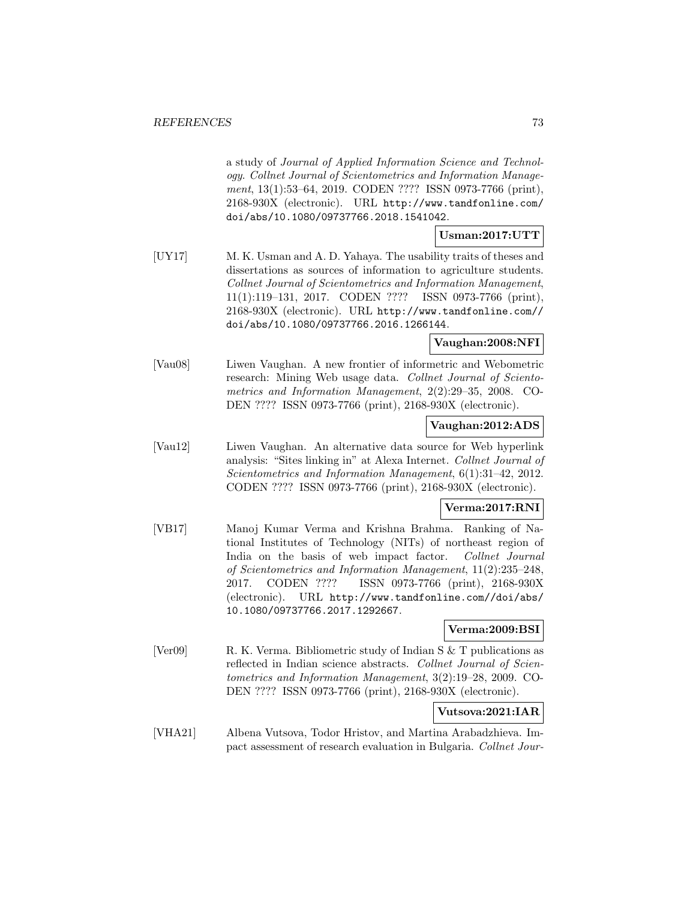a study of Journal of Applied Information Science and Technology. Collnet Journal of Scientometrics and Information Management, 13(1):53–64, 2019. CODEN ???? ISSN 0973-7766 (print), 2168-930X (electronic). URL http://www.tandfonline.com/ doi/abs/10.1080/09737766.2018.1541042.

## **Usman:2017:UTT**

[UY17] M. K. Usman and A. D. Yahaya. The usability traits of theses and dissertations as sources of information to agriculture students. Collnet Journal of Scientometrics and Information Management, 11(1):119–131, 2017. CODEN ???? ISSN 0973-7766 (print), 2168-930X (electronic). URL http://www.tandfonline.com// doi/abs/10.1080/09737766.2016.1266144.

## **Vaughan:2008:NFI**

[Vau08] Liwen Vaughan. A new frontier of informetric and Webometric research: Mining Web usage data. Collnet Journal of Scientometrics and Information Management, 2(2):29–35, 2008. CO-DEN ???? ISSN 0973-7766 (print), 2168-930X (electronic).

#### **Vaughan:2012:ADS**

[Vau12] Liwen Vaughan. An alternative data source for Web hyperlink analysis: "Sites linking in" at Alexa Internet. Collnet Journal of Scientometrics and Information Management, 6(1):31–42, 2012. CODEN ???? ISSN 0973-7766 (print), 2168-930X (electronic).

## **Verma:2017:RNI**

[VB17] Manoj Kumar Verma and Krishna Brahma. Ranking of National Institutes of Technology (NITs) of northeast region of India on the basis of web impact factor. Collnet Journal of Scientometrics and Information Management, 11(2):235–248, 2017. CODEN ???? ISSN 0973-7766 (print), 2168-930X (electronic). URL http://www.tandfonline.com//doi/abs/ 10.1080/09737766.2017.1292667.

## **Verma:2009:BSI**

[Ver09] R. K. Verma. Bibliometric study of Indian S & T publications as reflected in Indian science abstracts. Collnet Journal of Scientometrics and Information Management, 3(2):19–28, 2009. CO-DEN ???? ISSN 0973-7766 (print), 2168-930X (electronic).

## **Vutsova:2021:IAR**

[VHA21] Albena Vutsova, Todor Hristov, and Martina Arabadzhieva. Impact assessment of research evaluation in Bulgaria. Collnet Jour-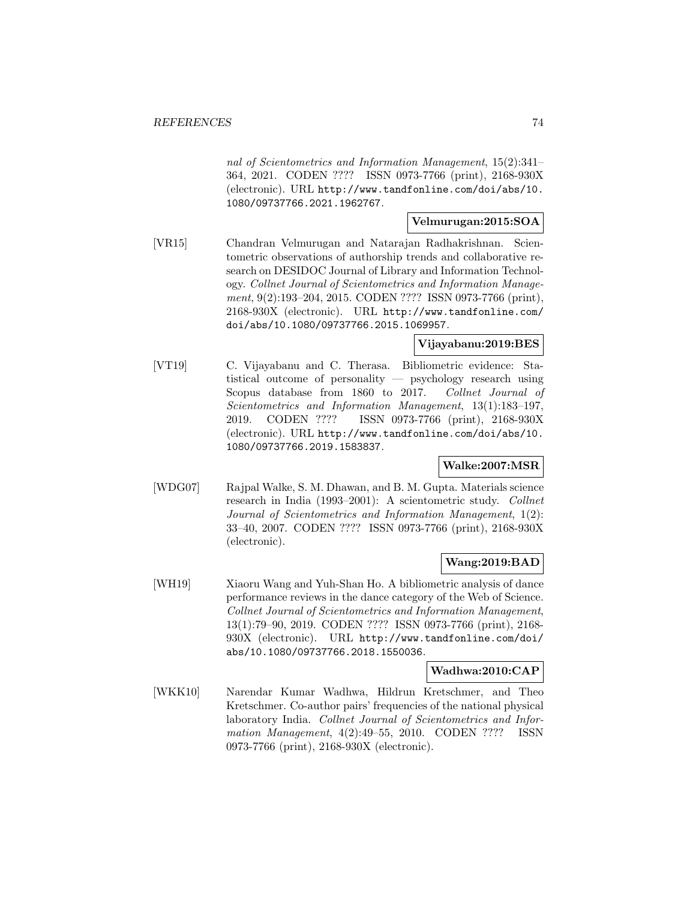nal of Scientometrics and Information Management, 15(2):341– 364, 2021. CODEN ???? ISSN 0973-7766 (print), 2168-930X (electronic). URL http://www.tandfonline.com/doi/abs/10. 1080/09737766.2021.1962767.

#### **Velmurugan:2015:SOA**

[VR15] Chandran Velmurugan and Natarajan Radhakrishnan. Scientometric observations of authorship trends and collaborative research on DESIDOC Journal of Library and Information Technology. Collnet Journal of Scientometrics and Information Management, 9(2):193-204, 2015. CODEN ???? ISSN 0973-7766 (print), 2168-930X (electronic). URL http://www.tandfonline.com/ doi/abs/10.1080/09737766.2015.1069957.

#### **Vijayabanu:2019:BES**

[VT19] C. Vijayabanu and C. Therasa. Bibliometric evidence: Statistical outcome of personality — psychology research using Scopus database from 1860 to 2017. Collnet Journal of Scientometrics and Information Management, 13(1):183–197, 2019. CODEN ???? ISSN 0973-7766 (print), 2168-930X (electronic). URL http://www.tandfonline.com/doi/abs/10. 1080/09737766.2019.1583837.

#### **Walke:2007:MSR**

[WDG07] Rajpal Walke, S. M. Dhawan, and B. M. Gupta. Materials science research in India (1993–2001): A scientometric study. Collnet Journal of Scientometrics and Information Management, 1(2): 33–40, 2007. CODEN ???? ISSN 0973-7766 (print), 2168-930X (electronic).

## **Wang:2019:BAD**

[WH19] Xiaoru Wang and Yuh-Shan Ho. A bibliometric analysis of dance performance reviews in the dance category of the Web of Science. Collnet Journal of Scientometrics and Information Management, 13(1):79–90, 2019. CODEN ???? ISSN 0973-7766 (print), 2168- 930X (electronic). URL http://www.tandfonline.com/doi/ abs/10.1080/09737766.2018.1550036.

#### **Wadhwa:2010:CAP**

[WKK10] Narendar Kumar Wadhwa, Hildrun Kretschmer, and Theo Kretschmer. Co-author pairs' frequencies of the national physical laboratory India. Collnet Journal of Scientometrics and Information Management, 4(2):49–55, 2010. CODEN ???? ISSN 0973-7766 (print), 2168-930X (electronic).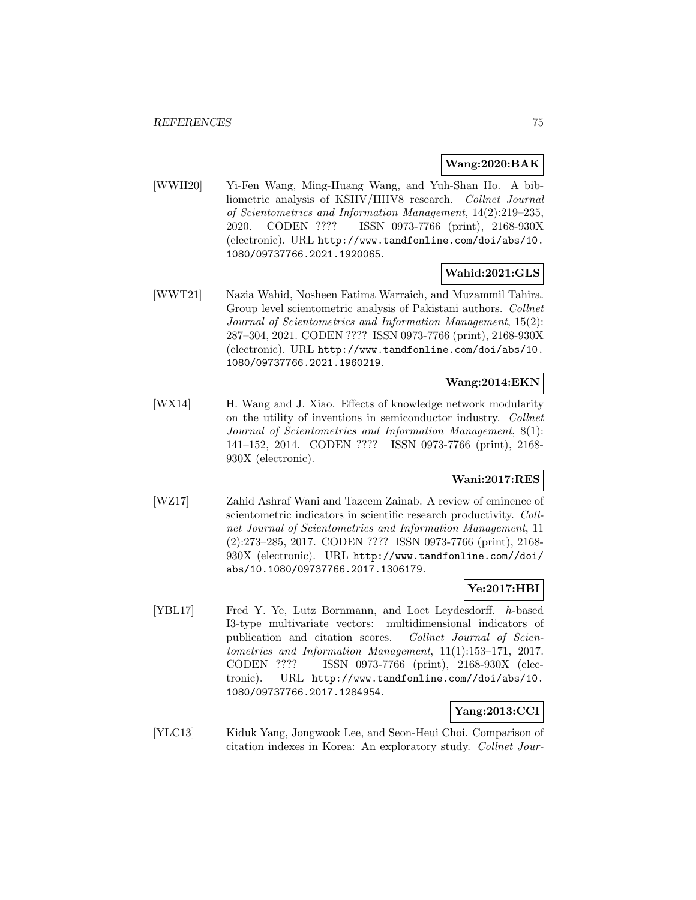#### **Wang:2020:BAK**

[WWH20] Yi-Fen Wang, Ming-Huang Wang, and Yuh-Shan Ho. A bibliometric analysis of KSHV/HHV8 research. Collnet Journal of Scientometrics and Information Management, 14(2):219–235, 2020. CODEN ???? ISSN 0973-7766 (print), 2168-930X (electronic). URL http://www.tandfonline.com/doi/abs/10. 1080/09737766.2021.1920065.

## **Wahid:2021:GLS**

[WWT21] Nazia Wahid, Nosheen Fatima Warraich, and Muzammil Tahira. Group level scientometric analysis of Pakistani authors. Collnet Journal of Scientometrics and Information Management, 15(2): 287–304, 2021. CODEN ???? ISSN 0973-7766 (print), 2168-930X (electronic). URL http://www.tandfonline.com/doi/abs/10. 1080/09737766.2021.1960219.

### **Wang:2014:EKN**

[WX14] H. Wang and J. Xiao. Effects of knowledge network modularity on the utility of inventions in semiconductor industry. Collnet Journal of Scientometrics and Information Management, 8(1): 141–152, 2014. CODEN ???? ISSN 0973-7766 (print), 2168- 930X (electronic).

## **Wani:2017:RES**

[WZ17] Zahid Ashraf Wani and Tazeem Zainab. A review of eminence of scientometric indicators in scientific research productivity. Collnet Journal of Scientometrics and Information Management, 11 (2):273–285, 2017. CODEN ???? ISSN 0973-7766 (print), 2168- 930X (electronic). URL http://www.tandfonline.com//doi/ abs/10.1080/09737766.2017.1306179.

## **Ye:2017:HBI**

[YBL17] Fred Y. Ye, Lutz Bornmann, and Loet Leydesdorff. h-based I3-type multivariate vectors: multidimensional indicators of publication and citation scores. Collnet Journal of Scientometrics and Information Management, 11(1):153–171, 2017. CODEN ???? ISSN 0973-7766 (print), 2168-930X (electronic). URL http://www.tandfonline.com//doi/abs/10. 1080/09737766.2017.1284954.

## **Yang:2013:CCI**

[YLC13] Kiduk Yang, Jongwook Lee, and Seon-Heui Choi. Comparison of citation indexes in Korea: An exploratory study. Collnet Jour-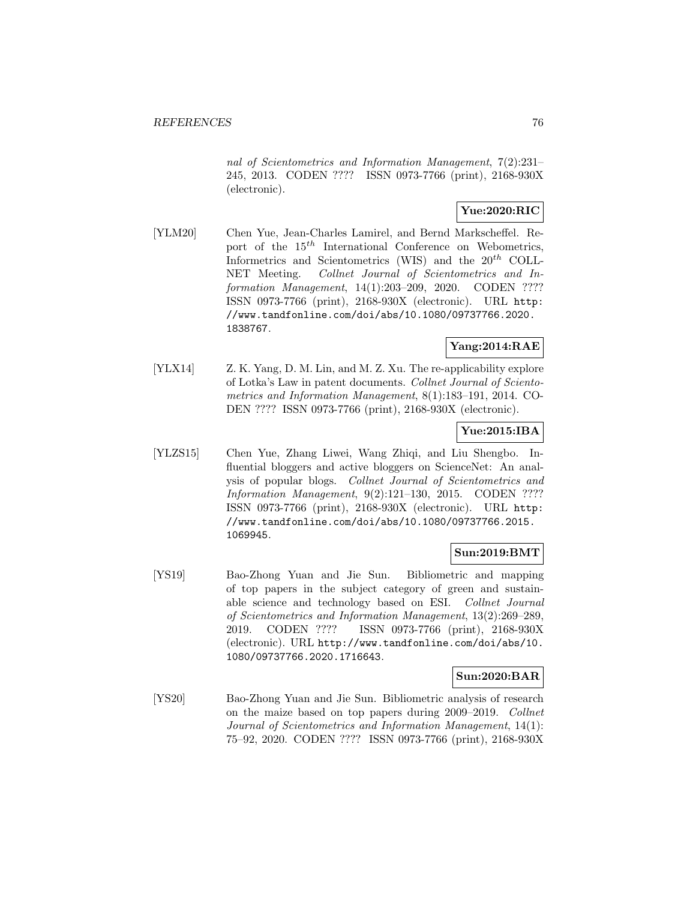nal of Scientometrics and Information Management, 7(2):231– 245, 2013. CODEN ???? ISSN 0973-7766 (print), 2168-930X (electronic).

### **Yue:2020:RIC**

[YLM20] Chen Yue, Jean-Charles Lamirel, and Bernd Markscheffel. Report of the  $15<sup>th</sup>$  International Conference on Webometrics, Informetrics and Scientometrics (WIS) and the  $20^{th}$  COLL-NET Meeting. Collnet Journal of Scientometrics and Information Management, 14(1):203–209, 2020. CODEN ???? ISSN 0973-7766 (print), 2168-930X (electronic). URL http: //www.tandfonline.com/doi/abs/10.1080/09737766.2020. 1838767.

## **Yang:2014:RAE**

[YLX14] Z. K. Yang, D. M. Lin, and M. Z. Xu. The re-applicability explore of Lotka's Law in patent documents. Collnet Journal of Scientometrics and Information Management, 8(1):183–191, 2014. CO-DEN ???? ISSN 0973-7766 (print), 2168-930X (electronic).

## **Yue:2015:IBA**

[YLZS15] Chen Yue, Zhang Liwei, Wang Zhiqi, and Liu Shengbo. Influential bloggers and active bloggers on ScienceNet: An analysis of popular blogs. Collnet Journal of Scientometrics and Information Management, 9(2):121–130, 2015. CODEN ???? ISSN 0973-7766 (print), 2168-930X (electronic). URL http: //www.tandfonline.com/doi/abs/10.1080/09737766.2015. 1069945.

## **Sun:2019:BMT**

[YS19] Bao-Zhong Yuan and Jie Sun. Bibliometric and mapping of top papers in the subject category of green and sustainable science and technology based on ESI. Collnet Journal of Scientometrics and Information Management, 13(2):269–289, 2019. CODEN ???? ISSN 0973-7766 (print), 2168-930X (electronic). URL http://www.tandfonline.com/doi/abs/10. 1080/09737766.2020.1716643.

## **Sun:2020:BAR**

[YS20] Bao-Zhong Yuan and Jie Sun. Bibliometric analysis of research on the maize based on top papers during 2009–2019. Collnet Journal of Scientometrics and Information Management, 14(1): 75–92, 2020. CODEN ???? ISSN 0973-7766 (print), 2168-930X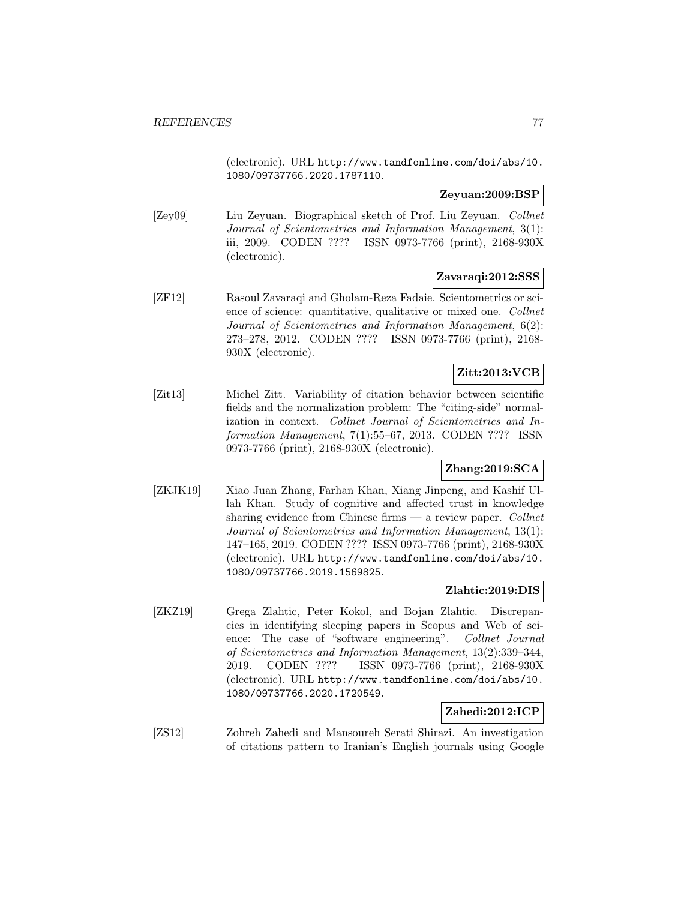(electronic). URL http://www.tandfonline.com/doi/abs/10. 1080/09737766.2020.1787110.

### **Zeyuan:2009:BSP**

[Zey09] Liu Zeyuan. Biographical sketch of Prof. Liu Zeyuan. Collnet Journal of Scientometrics and Information Management, 3(1): iii, 2009. CODEN ???? ISSN 0973-7766 (print), 2168-930X (electronic).

#### **Zavaraqi:2012:SSS**

[ZF12] Rasoul Zavaraqi and Gholam-Reza Fadaie. Scientometrics or science of science: quantitative, qualitative or mixed one. Collnet Journal of Scientometrics and Information Management, 6(2): 273–278, 2012. CODEN ???? ISSN 0973-7766 (print), 2168- 930X (electronic).

# **Zitt:2013:VCB**

[Zit13] Michel Zitt. Variability of citation behavior between scientific fields and the normalization problem: The "citing-side" normalization in context. Collnet Journal of Scientometrics and Information Management, 7(1):55–67, 2013. CODEN ???? ISSN 0973-7766 (print), 2168-930X (electronic).

# **Zhang:2019:SCA**

[ZKJK19] Xiao Juan Zhang, Farhan Khan, Xiang Jinpeng, and Kashif Ullah Khan. Study of cognitive and affected trust in knowledge sharing evidence from Chinese firms  $-$  a review paper. Collnet Journal of Scientometrics and Information Management, 13(1): 147–165, 2019. CODEN ???? ISSN 0973-7766 (print), 2168-930X (electronic). URL http://www.tandfonline.com/doi/abs/10. 1080/09737766.2019.1569825.

## **Zlahtic:2019:DIS**

[ZKZ19] Grega Zlahtic, Peter Kokol, and Bojan Zlahtic. Discrepancies in identifying sleeping papers in Scopus and Web of science: The case of "software engineering". Collnet Journal of Scientometrics and Information Management, 13(2):339–344, 2019. CODEN ???? ISSN 0973-7766 (print), 2168-930X (electronic). URL http://www.tandfonline.com/doi/abs/10. 1080/09737766.2020.1720549.

## **Zahedi:2012:ICP**

[ZS12] Zohreh Zahedi and Mansoureh Serati Shirazi. An investigation of citations pattern to Iranian's English journals using Google